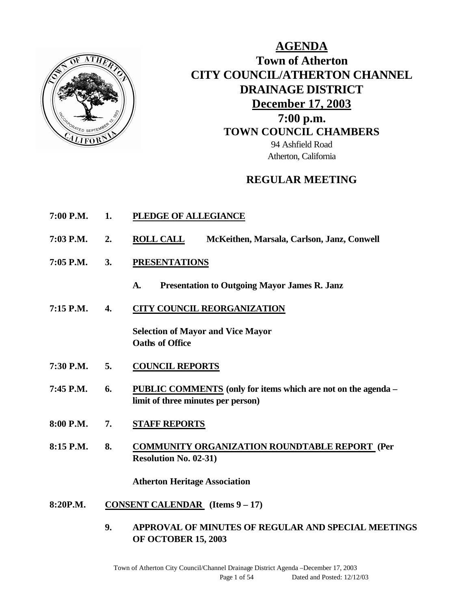

**AGENDA Town of Atherton CITY COUNCIL/ATHERTON CHANNEL DRAINAGE DISTRICT December 17, 2003 7:00 p.m. TOWN COUNCIL CHAMBERS** 94 Ashfield Road Atherton, California

## **REGULAR MEETING**

- **7:00 P.M. 1. PLEDGE OF ALLEGIANCE**
- **7:03 P.M. 2. ROLL CALL McKeithen, Marsala, Carlson, Janz, Conwell**
- **7:05 P.M. 3. PRESENTATIONS** 
	- **A. Presentation to Outgoing Mayor James R. Janz**
- **7:15 P.M. 4. CITY COUNCIL REORGANIZATION**

**Selection of Mayor and Vice Mayor Oaths of Office**

- **7:30 P.M. 5. COUNCIL REPORTS**
- **7:45 P.M. 6. PUBLIC COMMENTS (only for items which are not on the agenda – limit of three minutes per person)**
- **8:00 P.M. 7. STAFF REPORTS**
- **8:15 P.M. 8. COMMUNITY ORGANIZATION ROUNDTABLE REPORT (Per Resolution No. 02-31)**

**Atherton Heritage Association**

- **8:20P.M. CONSENT CALENDAR (Items 9 – 17)**
	- **9. APPROVAL OF MINUTES OF REGULAR AND SPECIAL MEETINGS OF OCTOBER 15, 2003**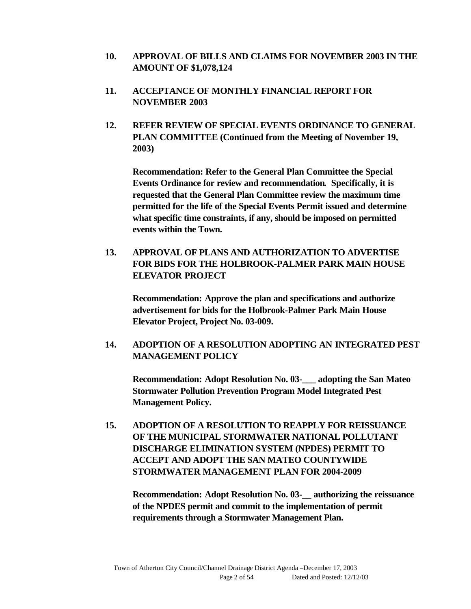- **10. APPROVAL OF BILLS AND CLAIMS FOR NOVEMBER 2003 IN THE AMOUNT OF \$1,078,124**
- **11. ACCEPTANCE OF MONTHLY FINANCIAL REPORT FOR NOVEMBER 2003**
- **12. REFER REVIEW OF SPECIAL EVENTS ORDINANCE TO GENERAL PLAN COMMITTEE (Continued from the Meeting of November 19, 2003)**

**Recommendation: Refer to the General Plan Committee the Special Events Ordinance for review and recommendation. Specifically, it is requested that the General Plan Committee review the maximum time permitted for the life of the Special Events Permit issued and determine what specific time constraints, if any, should be imposed on permitted events within the Town.**

**13. APPROVAL OF PLANS AND AUTHORIZATION TO ADVERTISE FOR BIDS FOR THE HOLBROOK-PALMER PARK MAIN HOUSE ELEVATOR PROJECT**

**Recommendation: Approve the plan and specifications and authorize advertisement for bids for the Holbrook-Palmer Park Main House Elevator Project, Project No. 03-009.**

**14. ADOPTION OF A RESOLUTION ADOPTING AN INTEGRATED PEST MANAGEMENT POLICY**

**Recommendation: Adopt Resolution No. 03-\_\_\_ adopting the San Mateo Stormwater Pollution Prevention Program Model Integrated Pest Management Policy.**

**15. ADOPTION OF A RESOLUTION TO REAPPLY FOR REISSUANCE OF THE MUNICIPAL STORMWATER NATIONAL POLLUTANT DISCHARGE ELIMINATION SYSTEM (NPDES) PERMIT TO ACCEPT AND ADOPT THE SAN MATEO COUNTYWIDE STORMWATER MANAGEMENT PLAN FOR 2004-2009**

**Recommendation: Adopt Resolution No. 03-\_\_ authorizing the reissuance of the NPDES permit and commit to the implementation of permit requirements through a Stormwater Management Plan.**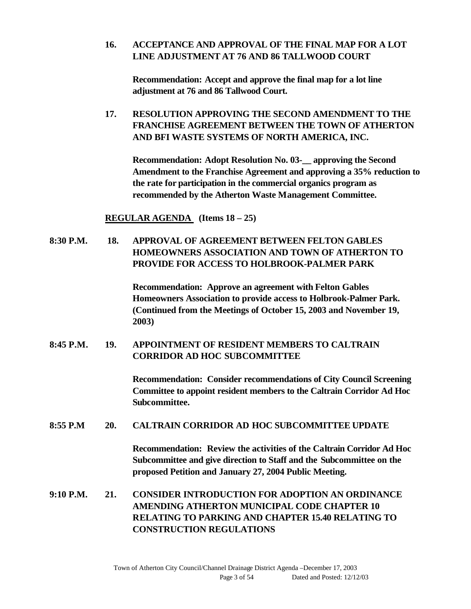### **16. ACCEPTANCE AND APPROVAL OF THE FINAL MAP FOR A LOT LINE ADJUSTMENT AT 76 AND 86 TALLWOOD COURT**

**Recommendation: Accept and approve the final map for a lot line adjustment at 76 and 86 Tallwood Court.**

## **17. RESOLUTION APPROVING THE SECOND AMENDMENT TO THE FRANCHISE AGREEMENT BETWEEN THE TOWN OF ATHERTON AND BFI WASTE SYSTEMS OF NORTH AMERICA, INC.**

**Recommendation: Adopt Resolution No. 03-\_\_ approving the Second Amendment to the Franchise Agreement and approving a 35% reduction to the rate for participation in the commercial organics program as recommended by the Atherton Waste Management Committee.**

**REGULAR AGENDA (Items 18 – 25)**

## **8:30 P.M. 18. APPROVAL OF AGREEMENT BETWEEN FELTON GABLES HOMEOWNERS ASSOCIATION AND TOWN OF ATHERTON TO PROVIDE FOR ACCESS TO HOLBROOK-PALMER PARK**

**Recommendation: Approve an agreement with Felton Gables Homeowners Association to provide access to Holbrook-Palmer Park. (Continued from the Meetings of October 15, 2003 and November 19, 2003)**

## **8:45 P.M. 19. APPOINTMENT OF RESIDENT MEMBERS TO CALTRAIN CORRIDOR AD HOC SUBCOMMITTEE**

**Recommendation: Consider recommendations of City Council Screening Committee to appoint resident members to the Caltrain Corridor Ad Hoc Subcommittee.**

### **8:55 P.M 20. CALTRAIN CORRIDOR AD HOC SUBCOMMITTEE UPDATE**

**Recommendation: Review the activities of the Caltrain Corridor Ad Hoc Subcommittee and give direction to Staff and the Subcommittee on the proposed Petition and January 27, 2004 Public Meeting.**

## **9:10 P.M. 21. CONSIDER INTRODUCTION FOR ADOPTION AN ORDINANCE AMENDING ATHERTON MUNICIPAL CODE CHAPTER 10 RELATING TO PARKING AND CHAPTER 15.40 RELATING TO CONSTRUCTION REGULATIONS**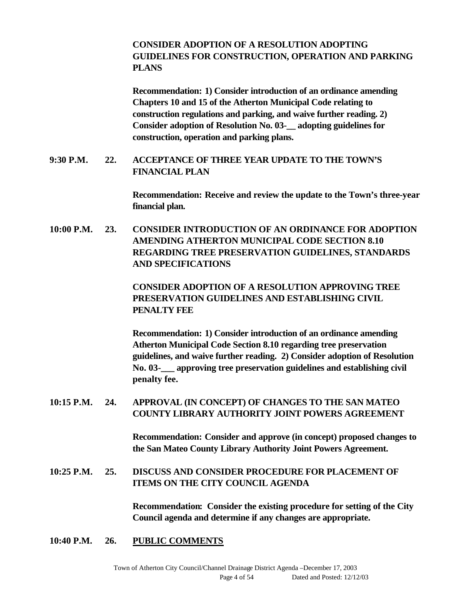### **CONSIDER ADOPTION OF A RESOLUTION ADOPTING GUIDELINES FOR CONSTRUCTION, OPERATION AND PARKING PLANS**

**Recommendation: 1) Consider introduction of an ordinance amending Chapters 10 and 15 of the Atherton Municipal Code relating to construction regulations and parking, and waive further reading. 2) Consider adoption of Resolution No. 03-\_\_ adopting guidelines for construction, operation and parking plans.**

### **9:30 P.M. 22. ACCEPTANCE OF THREE YEAR UPDATE TO THE TOWN'S FINANCIAL PLAN**

**Recommendation: Receive and review the update to the Town's three-year financial plan.**

**10:00 P.M. 23. CONSIDER INTRODUCTION OF AN ORDINANCE FOR ADOPTION AMENDING ATHERTON MUNICIPAL CODE SECTION 8.10 REGARDING TREE PRESERVATION GUIDELINES, STANDARDS AND SPECIFICATIONS**

> **CONSIDER ADOPTION OF A RESOLUTION APPROVING TREE PRESERVATION GUIDELINES AND ESTABLISHING CIVIL PENALTY FEE**

**Recommendation: 1) Consider introduction of an ordinance amending Atherton Municipal Code Section 8.10 regarding tree preservation guidelines, and waive further reading. 2) Consider adoption of Resolution No. 03-\_\_\_ approving tree preservation guidelines and establishing civil penalty fee.**

## **10:15 P.M. 24. APPROVAL (IN CONCEPT) OF CHANGES TO THE SAN MATEO COUNTY LIBRARY AUTHORITY JOINT POWERS AGREEMENT**

**Recommendation: Consider and approve (in concept) proposed changes to the San Mateo County Library Authority Joint Powers Agreement.**

## **10:25 P.M. 25. DISCUSS AND CONSIDER PROCEDURE FOR PLACEMENT OF ITEMS ON THE CITY COUNCIL AGENDA**

**Recommendation: Consider the existing procedure for setting of the City Council agenda and determine if any changes are appropriate.**

**10:40 P.M. 26. PUBLIC COMMENTS**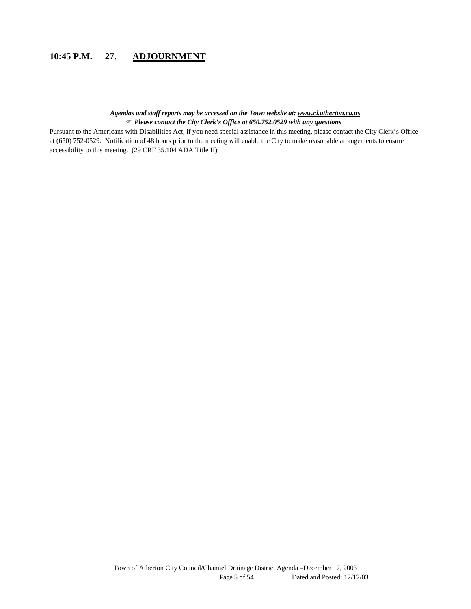## **10:45 P.M. 27. ADJOURNMENT**

#### *Agendas and staff reports may be accessed on the Town website at: www.ci.atherton.ca.us* F *Please contact the City Clerk's Office at 650.752.0529 with any questions*

Pursuant to the Americans with Disabilities Act, if you need special assistance in this meeting, please contact the City Clerk's Office at (650) 752-0529. Notification of 48 hours prior to the meeting will enable the City to make reasonable arrangements to ensure accessibility to this meeting. (29 CRF 35.104 ADA Title II)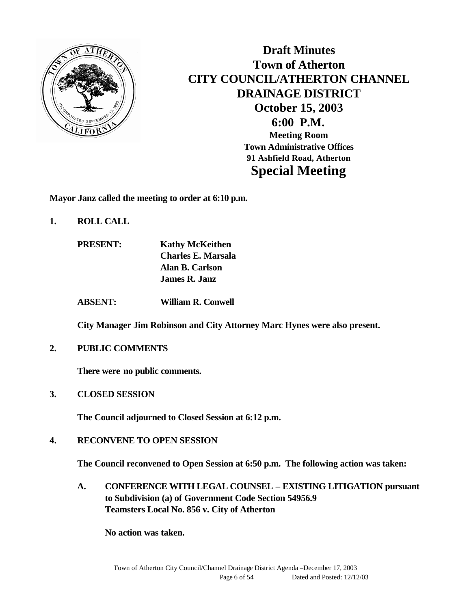

**Draft Minutes Town of Atherton CITY COUNCIL/ATHERTON CHANNEL DRAINAGE DISTRICT October 15, 2003 6:00 P.M. Meeting Room Town Administrative Offices 91 Ashfield Road, Atherton Special Meeting**

**Mayor Janz called the meeting to order at 6:10 p.m.**

- **1. ROLL CALL**
	- **PRESENT: Kathy McKeithen Charles E. Marsala Alan B. Carlson James R. Janz**

**ABSENT: William R. Conwell**

**City Manager Jim Robinson and City Attorney Marc Hynes were also present.**

**2. PUBLIC COMMENTS**

**There were no public comments.**

**3. CLOSED SESSION**

**The Council adjourned to Closed Session at 6:12 p.m.**

**4. RECONVENE TO OPEN SESSION**

**The Council reconvened to Open Session at 6:50 p.m. The following action was taken:**

**A. CONFERENCE WITH LEGAL COUNSEL – EXISTING LITIGATION pursuant to Subdivision (a) of Government Code Section 54956.9 Teamsters Local No. 856 v. City of Atherton** 

**No action was taken.**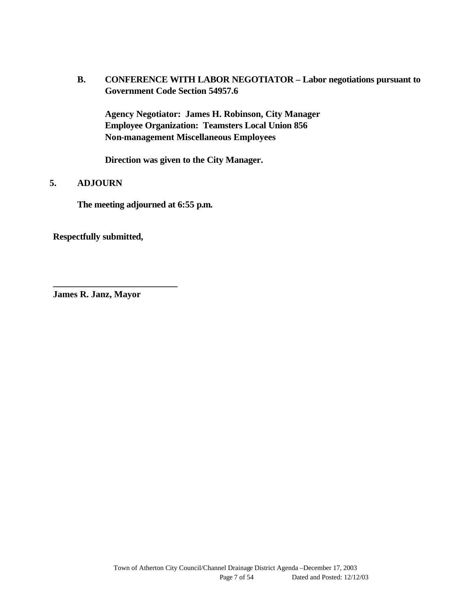**B. CONFERENCE WITH LABOR NEGOTIATOR – Labor negotiations pursuant to Government Code Section 54957.6**

**Agency Negotiator: James H. Robinson, City Manager Employee Organization: Teamsters Local Union 856 Non-management Miscellaneous Employees**

**Direction was given to the City Manager.**

### **5. ADJOURN**

**The meeting adjourned at 6:55 p.m.**

**Respectfully submitted,**

**James R. Janz, Mayor**

**\_\_\_\_\_\_\_\_\_\_\_\_\_\_\_\_\_\_\_\_\_\_\_\_\_\_\_**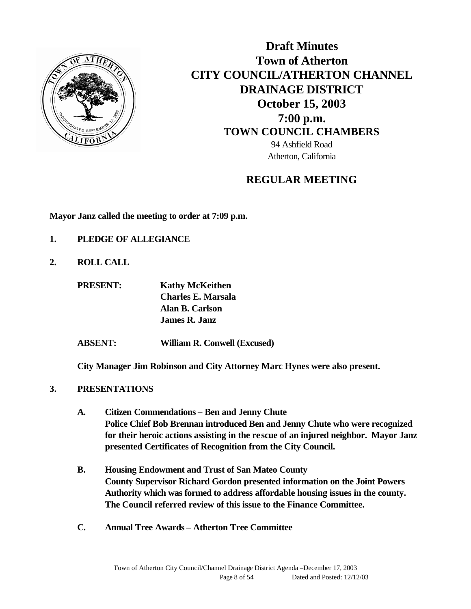

**Draft Minutes Town of Atherton CITY COUNCIL/ATHERTON CHANNEL DRAINAGE DISTRICT October 15, 2003 7:00 p.m. TOWN COUNCIL CHAMBERS** 94 Ashfield Road Atherton, California

## **REGULAR MEETING**

**Mayor Janz called the meeting to order at 7:09 p.m.**

- **1. PLEDGE OF ALLEGIANCE**
- **2. ROLL CALL**

**PRESENT: Kathy McKeithen Charles E. Marsala Alan B. Carlson James R. Janz**

**ABSENT: William R. Conwell (Excused)**

**City Manager Jim Robinson and City Attorney Marc Hynes were also present.**

- **3. PRESENTATIONS** 
	- **A. Citizen Commendations Ben and Jenny Chute Police Chief Bob Brennan introduced Ben and Jenny Chute who were recognized for their heroic actions assisting in the rescue of an injured neighbor. Mayor Janz presented Certificates of Recognition from the City Council.**
	- **B. Housing Endowment and Trust of San Mateo County County Supervisor Richard Gordon presented information on the Joint Powers Authority which was formed to address affordable housing issues in the county. The Council referred review of this issue to the Finance Committee.**
	- **C. Annual Tree Awards Atherton Tree Committee**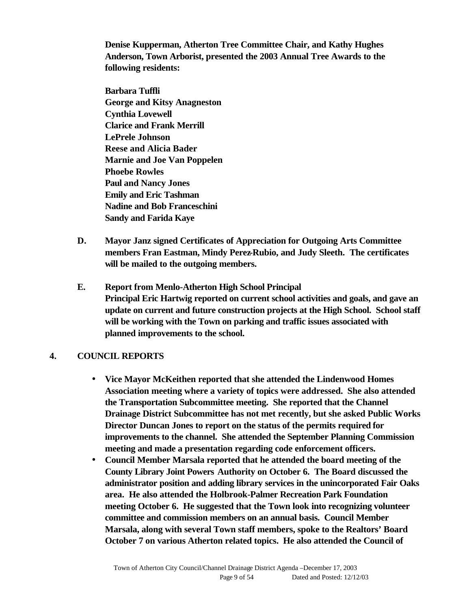**Denise Kupperman, Atherton Tree Committee Chair, and Kathy Hughes Anderson, Town Arborist, presented the 2003 Annual Tree Awards to the following residents:**

**Barbara Tuffli George and Kitsy Anagneston Cynthia Lovewell Clarice and Frank Merrill LePrele Johnson Reese and Alicia Bader Marnie and Joe Van Poppelen Phoebe Rowles Paul and Nancy Jones Emily and Eric Tashman Nadine and Bob Franceschini Sandy and Farida Kaye**

- **D. Mayor Janz signed Certificates of Appreciation for Outgoing Arts Committee members Fran Eastman, Mindy Perez-Rubio, and Judy Sleeth. The certificates will be mailed to the outgoing members.**
- **E. Report from Menlo-Atherton High School Principal Principal Eric Hartwig reported on current school activities and goals, and gave an update on current and future construction projects at the High School. School staff will be working with the Town on parking and traffic issues associated with planned improvements to the school.**

### **4. COUNCIL REPORTS**

- **Vice Mayor McKeithen reported that she attended the Lindenwood Homes Association meeting where a variety of topics were addressed. She also attended the Transportation Subcommittee meeting. She reported that the Channel Drainage District Subcommittee has not met recently, but she asked Public Works Director Duncan Jones to report on the status of the permits required for improvements to the channel. She attended the September Planning Commission meeting and made a presentation regarding code enforcement officers.**
- **Council Member Marsala reported that he attended the board meeting of the County Library Joint Powers Authority on October 6. The Board discussed the administrator position and adding library services in the unincorporated Fair Oaks area. He also attended the Holbrook-Palmer Recreation Park Foundation meeting October 6. He suggested that the Town look into recognizing volunteer committee and commission members on an annual basis. Council Member Marsala, along with several Town staff members, spoke to the Realtors' Board October 7 on various Atherton related topics. He also attended the Council of**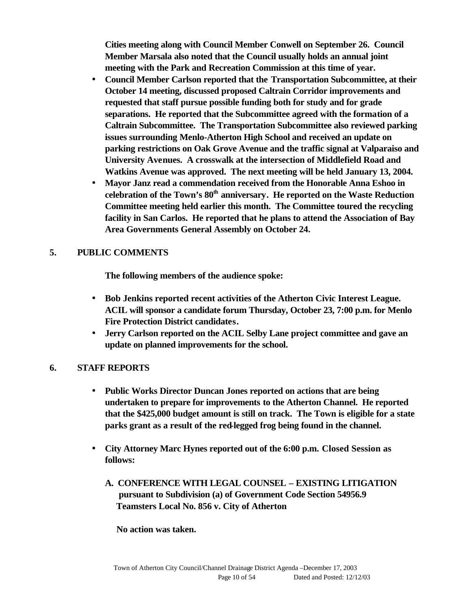**Cities meeting along with Council Member Conwell on September 26. Council Member Marsala also noted that the Council usually holds an annual joint meeting with the Park and Recreation Commission at this time of year.** 

- **Council Member Carlson reported that the Transportation Subcommittee, at their October 14 meeting, discussed proposed Caltrain Corridor improvements and requested that staff pursue possible funding both for study and for grade separations. He reported that the Subcommittee agreed with the formation of a Caltrain Subcommittee. The Transportation Subcommittee also reviewed parking issues surrounding Menlo-Atherton High School and received an update on parking restrictions on Oak Grove Avenue and the traffic signal at Valparaiso and University Avenues. A crosswalk at the intersection of Middlefield Road and Watkins Avenue was approved. The next meeting will be held January 13, 2004.**
- **Mayor Janz read a commendation received from the Honorable Anna Eshoo in celebration of the Town's 80th anniversary. He reported on the Waste Reduction Committee meeting held earlier this month. The Committee toured the recycling facility in San Carlos. He reported that he plans to attend the Association of Bay Area Governments General Assembly on October 24.**

## **5. PUBLIC COMMENTS**

**The following members of the audience spoke:**

- **Bob Jenkins reported recent activities of the Atherton Civic Interest League. ACIL will sponsor a candidate forum Thursday, October 23, 7:00 p.m. for Menlo Fire Protection District candidates.**
- **Jerry Carlson reported on the ACIL Selby Lane project committee and gave an update on planned improvements for the school.**

## **6. STAFF REPORTS**

- **Public Works Director Duncan Jones reported on actions that are being undertaken to prepare for improvements to the Atherton Channel. He reported that the \$425,000 budget amount is still on track. The Town is eligible for a state parks grant as a result of the red-legged frog being found in the channel.**
- **City Attorney Marc Hynes reported out of the 6:00 p.m. Closed Session as follows:**
	- **A. CONFERENCE WITH LEGAL COUNSEL EXISTING LITIGATION pursuant to Subdivision (a) of Government Code Section 54956.9 Teamsters Local No. 856 v. City of Atherton**

 **No action was taken.**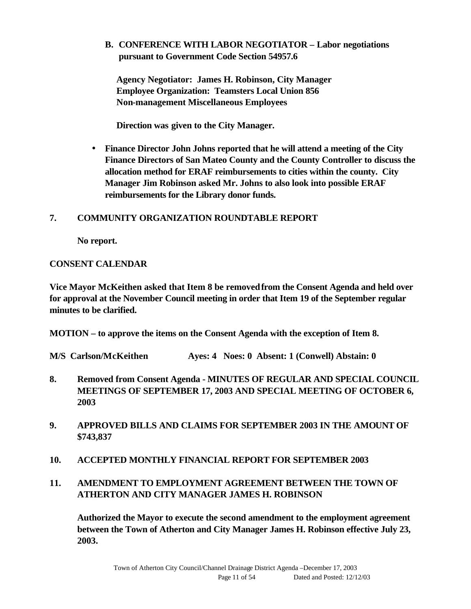**B. CONFERENCE WITH LABOR NEGOTIATOR – Labor negotiations pursuant to Government Code Section 54957.6**

 **Agency Negotiator: James H. Robinson, City Manager Employee Organization: Teamsters Local Union 856 Non-management Miscellaneous Employees**

 **Direction was given to the City Manager.**

• **Finance Director John Johns reported that he will attend a meeting of the City Finance Directors of San Mateo County and the County Controller to discuss the allocation method for ERAF reimbursements to cities within the county. City Manager Jim Robinson asked Mr. Johns to also look into possible ERAF reimbursements for the Library donor funds.**

### **7. COMMUNITY ORGANIZATION ROUNDTABLE REPORT**

**No report.**

### **CONSENT CALENDAR**

**Vice Mayor McKeithen asked that Item 8 be removed from the Consent Agenda and held over for approval at the November Council meeting in order that Item 19 of the September regular minutes to be clarified.** 

**MOTION – to approve the items on the Consent Agenda with the exception of Item 8.**

**M/S Carlson/McKeithen Ayes: 4 Noes: 0 Absent: 1 (Conwell) Abstain: 0**

- **8. Removed from Consent Agenda MINUTES OF REGULAR AND SPECIAL COUNCIL MEETINGS OF SEPTEMBER 17, 2003 AND SPECIAL MEETING OF OCTOBER 6, 2003**
- **9. APPROVED BILLS AND CLAIMS FOR SEPTEMBER 2003 IN THE AMOUNT OF \$743,837**
- **10. ACCEPTED MONTHLY FINANCIAL REPORT FOR SEPTEMBER 2003**

## **11. AMENDMENT TO EMPLOYMENT AGREEMENT BETWEEN THE TOWN OF ATHERTON AND CITY MANAGER JAMES H. ROBINSON**

**Authorized the Mayor to execute the second amendment to the employment agreement between the Town of Atherton and City Manager James H. Robinson effective July 23, 2003.**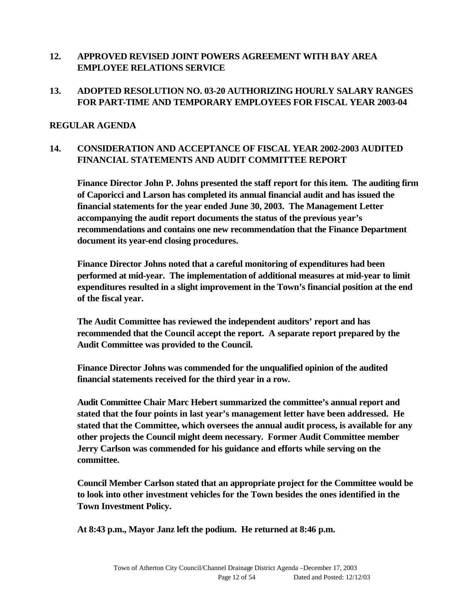### **12. APPROVED REVISED JOINT POWERS AGREEMENT WITH BAY AREA EMPLOYEE RELATIONS SERVICE**

## **13. ADOPTED RESOLUTION NO. 03-20 AUTHORIZING HOURLY SALARY RANGES FOR PART-TIME AND TEMPORARY EMPLOYEES FOR FISCAL YEAR 2003-04**

### **REGULAR AGENDA**

## **14. CONSIDERATION AND ACCEPTANCE OF FISCAL YEAR 2002-2003 AUDITED FINANCIAL STATEMENTS AND AUDIT COMMITTEE REPORT**

**Finance Director John P. Johns presented the staff report for this item. The auditing firm of Caporicci and Larson has completed its annual financial audit and has issued the financial statements for the year ended June 30, 2003. The Management Letter accompanying the audit report documents the status of the previous year's recommendations and contains one new recommendation that the Finance Department document its year-end closing procedures.** 

**Finance Director Johns noted that a careful monitoring of expenditures had been performed at mid-year. The implementation of additional measures at mid-year to limit expenditures resulted in a slight improvement in the Town's financial position at the end of the fiscal year.** 

**The Audit Committee has reviewed the independent auditors' report and has recommended that the Council accept the report. A separate report prepared by the Audit Committee was provided to the Council.**

**Finance Director Johns was commended for the unqualified opinion of the audited financial statements received for the third year in a row.**

**Audit Committee Chair Marc Hebert summarized the committee's annual report and stated that the four points in last year's management letter have been addressed. He stated that the Committee, which oversees the annual audit process, is available for any other projects the Council might deem necessary. Former Audit Committee member Jerry Carlson was commended for his guidance and efforts while serving on the committee.** 

**Council Member Carlson stated that an appropriate project for the Committee would be to look into other investment vehicles for the Town besides the ones identified in the Town Investment Policy.**

**At 8:43 p.m., Mayor Janz left the podium. He returned at 8:46 p.m.**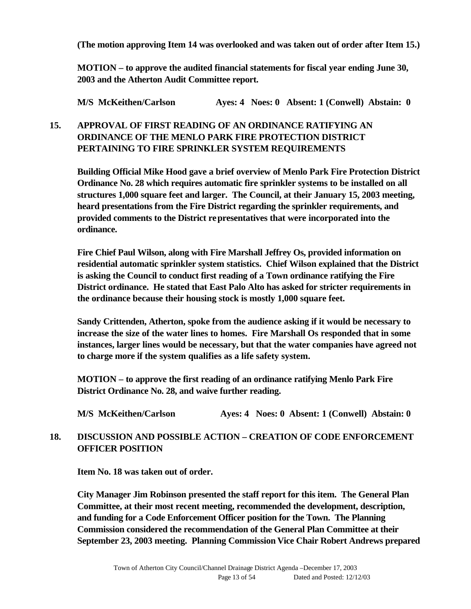**(The motion approving Item 14 was overlooked and was taken out of order after Item 15.)**

**MOTION – to approve the audited financial statements for fiscal year ending June 30, 2003 and the Atherton Audit Committee report.** 

**M/S McKeithen/Carlson Ayes: 4 Noes: 0 Absent: 1 (Conwell) Abstain: 0**

### **15. APPROVAL OF FIRST READING OF AN ORDINANCE RATIFYING AN ORDINANCE OF THE MENLO PARK FIRE PROTECTION DISTRICT PERTAINING TO FIRE SPRINKLER SYSTEM REQUIREMENTS**

**Building Official Mike Hood gave a brief overview of Menlo Park Fire Protection District Ordinance No. 28 which requires automatic fire sprinkler systems to be installed on all structures 1,000 square feet and larger. The Council, at their January 15, 2003 meeting, heard presentations from the Fire District regarding the sprinkler requirements, and provided comments to the District representatives that were incorporated into the ordinance.** 

**Fire Chief Paul Wilson, along with Fire Marshall Jeffrey Os, provided information on residential automatic sprinkler system statistics. Chief Wilson explained that the District is asking the Council to conduct first reading of a Town ordinance ratifying the Fire District ordinance. He stated that East Palo Alto has asked for stricter requirements in the ordinance because their housing stock is mostly 1,000 square feet.** 

**Sandy Crittenden, Atherton, spoke from the audience asking if it would be necessary to increase the size of the water lines to homes. Fire Marshall Os responded that in some instances, larger lines would be necessary, but that the water companies have agreed not to charge more if the system qualifies as a life safety system.**

**MOTION – to approve the first reading of an ordinance ratifying Menlo Park Fire District Ordinance No. 28, and waive further reading.** 

**M/S McKeithen/Carlson Ayes: 4 Noes: 0 Absent: 1 (Conwell) Abstain: 0**

## **18. DISCUSSION AND POSSIBLE ACTION – CREATION OF CODE ENFORCEMENT OFFICER POSITION**

**Item No. 18 was taken out of order.**

**City Manager Jim Robinson presented the staff report for this item. The General Plan Committee, at their most recent meeting, recommended the development, description, and funding for a Code Enforcement Officer position for the Town. The Planning Commission considered the recommendation of the General Plan Committee at their September 23, 2003 meeting. Planning Commission Vice Chair Robert Andrews prepared**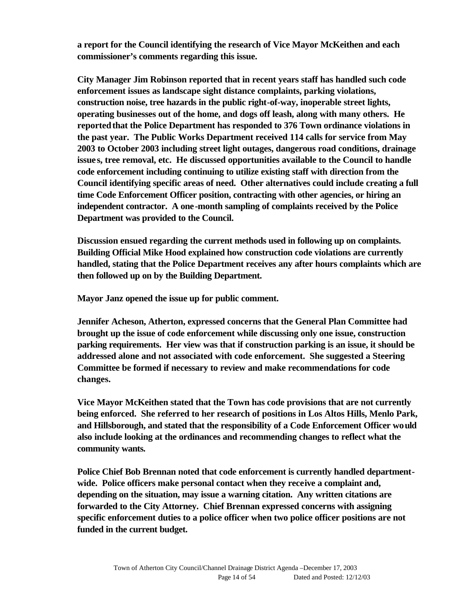**a report for the Council identifying the research of Vice Mayor McKeithen and each commissioner's comments regarding this issue.** 

**City Manager Jim Robinson reported that in recent years staff has handled such code enforcement issues as landscape sight distance complaints, parking violations, construction noise, tree hazards in the public right-of-way, inoperable street lights, operating businesses out of the home, and dogs off leash, along with many others. He reported that the Police Department has responded to 376 Town ordinance violations in the past year. The Public Works Department received 114 calls for service from May 2003 to October 2003 including street light outages, dangerous road conditions, drainage issue s, tree removal, etc. He discussed opportunities available to the Council to handle code enforcement including continuing to utilize existing staff with direction from the Council identifying specific areas of need. Other alternatives could include creating a full time Code Enforcement Officer position, contracting with other agencies, or hiring an independent contractor. A one-month sampling of complaints received by the Police Department was provided to the Council.**

**Discussion ensued regarding the current methods used in following up on complaints. Building Official Mike Hood explained how construction code violations are currently handled, stating that the Police Department receives any after hours complaints which are then followed up on by the Building Department.**

**Mayor Janz opened the issue up for public comment.** 

**Jennifer Acheson, Atherton, expressed concerns that the General Plan Committee had brought up the issue of code enforcement while discussing only one issue, construction parking requirements. Her view was that if construction parking is an issue, it should be addressed alone and not associated with code enforcement. She suggested a Steering Committee be formed if necessary to review and make recommendations for code changes.** 

**Vice Mayor McKeithen stated that the Town has code provisions that are not currently being enforced. She referred to her research of positions in Los Altos Hills, Menlo Park, and Hillsborough, and stated that the responsibility of a Code Enforcement Officer would also include looking at the ordinances and recommending changes to reflect what the community wants.** 

**Police Chief Bob Brennan noted that code enforcement is currently handled departmentwide. Police officers make personal contact when they receive a complaint and, depending on the situation, may issue a warning citation. Any written citations are forwarded to the City Attorney. Chief Brennan expressed concerns with assigning specific enforcement duties to a police officer when two police officer positions are not funded in the current budget.**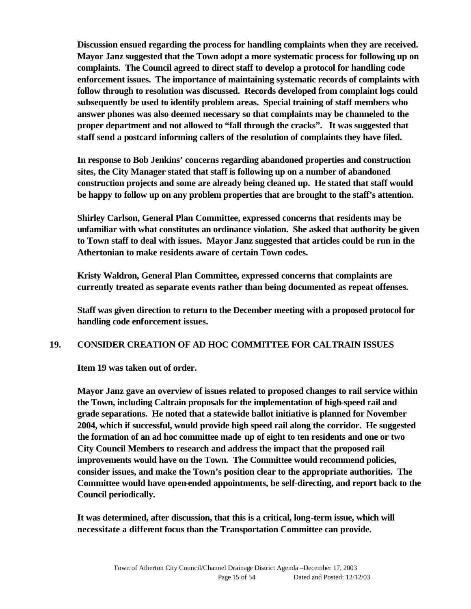**Discussion ensued regarding the process for handling complaints when they are received. Mayor Janz suggested that the Town adopt a more systematic process for following up on complaints. The Council agreed to direct staff to develop a protocol for handling code enforcement issues. The importance of maintaining systematic records of complaints with follow through to resolution was discussed. Records developed from complaint logs could subsequently be used to identify problem areas. Special training of staff members who answer phones was also deemed necessary so that complaints may be channeled to the proper department and not allowed to "fall through the cracks". It was suggested that staff send a postcard informing callers of the resolution of complaints they have filed.** 

**In response to Bob Jenkins' concerns regarding abandoned properties and construction sites, the City Manager stated that staff is following up on a number of abandoned construction projects and some are already being cleaned up. He stated that staff would be happy to follow up on any problem properties that are brought to the staff's attention.**

**Shirley Carlson, General Plan Committee, expressed concerns that residents may be unfamiliar with what constitutes an ordinance violation. She asked that authority be given to Town staff to deal with issues. Mayor Janz suggested that articles could be run in the Athertonian to make residents aware of certain Town codes.**

**Kristy Waldron, General Plan Committee, expressed concerns that complaints are currently treated as separate events rather than being documented as repeat offenses.**

**Staff was given direction to return to the December meeting with a proposed protocol for handling code enforcement issues.** 

### **19. CONSIDER CREATION OF AD HOC COMMITTEE FOR CALTRAIN ISSUES**

**Item 19 was taken out of order.**

**Mayor Janz gave an overview of issues related to proposed changes to rail service within the Town, including Caltrain proposals for the implementation of high-speed rail and grade separations. He noted that a statewide ballot initiative is planned for November 2004, which if successful, would provide high speed rail along the corridor. He suggested the formation of an ad hoc committee made up of eight to ten residents and one or two City Council Members to research and address the impact that the proposed rail improvements would have on the Town. The Committee would recommend policies, consider issues, and make the Town's position clear to the appropriate authorities. The Committee would have open-ended appointments, be self-directing, and report back to the Council periodically.**

**It was determined, after discussion, that this is a critical, long-term issue, which will necessitate a different focus than the Transportation Committee can provide.**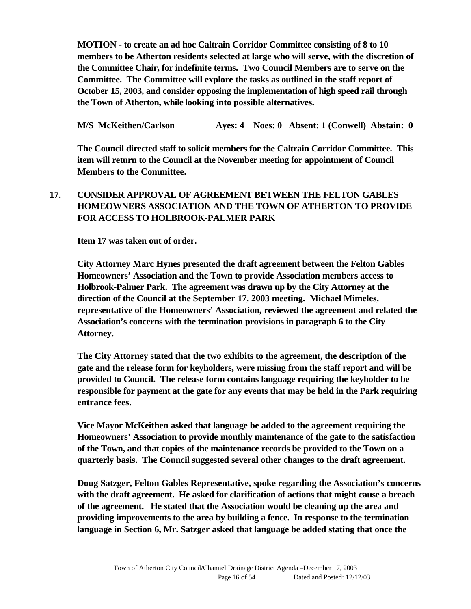**MOTION - to create an ad hoc Caltrain Corridor Committee consisting of 8 to 10 members to be Atherton residents selected at large who will serve, with the discretion of the Committee Chair, for indefinite terms. Two Council Members are to serve on the Committee. The Committee will explore the tasks as outlined in the staff report of October 15, 2003, and consider opposing the implementation of high speed rail through the Town of Atherton, while looking into possible alternatives.**

**M/S McKeithen/Carlson Ayes: 4 Noes: 0 Absent: 1 (Conwell) Abstain: 0**

**The Council directed staff to solicit members for the Caltrain Corridor Committee. This item will return to the Council at the November meeting for appointment of Council Members to the Committee.**

## **17. CONSIDER APPROVAL OF AGREEMENT BETWEEN THE FELTON GABLES HOMEOWNERS ASSOCIATION AND THE TOWN OF ATHERTON TO PROVIDE FOR ACCESS TO HOLBROOK-PALMER PARK**

**Item 17 was taken out of order.**

**City Attorney Marc Hynes presented the draft agreement between the Felton Gables Homeowners' Association and the Town to provide Association members access to Holbrook-Palmer Park. The agreement was drawn up by the City Attorney at the direction of the Council at the September 17, 2003 meeting. Michael Mimeles, representative of the Homeowners' Association, reviewed the agreement and related the Association's concerns with the termination provisions in paragraph 6 to the City Attorney.** 

**The City Attorney stated that the two exhibits to the agreement, the description of the gate and the release form for keyholders, were missing from the staff report and will be provided to Council. The release form contains language requiring the keyholder to be responsible for payment at the gate for any events that may be held in the Park requiring entrance fees.** 

**Vice Mayor McKeithen asked that language be added to the agreement requiring the Homeowners' Association to provide monthly maintenance of the gate to the satisfaction of the Town, and that copies of the maintenance records be provided to the Town on a quarterly basis. The Council suggested several other changes to the draft agreement.** 

**Doug Satzger, Felton Gables Representative, spoke regarding the Association's concerns with the draft agreement. He asked for clarification of actions that might cause a breach of the agreement. He stated that the Association would be cleaning up the area and providing improvements to the area by building a fence. In response to the termination language in Section 6, Mr. Satzger asked that language be added stating that once the**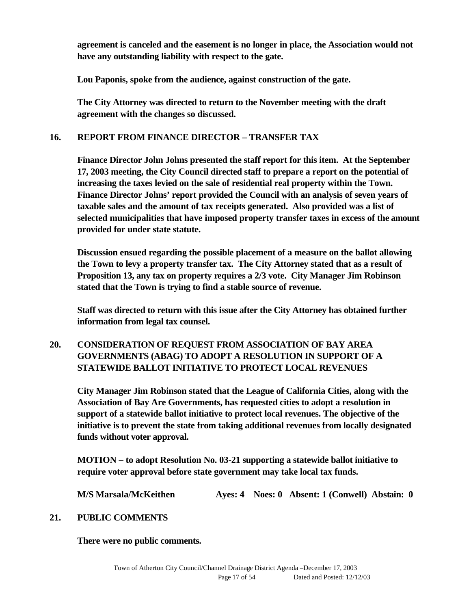**agreement is canceled and the easement is no longer in place, the Association would not have any outstanding liability with respect to the gate.** 

**Lou Paponis, spoke from the audience, against construction of the gate.**

**The City Attorney was directed to return to the November meeting with the draft agreement with the changes so discussed.**

## **16. REPORT FROM FINANCE DIRECTOR – TRANSFER TAX**

**Finance Director John Johns presented the staff report for this item. At the September 17, 2003 meeting, the City Council directed staff to prepare a report on the potential of increasing the taxes levied on the sale of residential real property within the Town. Finance Director Johns' report provided the Council with an analysis of seven years of taxable sales and the amount of tax receipts generated. Also provided was a list of selected municipalities that have imposed property transfer taxes in excess of the amount provided for under state statute.** 

**Discussion ensued regarding the possible placement of a measure on the ballot allowing the Town to levy a property transfer tax. The City Attorney stated that as a result of Proposition 13, any tax on property requires a 2/3 vote. City Manager Jim Robinson stated that the Town is trying to find a stable source of revenue.** 

**Staff was directed to return with this issue after the City Attorney has obtained further information from legal tax counsel.** 

## **20. CONSIDERATION OF REQUEST FROM ASSOCIATION OF BAY AREA GOVERNMENTS (ABAG) TO ADOPT A RESOLUTION IN SUPPORT OF A STATEWIDE BALLOT INITIATIVE TO PROTECT LOCAL REVENUES**

**City Manager Jim Robinson stated that the League of California Cities, along with the Association of Bay Are Governments, has requested cities to adopt a resolution in support of a statewide ballot initiative to protect local revenues. The objective of the initiative is to prevent the state from taking additional revenues from locally designated funds without voter approval.**

**MOTION – to adopt Resolution No. 03-21 supporting a statewide ballot initiative to require voter approval before state government may take local tax funds.**

**M/S Marsala/McKeithen Ayes: 4 Noes: 0 Absent: 1 (Conwell) Abstain: 0**

## **21. PUBLIC COMMENTS**

**There were no public comments.**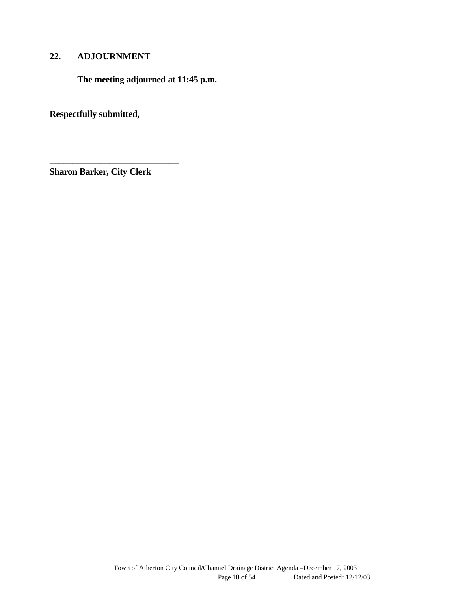## **22. ADJOURNMENT**

**The meeting adjourned at 11:45 p.m.**

**Respectfully submitted,**

**Sharon Barker, City Clerk**

**\_\_\_\_\_\_\_\_\_\_\_\_\_\_\_\_\_\_\_\_\_\_\_\_\_\_\_\_**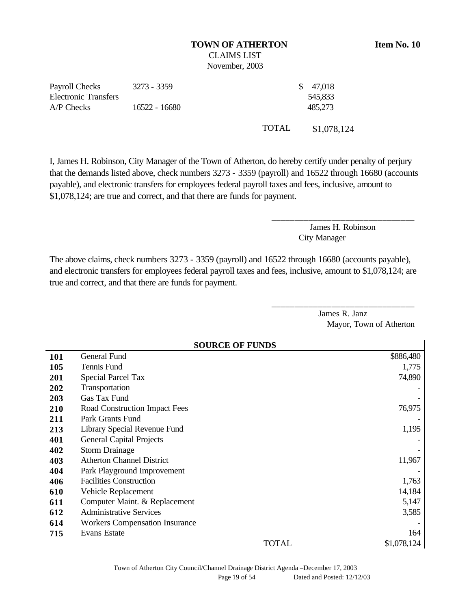#### **TOWN OF ATHERTON Item No. 10** CLAIMS LIST

November, 2003

| Payroll Checks              | 3273 - 3359   |              | \$47,018    |
|-----------------------------|---------------|--------------|-------------|
| <b>Electronic Transfers</b> |               |              | 545,833     |
| $A/P$ Checks                | 16522 - 16680 |              | 485.273     |
|                             |               | <b>TOTAL</b> | \$1,078,124 |

I, James H. Robinson, City Manager of the Town of Atherton, do hereby certify under penalty of perjury that the demands listed above, check numbers 3273 - 3359 (payroll) and 16522 through 16680 (accounts payable), and electronic transfers for employees federal payroll taxes and fees, inclusive, amount to \$1,078,124; are true and correct, and that there are funds for payment.

> James H. Robinson City Manager

\_\_\_\_\_\_\_\_\_\_\_\_\_\_\_\_\_\_\_\_\_\_\_\_\_\_\_\_\_\_\_

\_\_\_\_\_\_\_\_\_\_\_\_\_\_\_\_\_\_\_\_\_\_\_\_\_\_\_\_\_\_\_

The above claims, check numbers 3273 - 3359 (payroll) and 16522 through 16680 (accounts payable), and electronic transfers for employees federal payroll taxes and fees, inclusive, amount to \$1,078,124; are true and correct, and that there are funds for payment.

> James R. Janz Mayor, Town of Atherton

|     | <b>SOURCE OF FUNDS</b>                |             |  |  |  |
|-----|---------------------------------------|-------------|--|--|--|
| 101 | General Fund                          | \$886,480   |  |  |  |
| 105 | Tennis Fund                           | 1,775       |  |  |  |
| 201 | <b>Special Parcel Tax</b>             | 74,890      |  |  |  |
| 202 | Transportation                        |             |  |  |  |
| 203 | Gas Tax Fund                          |             |  |  |  |
| 210 | Road Construction Impact Fees         | 76,975      |  |  |  |
| 211 | Park Grants Fund                      |             |  |  |  |
| 213 | Library Special Revenue Fund          | 1,195       |  |  |  |
| 401 | <b>General Capital Projects</b>       |             |  |  |  |
| 402 | <b>Storm Drainage</b>                 |             |  |  |  |
| 403 | <b>Atherton Channel District</b>      | 11,967      |  |  |  |
| 404 | Park Playground Improvement           |             |  |  |  |
| 406 | <b>Facilities Construction</b>        | 1,763       |  |  |  |
| 610 | Vehicle Replacement                   | 14,184      |  |  |  |
| 611 | Computer Maint. & Replacement         | 5,147       |  |  |  |
| 612 | <b>Administrative Services</b>        | 3,585       |  |  |  |
| 614 | <b>Workers Compensation Insurance</b> |             |  |  |  |
| 715 | Evans Estate                          | 164         |  |  |  |
|     | <b>TOTAL</b>                          | \$1,078,124 |  |  |  |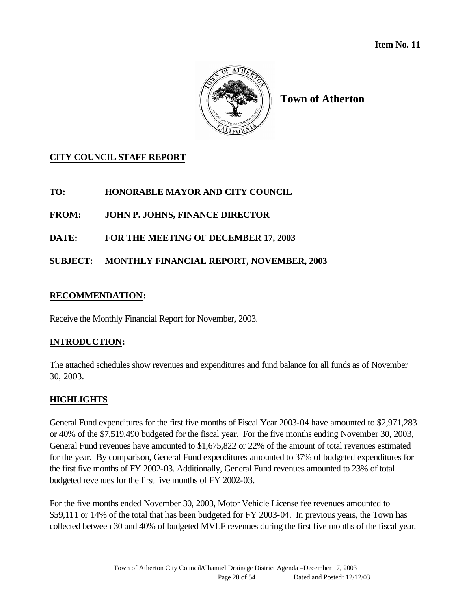

**Town of Atherton**

## **CITY COUNCIL STAFF REPORT**

## **TO: HONORABLE MAYOR AND CITY COUNCIL**

**FROM: JOHN P. JOHNS, FINANCE DIRECTOR**

**DATE: FOR THE MEETING OF DECEMBER 17, 2003**

## **SUBJECT: MONTHLY FINANCIAL REPORT, NOVEMBER, 2003**

### **RECOMMENDATION:**

Receive the Monthly Financial Report for November, 2003.

### **INTRODUCTION:**

The attached schedules show revenues and expenditures and fund balance for all funds as of November 30, 2003.

## **HIGHLIGHTS**

General Fund expenditures for the first five months of Fiscal Year 2003-04 have amounted to \$2,971,283 or 40% of the \$7,519,490 budgeted for the fiscal year. For the five months ending November 30, 2003, General Fund revenues have amounted to \$1,675,822 or 22% of the amount of total revenues estimated for the year. By comparison, General Fund expenditures amounted to 37% of budgeted expenditures for the first five months of FY 2002-03. Additionally, General Fund revenues amounted to 23% of total budgeted revenues for the first five months of FY 2002-03.

For the five months ended November 30, 2003, Motor Vehicle License fee revenues amounted to \$59,111 or 14% of the total that has been budgeted for FY 2003-04. In previous years, the Town has collected between 30 and 40% of budgeted MVLF revenues during the first five months of the fiscal year.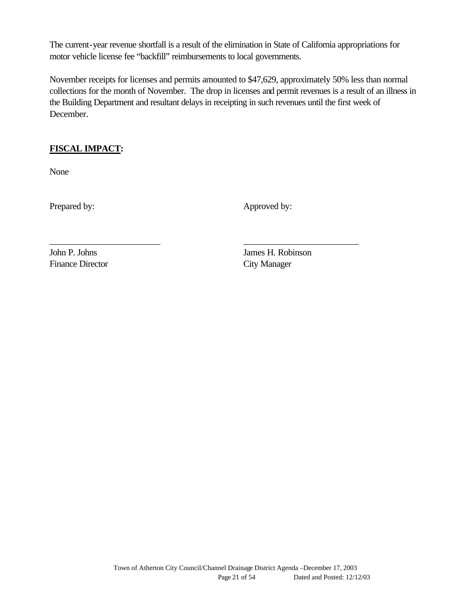The current-year revenue shortfall is a result of the elimination in State of California appropriations for motor vehicle license fee "backfill" reimbursements to local governments.

November receipts for licenses and permits amounted to \$47,629, approximately 50% less than normal collections for the month of November. The drop in licenses and permit revenues is a result of an illness in the Building Department and resultant delays in receipting in such revenues until the first week of December.

\_\_\_\_\_\_\_\_\_\_\_\_\_\_\_\_\_\_\_\_\_\_\_\_ \_\_\_\_\_\_\_\_\_\_\_\_\_\_\_\_\_\_\_\_\_\_\_\_\_

## **FISCAL IMPACT:**

None

Prepared by: Approved by:

Finance Director City Manager

John P. Johns James H. Robinson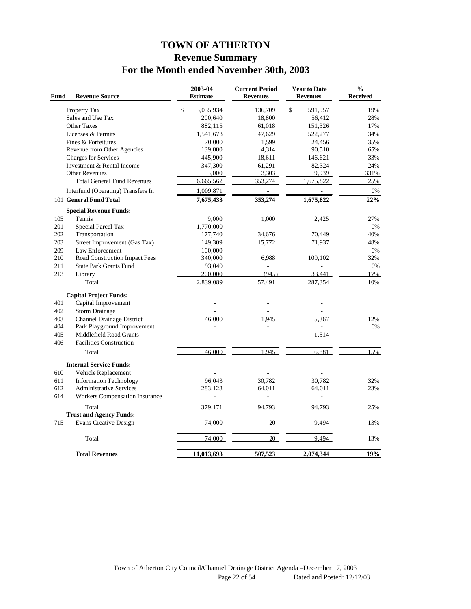# **TOWN OF ATHERTON Revenue Summary For the Month ended November 30th, 2003**

| Fund       | <b>Revenue Source</b>                                        |              | 2003-04<br><b>Estimate</b> | <b>Current Period</b><br><b>Revenues</b> | <b>Year to Date</b><br><b>Revenues</b> | $\frac{0}{0}$<br>Received |
|------------|--------------------------------------------------------------|--------------|----------------------------|------------------------------------------|----------------------------------------|---------------------------|
|            | Property Tax                                                 | $\mathbb{S}$ | 3,035,934                  | 136,709                                  | $\mathbb{S}$<br>591,957                | 19%                       |
|            | Sales and Use Tax                                            |              | 200,640                    | 18,800                                   | 56,412                                 | 28%                       |
|            | <b>Other Taxes</b>                                           |              | 882,115                    | 61,018                                   | 151,326                                | 17%                       |
|            | Licenses & Permits                                           |              | 1,541,673                  | 47,629                                   | 522,277                                | 34%                       |
|            | Fines & Forfeitures                                          |              | 70,000                     | 1,599                                    | 24,456                                 | 35%                       |
|            | Revenue from Other Agencies                                  |              | 139,000                    | 4,314                                    | 90,510                                 | 65%                       |
|            | Charges for Services                                         |              | 445,900                    | 18,611                                   | 146,621                                | 33%                       |
|            | Investment & Rental Income                                   |              | 347,300                    | 61,291                                   | 82,324                                 | 24%                       |
|            | <b>Other Revenues</b><br><b>Total General Fund Revenues</b>  |              | 3,000<br>6,665,562         | 3,303<br>353,274                         | 9,939<br>1,675,822                     | 331%<br>25%               |
|            |                                                              |              |                            |                                          |                                        |                           |
|            | Interfund (Operating) Transfers In<br>101 General Fund Total |              | 1,009,871<br>7,675,433     | $\overline{\phantom{a}}$<br>353,274      | L,<br>1,675,822                        | 0%<br>22%                 |
|            |                                                              |              |                            |                                          |                                        |                           |
|            | <b>Special Revenue Funds:</b>                                |              |                            |                                          |                                        |                           |
| 105<br>201 | Tennis                                                       |              | 9,000                      | 1,000                                    | 2,425                                  | 27%<br>0%                 |
| 202        | Special Parcel Tax<br>Transportation                         |              | 1,770,000<br>177,740       | 34,676                                   | 70,449                                 | 40%                       |
| 203        | Street Improvement (Gas Tax)                                 |              | 149,309                    | 15,772                                   | 71,937                                 | 48%                       |
| 209        | Law Enforcement                                              |              | 100,000                    |                                          |                                        | 0%                        |
| 210        | Road Construction Impact Fees                                |              | 340,000                    | 6,988                                    | 109,102                                | 32%                       |
| 211        | <b>State Park Grants Fund</b>                                |              | 93,040                     | $\bar{\phantom{a}}$                      |                                        | 0%                        |
| 213        | Library                                                      |              | 200,000                    | (945)                                    | 33.441                                 | 17%                       |
|            | Total                                                        |              | 2,839,089                  | 57,491                                   | 287,354                                | 10%                       |
|            | <b>Capital Project Funds:</b>                                |              |                            |                                          |                                        |                           |
| 401        | Capital Improvement                                          |              |                            |                                          |                                        |                           |
| 402        | Storm Drainage                                               |              |                            |                                          |                                        |                           |
| 403        | Channel Drainage District                                    |              | 46,000                     | 1.945                                    | 5,367                                  | 12%                       |
| 404        | Park Playground Improvement                                  |              |                            | L.                                       | ä,                                     | 0%                        |
| 405        | Middlefield Road Grants                                      |              |                            |                                          | 1,514                                  |                           |
| 406        | <b>Facilities Construction</b>                               |              | $\overline{\phantom{a}}$   | $\overline{\phantom{a}}$                 | $\blacksquare$                         |                           |
|            | Total                                                        |              | 46.000                     | 1.945                                    | 6.881                                  | 15%                       |
|            | <b>Internal Service Funds:</b>                               |              |                            |                                          |                                        |                           |
| 610        | Vehicle Replacement                                          |              |                            |                                          |                                        |                           |
| 611        | <b>Information Technology</b>                                |              | 96,043                     | 30,782                                   | 30,782                                 | 32%                       |
| 612        | <b>Administrative Services</b>                               |              | 283,128                    | 64,011                                   | 64,011                                 | 23%                       |
| 614        | Workers Compensation Insurance                               |              |                            | L,                                       |                                        |                           |
|            | Total                                                        |              | 379,171                    | 94,793                                   | 94,793                                 | 25%                       |
|            | <b>Trust and Agency Funds:</b>                               |              |                            |                                          |                                        |                           |
| 715        | <b>Evans Creative Design</b>                                 |              | 74,000                     | 20                                       | 9,494                                  | 13%                       |
|            | Total                                                        |              | 74,000                     | 20                                       | 9,494                                  | 13%                       |
|            | <b>Total Revenues</b>                                        |              | 11,013,693                 | 507,523                                  | 2,074,344                              | 19%                       |
|            |                                                              |              |                            |                                          |                                        |                           |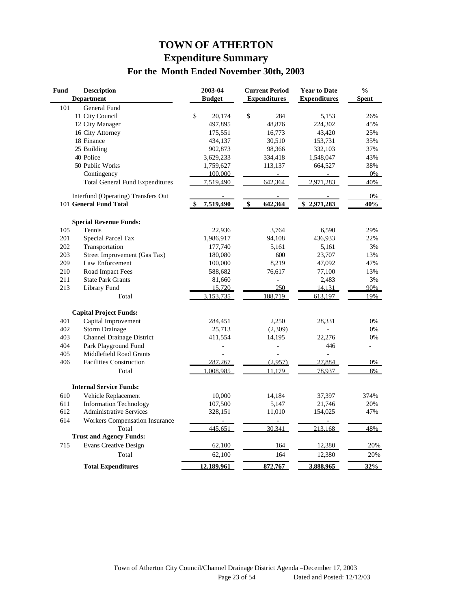# **TOWN OF ATHERTON Expenditure Summary For the Month Ended November 30th, 2003**

| Fund | <b>Description</b><br><b>Department</b> | 2003-04<br><b>Budget</b> | <b>Current Period</b><br><b>Expenditures</b> | <b>Year to Date</b><br><b>Expenditures</b> | $\frac{0}{0}$<br><b>Spent</b> |
|------|-----------------------------------------|--------------------------|----------------------------------------------|--------------------------------------------|-------------------------------|
| 101  | General Fund                            |                          |                                              |                                            |                               |
|      | 11 City Council                         | \$<br>20,174             | \$<br>284                                    | 5,153                                      | 26%                           |
|      | 12 City Manager                         | 497,895                  | 48,876                                       | 224,302                                    | 45%                           |
|      | 16 City Attorney                        | 175,551                  | 16,773                                       | 43,420                                     | 25%                           |
|      | 18 Finance                              | 434,137                  | 30,510                                       | 153,731                                    | 35%                           |
|      | 25 Building                             | 902,873                  | 98,366                                       | 332,103                                    | 37%                           |
|      | 40 Police                               | 3,629,233                | 334,418                                      | 1,548,047                                  | 43%                           |
|      | 50 Public Works                         | 1,759,627                | 113,137                                      | 664,527                                    | 38%                           |
|      | Contingency                             | 100,000                  |                                              |                                            | 0%                            |
|      | <b>Total General Fund Expenditures</b>  | 7,519,490                | 642,364                                      | 2,971,283                                  | 40%                           |
|      | Interfund (Operating) Transfers Out     |                          |                                              |                                            | 0%                            |
|      | 101 General Fund Total                  | 7,519,490                | 642,364<br>$\frac{3}{2}$                     | 2,971,283<br>\$                            | 40%                           |
|      | <b>Special Revenue Funds:</b>           |                          |                                              |                                            |                               |
| 105  | Tennis                                  | 22,936                   | 3,764                                        | 6,590                                      | 29%                           |
| 201  | Special Parcel Tax                      | 1,986,917                | 94,108                                       | 436,933                                    | 22%                           |
| 202  | Transportation                          | 177,740                  | 5,161                                        | 5,161                                      | 3%                            |
| 203  | Street Improvement (Gas Tax)            | 180,080                  | 600                                          | 23,707                                     | 13%                           |
| 209  | Law Enforcement                         | 100,000                  | 8,219                                        | 47,092                                     | 47%                           |
| 210  | Road Impact Fees                        | 588,682                  | 76,617                                       | 77,100                                     | 13%                           |
| 211  | <b>State Park Grants</b>                | 81,660                   | L,                                           | 2,483                                      | 3%                            |
| 213  | Library Fund                            | 15,720                   | 250                                          | 14,131                                     | 90%                           |
|      | Total                                   | 3,153,735                | 188.719                                      | 613,197                                    | 19%                           |
|      | <b>Capital Project Funds:</b>           |                          |                                              |                                            |                               |
| 401  | Capital Improvement                     | 284,451                  | 2,250                                        | 28,331                                     | 0%                            |
| 402  | <b>Storm Drainage</b>                   | 25,713                   | (2,309)                                      |                                            | 0%                            |
| 403  | <b>Channel Drainage District</b>        | 411,554                  | 14,195                                       | 22,276                                     | 0%                            |
| 404  | Park Playground Fund                    |                          |                                              | 446                                        | L.                            |
| 405  | Middlefield Road Grants                 |                          |                                              | $\overline{a}$                             |                               |
| 406  | <b>Facilities Construction</b>          | 287,267                  | (2,957)                                      | 27,884                                     | 0%                            |
|      | Total                                   | .008.985                 | 11.179                                       | 78,937                                     | 8%                            |
|      | <b>Internal Service Funds:</b>          |                          |                                              |                                            |                               |
| 610  | Vehicle Replacement                     | 10,000                   | 14,184                                       | 37,397                                     | 374%                          |
| 611  | <b>Information Technology</b>           | 107,500                  | 5,147                                        | 21,746                                     | 20%                           |
| 612  | <b>Administrative Services</b>          | 328,151                  | 11,010                                       | 154,025                                    | 47%                           |
| 614  | <b>Workers Compensation Insurance</b>   |                          |                                              |                                            |                               |
|      | Total                                   | 445,651                  | 30,341                                       | 213,168                                    | 48%                           |
|      | <b>Trust and Agency Funds:</b>          |                          |                                              |                                            |                               |
| 715  | <b>Evans Creative Design</b>            | 62,100                   | 164                                          | 12,380                                     | 20%                           |
|      | Total                                   | 62,100                   | 164                                          | 12,380                                     | 20%                           |
|      | <b>Total Expenditures</b>               | 12,189,961               | 872,767                                      | 3,888,965                                  | 32%                           |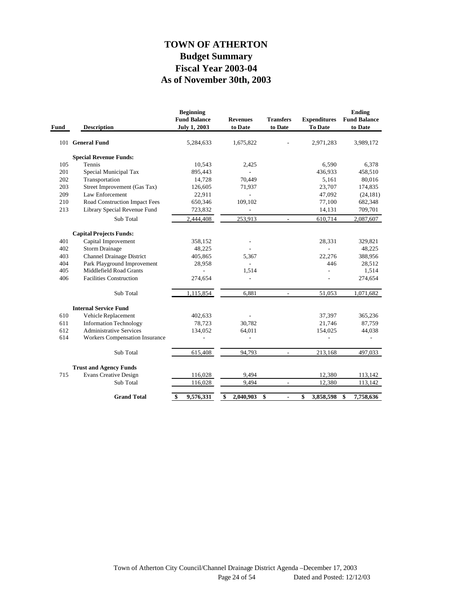## **As of November 30th, 2003 Fiscal Year 2003-04 Budget Summary TOWN OF ATHERTON**

| Fund | <b>Description</b>                    | <b>Beginning</b><br><b>Fund Balance</b><br><b>July 1, 2003</b> | <b>Revenues</b><br>to Date | <b>Transfers</b><br>to Date | <b>Expenditures</b><br>To Date | <b>Ending</b><br><b>Fund Balance</b><br>to Date |
|------|---------------------------------------|----------------------------------------------------------------|----------------------------|-----------------------------|--------------------------------|-------------------------------------------------|
|      | 101 General Fund                      | 5,284,633                                                      | 1,675,822                  |                             | 2,971,283                      | 3,989,172                                       |
|      | <b>Special Revenue Funds:</b>         |                                                                |                            |                             |                                |                                                 |
| 105  | Tennis                                | 10,543                                                         | 2,425                      |                             | 6,590                          | 6,378                                           |
| 201  | Special Municipal Tax                 | 895,443                                                        | $\overline{a}$             |                             | 436,933                        | 458,510                                         |
| 202  | Transportation                        | 14,728                                                         | 70,449                     |                             | 5,161                          | 80,016                                          |
| 203  | Street Improvement (Gas Tax)          | 126,605                                                        | 71,937                     |                             | 23,707                         | 174,835                                         |
| 209  | Law Enforcement                       | 22,911                                                         |                            |                             | 47,092                         | (24, 181)                                       |
| 210  | Road Construction Impact Fees         | 650,346                                                        | 109,102                    |                             | 77,100                         | 682,348                                         |
| 213  | Library Special Revenue Fund          | 723,832                                                        | $\overline{a}$             |                             | 14,131                         | 709,701                                         |
|      | Sub Total                             | 2,444,408                                                      | 253,913                    | $\overline{\phantom{a}}$    | 610,714                        | 2,087,607                                       |
|      | <b>Capital Projects Funds:</b>        |                                                                |                            |                             |                                |                                                 |
| 401  | Capital Improvement                   | 358,152                                                        |                            |                             | 28,331                         | 329,821                                         |
| 402  | <b>Storm Drainage</b>                 | 48,225                                                         |                            |                             |                                | 48,225                                          |
| 403  | <b>Channel Drainage District</b>      | 405,865                                                        | 5,367                      |                             | 22,276                         | 388,956                                         |
| 404  | Park Playground Improvement           | 28,958                                                         |                            |                             | 446                            | 28,512                                          |
| 405  | Middlefield Road Grants               |                                                                | 1,514                      |                             |                                | 1,514                                           |
| 406  | <b>Facilities Construction</b>        | 274,654                                                        |                            |                             |                                | 274,654                                         |
|      | Sub Total                             | 1,115,854                                                      | 6,881                      | $\overline{\phantom{a}}$    | 51,053                         | 1,071,682                                       |
|      | <b>Internal Service Fund</b>          |                                                                |                            |                             |                                |                                                 |
| 610  | Vehicle Replacement                   | 402,633                                                        |                            |                             | 37,397                         | 365,236                                         |
| 611  | <b>Information Technology</b>         | 78,723                                                         | 30,782                     |                             | 21,746                         | 87,759                                          |
| 612  | <b>Administrative Services</b>        | 134,052                                                        | 64,011                     |                             | 154,025                        | 44,038                                          |
| 614  | <b>Workers Compensation Insurance</b> |                                                                |                            |                             |                                |                                                 |
|      | Sub Total                             | 615,408                                                        | 94,793                     | $\overline{\phantom{a}}$    | 213,168                        | 497,033                                         |
|      | <b>Trust and Agency Funds</b>         |                                                                |                            |                             |                                |                                                 |
| 715  | <b>Evans Creative Design</b>          | 116,028                                                        | 9,494                      |                             | 12,380                         | 113,142                                         |
|      | Sub Total                             | 116,028                                                        | 9,494                      |                             | 12,380                         | 113,142                                         |
|      | <b>Grand Total</b>                    | \$<br>9,576,331                                                | \$<br>2,040,903            | \$<br>$\blacksquare$        | \$<br>3,858,598                | 7,758,636<br>\$                                 |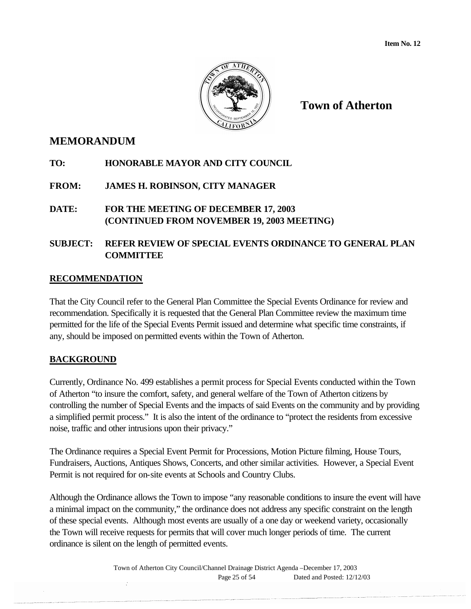

**Town of Atherton**

## **MEMORANDUM**

- **TO: HONORABLE MAYOR AND CITY COUNCIL**
- **FROM: JAMES H. ROBINSON, CITY MANAGER**
- **DATE: FOR THE MEETING OF DECEMBER 17, 2003 (CONTINUED FROM NOVEMBER 19, 2003 MEETING)**

## **SUBJECT: REFER REVIEW OF SPECIAL EVENTS ORDINANCE TO GENERAL PLAN COMMITTEE**

### **RECOMMENDATION**

That the City Council refer to the General Plan Committee the Special Events Ordinance for review and recommendation. Specifically it is requested that the General Plan Committee review the maximum time permitted for the life of the Special Events Permit issued and determine what specific time constraints, if any, should be imposed on permitted events within the Town of Atherton.

## **BACKGROUND**

Currently, Ordinance No. 499 establishes a permit process for Special Events conducted within the Town of Atherton "to insure the comfort, safety, and general welfare of the Town of Atherton citizens by controlling the number of Special Events and the impacts of said Events on the community and by providing a simplified permit process." It is also the intent of the ordinance to "protect the residents from excessive noise, traffic and other intrusions upon their privacy."

The Ordinance requires a Special Event Permit for Processions, Motion Picture filming, House Tours, Fundraisers, Auctions, Antiques Shows, Concerts, and other similar activities. However, a Special Event Permit is not required for on-site events at Schools and Country Clubs.

Although the Ordinance allows the Town to impose "any reasonable conditions to insure the event will have a minimal impact on the community," the ordinance does not address any specific constraint on the length of these special events. Although most events are usually of a one day or weekend variety, occasionally the Town will receive requests for permits that will cover much longer periods of time. The current ordinance is silent on the length of permitted events.

> Town of Atherton City Council/Channel Drainage District Agenda –December 17, 2003 Page 25 of 54 Dated and Posted: 12/12/03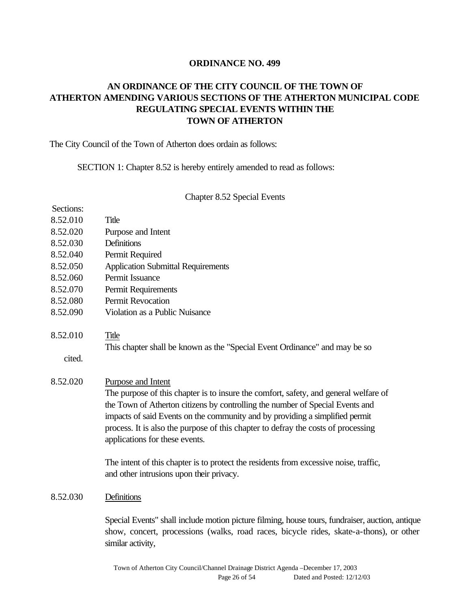#### **ORDINANCE NO. 499**

## **AN ORDINANCE OF THE CITY COUNCIL OF THE TOWN OF ATHERTON AMENDING VARIOUS SECTIONS OF THE ATHERTON MUNICIPAL CODE REGULATING SPECIAL EVENTS WITHIN THE TOWN OF ATHERTON**

The City Council of the Town of Atherton does ordain as follows:

SECTION 1: Chapter 8.52 is hereby entirely amended to read as follows:

Chapter 8.52 Special Events

| Sections: |                                                                                                                                                                                                                                                                                                                                                                                                                                                                                             |
|-----------|---------------------------------------------------------------------------------------------------------------------------------------------------------------------------------------------------------------------------------------------------------------------------------------------------------------------------------------------------------------------------------------------------------------------------------------------------------------------------------------------|
| 8.52.010  | Title                                                                                                                                                                                                                                                                                                                                                                                                                                                                                       |
| 8.52.020  | Purpose and Intent                                                                                                                                                                                                                                                                                                                                                                                                                                                                          |
| 8.52.030  | Definitions                                                                                                                                                                                                                                                                                                                                                                                                                                                                                 |
| 8.52.040  | Permit Required                                                                                                                                                                                                                                                                                                                                                                                                                                                                             |
| 8.52.050  | <b>Application Submittal Requirements</b>                                                                                                                                                                                                                                                                                                                                                                                                                                                   |
| 8.52.060  | Permit Issuance                                                                                                                                                                                                                                                                                                                                                                                                                                                                             |
| 8.52.070  | Permit Requirements                                                                                                                                                                                                                                                                                                                                                                                                                                                                         |
| 8.52.080  | Permit Revocation                                                                                                                                                                                                                                                                                                                                                                                                                                                                           |
| 8.52.090  | Violation as a Public Nuisance                                                                                                                                                                                                                                                                                                                                                                                                                                                              |
| 8.52.010  | Title<br>This chapter shall be known as the "Special Event Ordinance" and may be so                                                                                                                                                                                                                                                                                                                                                                                                         |
| cited.    |                                                                                                                                                                                                                                                                                                                                                                                                                                                                                             |
| 8.52.020  | Purpose and Intent<br>The purpose of this chapter is to insure the comfort, safety, and general welfare of<br>the Town of Atherton citizens by controlling the number of Special Events and<br>impacts of said Events on the community and by providing a simplified permit<br>process. It is also the purpose of this chapter to defray the costs of processing<br>applications for these events.<br>The intent of this chapter is to protect the residents from excessive noise, traffic, |
|           | and other intrusions upon their privacy.                                                                                                                                                                                                                                                                                                                                                                                                                                                    |
| 8.52.030  | Definitions                                                                                                                                                                                                                                                                                                                                                                                                                                                                                 |
|           | Special Events" shall include motion picture filming, house tours, fundraiser, auction, antique<br>show, concert, processions (walks, road races, bicycle rides, skate-a-thons), or other<br>similar activity,                                                                                                                                                                                                                                                                              |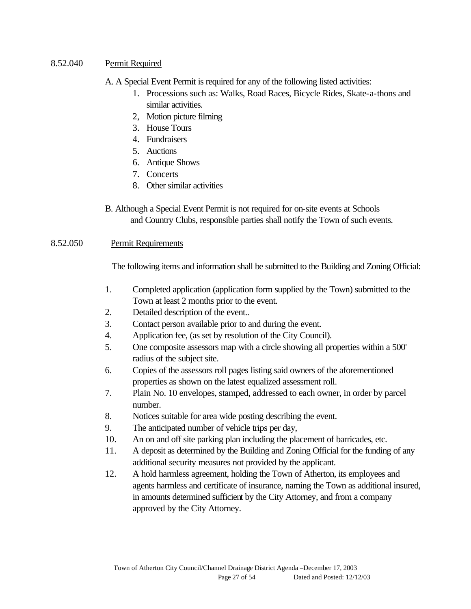8.52.040 Permit Required

A. A Special Event Permit is required for any of the following listed activities:

- 1. Processions such as: Walks, Road Races, Bicycle Rides, Skate-a-thons and similar activities.
- 2, Motion picture filming
- 3. House Tours
- 4. Fundraisers
- 5. Auctions
- 6. Antique Shows
- 7. Concerts
- 8. Other similar activities
- B. Although a Special Event Permit is not required for on-site events at Schools and Country Clubs, responsible parties shall notify the Town of such events.

#### 8.52.050 Permit Requirements

The following items and information shall be submitted to the Building and Zoning Official:

- 1. Completed application (application form supplied by the Town) submitted to the Town at least 2 months prior to the event.
- 2. Detailed description of the event..
- 3. Contact person available prior to and during the event.
- 4. Application fee, (as set by resolution of the City Council).
- 5. One composite assessors map with a circle showing all properties within a 500' radius of the subject site.
- 6. Copies of the assessors roll pages listing said owners of the aforementioned properties as shown on the latest equalized assessment roll.
- 7. Plain No. 10 envelopes, stamped, addressed to each owner, in order by parcel number.
- 8. Notices suitable for area wide posting describing the event.
- 9. The anticipated number of vehicle trips per day,
- 10. An on and off site parking plan including the placement of barricades, etc.
- 11. A deposit as determined by the Building and Zoning Official for the funding of any additional security measures not provided by the applicant.
- 12. A hold harmless agreement, holding the Town of Atherton, its employees and agents harmless and certificate of insurance, naming the Town as additional insured, in amounts determined sufficient by the City Attorney, and from a company approved by the City Attorney.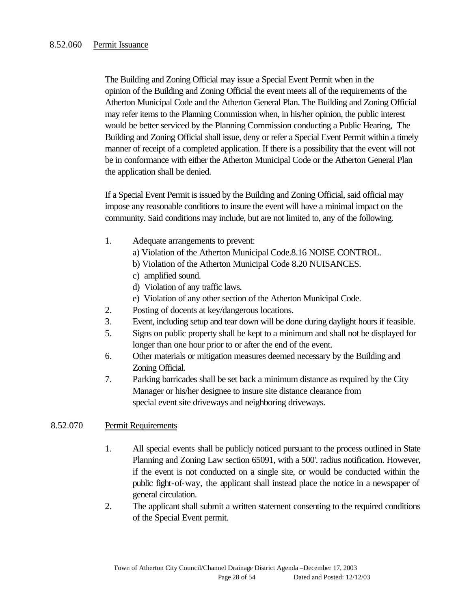The Building and Zoning Official may issue a Special Event Permit when in the opinion of the Building and Zoning Official the event meets all of the requirements of the Atherton Municipal Code and the Atherton General Plan. The Building and Zoning Official may refer items to the Planning Commission when, in his/her opinion, the public interest would be better serviced by the Planning Commission conducting a Public Hearing, The Building and Zoning Official shall issue, deny or refer a Special Event Permit within a timely manner of receipt of a completed application. If there is a possibility that the event will not be in conformance with either the Atherton Municipal Code or the Atherton General Plan the application shall be denied.

If a Special Event Permit is issued by the Building and Zoning Official, said official may impose any reasonable conditions to insure the event will have a minimal impact on the community. Said conditions may include, but are not limited to, any of the following.

- 1. Adequate arrangements to prevent:
	- a) Violation of the Atherton Municipal Code.8.16 NOISE CONTROL.
	- b) Violation of the Atherton Municipal Code 8.20 NUISANCES.
	- c) amplified sound.
	- d) Violation of any traffic laws.
	- e) Violation of any other section of the Atherton Municipal Code.
- 2. Posting of docents at key/dangerous locations.
- 3. Event, including setup and tear down will be done during daylight hours if feasible.
- 5. Signs on public property shall be kept to a minimum and shall not be displayed for longer than one hour prior to or after the end of the event.
- 6. Other materials or mitigation measures deemed necessary by the Building and Zoning Official.
- 7. Parking barricades shall be set back a minimum distance as required by the City Manager or his/her designee to insure site distance clearance from special event site driveways and neighboring driveways.

#### 8.52.070 Permit Requirements

- 1. All special events shall be publicly noticed pursuant to the process outlined in State Planning and Zoning Law section 65091, with a 500'. radius notification. However, if the event is not conducted on a single site, or would be conducted within the public fight-of-way, the applicant shall instead place the notice in a newspaper of general circulation.
- 2. The applicant shall submit a written statement consenting to the required conditions of the Special Event permit.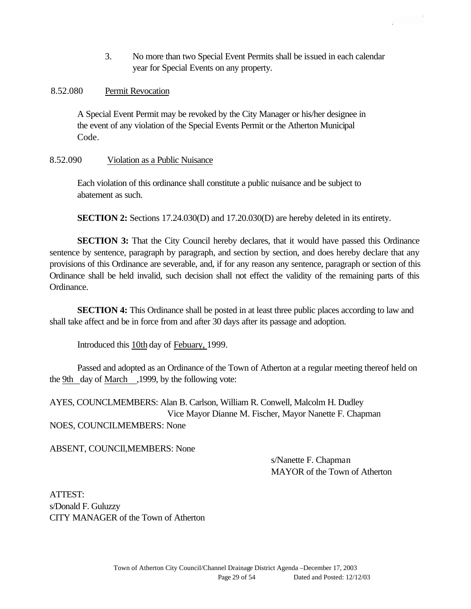3. No more than two Special Event Permits shall be issued in each calendar year for Special Events on any property.

### 8.52.080 Permit Revocation

A Special Event Permit may be revoked by the City Manager or his/her designee in the event of any violation of the Special Events Permit or the Atherton Municipal Code.

### 8.52.090 Violation as a Public Nuisance

Each violation of this ordinance shall constitute a public nuisance and be subject to abatement as such.

**SECTION 2:** Sections 17.24.030(D) and 17.20.030(D) are hereby deleted in its entirety.

**SECTION 3:** That the City Council hereby declares, that it would have passed this Ordinance sentence by sentence, paragraph by paragraph, and section by section, and does hereby declare that any provisions of this Ordinance are severable, and, if for any reason any sentence, paragraph or section of this Ordinance shall be held invalid, such decision shall not effect the validity of the remaining parts of this Ordinance.

**SECTION 4:** This Ordinance shall be posted in at least three public places according to law and shall take affect and be in force from and after 30 days after its passage and adoption.

Introduced this 10th day of Febuary, 1999.

Passed and adopted as an Ordinance of the Town of Atherton at a regular meeting thereof held on the 9th day of March ,1999, by the following vote:

AYES, COUNCLMEMBERS: Alan B. Carlson, William R. Conwell, Malcolm H. Dudley Vice Mayor Dianne M. Fischer, Mayor Nanette F. Chapman NOES, COUNCILMEMBERS: None

ABSENT, COUNCIl,MEMBERS: None

s/Nanette F. Chapman MAYOR of the Town of Atherton

ATTEST: s/Donald F. Guluzzy CITY MANAGER of the Town of Atherton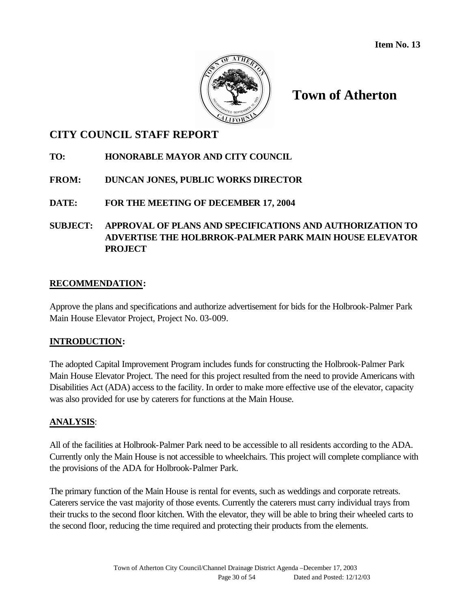

# **Town of Atherton**

## **CITY COUNCIL STAFF REPORT**

## **TO: HONORABLE MAYOR AND CITY COUNCIL**

## **FROM: DUNCAN JONES, PUBLIC WORKS DIRECTOR**

## **DATE: FOR THE MEETING OF DECEMBER 17, 2004**

## **SUBJECT: APPROVAL OF PLANS AND SPECIFICATIONS AND AUTHORIZATION TO ADVERTISE THE HOLBRROK-PALMER PARK MAIN HOUSE ELEVATOR PROJECT**

### **RECOMMENDATION:**

Approve the plans and specifications and authorize advertisement for bids for the Holbrook-Palmer Park Main House Elevator Project, Project No. 03-009.

### **INTRODUCTION:**

The adopted Capital Improvement Program includes funds for constructing the Holbrook-Palmer Park Main House Elevator Project. The need for this project resulted from the need to provide Americans with Disabilities Act (ADA) access to the facility. In order to make more effective use of the elevator, capacity was also provided for use by caterers for functions at the Main House.

### **ANALYSIS**:

All of the facilities at Holbrook-Palmer Park need to be accessible to all residents according to the ADA. Currently only the Main House is not accessible to wheelchairs. This project will complete compliance with the provisions of the ADA for Holbrook-Palmer Park.

The primary function of the Main House is rental for events, such as weddings and corporate retreats. Caterers service the vast majority of those events. Currently the caterers must carry individual trays from their trucks to the second floor kitchen. With the elevator, they will be able to bring their wheeled carts to the second floor, reducing the time required and protecting their products from the elements.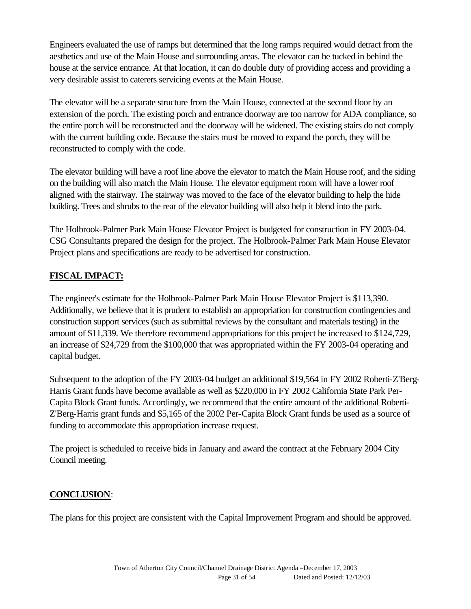Engineers evaluated the use of ramps but determined that the long ramps required would detract from the aesthetics and use of the Main House and surrounding areas. The elevator can be tucked in behind the house at the service entrance. At that location, it can do double duty of providing access and providing a very desirable assist to caterers servicing events at the Main House.

The elevator will be a separate structure from the Main House, connected at the second floor by an extension of the porch. The existing porch and entrance doorway are too narrow for ADA compliance, so the entire porch will be reconstructed and the doorway will be widened. The existing stairs do not comply with the current building code. Because the stairs must be moved to expand the porch, they will be reconstructed to comply with the code.

The elevator building will have a roof line above the elevator to match the Main House roof, and the siding on the building will also match the Main House. The elevator equipment room will have a lower roof aligned with the stairway. The stairway was moved to the face of the elevator building to help the hide building. Trees and shrubs to the rear of the elevator building will also help it blend into the park.

The Holbrook-Palmer Park Main House Elevator Project is budgeted for construction in FY 2003-04. CSG Consultants prepared the design for the project. The Holbrook-Palmer Park Main House Elevator Project plans and specifications are ready to be advertised for construction.

## **FISCAL IMPACT:**

The engineer's estimate for the Holbrook-Palmer Park Main House Elevator Project is \$113,390. Additionally, we believe that it is prudent to establish an appropriation for construction contingencies and construction support services (such as submittal reviews by the consultant and materials testing) in the amount of \$11,339. We therefore recommend appropriations for this project be increased to \$124,729, an increase of \$24,729 from the \$100,000 that was appropriated within the FY 2003-04 operating and capital budget.

Subsequent to the adoption of the FY 2003-04 budget an additional \$19,564 in FY 2002 Roberti-Z'Berg-Harris Grant funds have become available as well as \$220,000 in FY 2002 California State Park Per-Capita Block Grant funds. Accordingly, we recommend that the entire amount of the additional Roberti-Z'Berg-Harris grant funds and \$5,165 of the 2002 Per-Capita Block Grant funds be used as a source of funding to accommodate this appropriation increase request.

The project is scheduled to receive bids in January and award the contract at the February 2004 City Council meeting.

### **CONCLUSION**:

The plans for this project are consistent with the Capital Improvement Program and should be approved.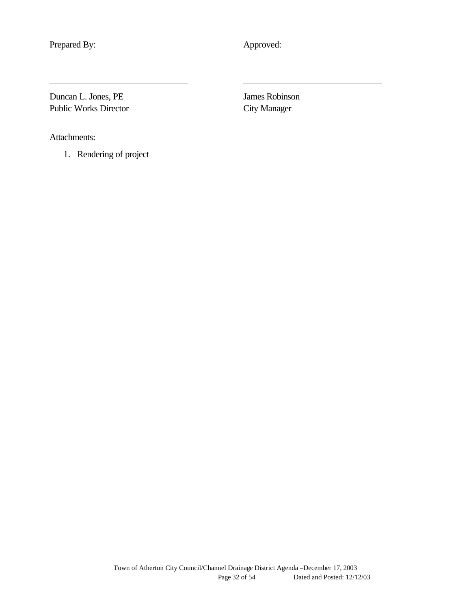Prepared By: Approved:

Duncan L. Jones, PE James Robinson Public Works Director City Manager

Attachments:

1. Rendering of project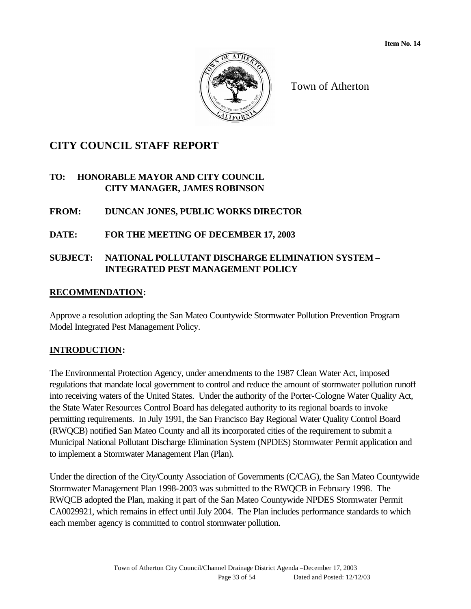

Town of Atherton

# **CITY COUNCIL STAFF REPORT**

## **TO: HONORABLE MAYOR AND CITY COUNCIL CITY MANAGER, JAMES ROBINSON**

## **FROM: DUNCAN JONES, PUBLIC WORKS DIRECTOR**

## **DATE: FOR THE MEETING OF DECEMBER 17, 2003**

## **SUBJECT: NATIONAL POLLUTANT DISCHARGE ELIMINATION SYSTEM – INTEGRATED PEST MANAGEMENT POLICY**

## **RECOMMENDATION:**

Approve a resolution adopting the San Mateo Countywide Stormwater Pollution Prevention Program Model Integrated Pest Management Policy.

## **INTRODUCTION:**

The Environmental Protection Agency, under amendments to the 1987 Clean Water Act, imposed regulations that mandate local government to control and reduce the amount of stormwater pollution runoff into receiving waters of the United States. Under the authority of the Porter-Cologne Water Quality Act, the State Water Resources Control Board has delegated authority to its regional boards to invoke permitting requirements. In July 1991, the San Francisco Bay Regional Water Quality Control Board (RWQCB) notified San Mateo County and all its incorporated cities of the requirement to submit a Municipal National Pollutant Discharge Elimination System (NPDES) Stormwater Permit application and to implement a Stormwater Management Plan (Plan).

Under the direction of the City/County Association of Governments (C/CAG), the San Mateo Countywide Stormwater Management Plan 1998-2003 was submitted to the RWQCB in February 1998. The RWQCB adopted the Plan, making it part of the San Mateo Countywide NPDES Stormwater Permit CA0029921, which remains in effect until July 2004. The Plan includes performance standards to which each member agency is committed to control stormwater pollution.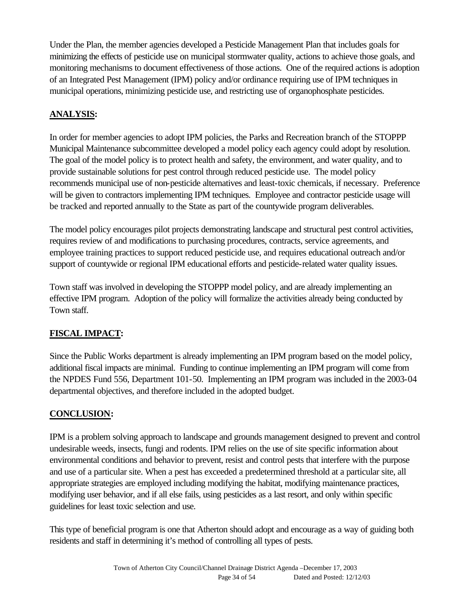Under the Plan, the member agencies developed a Pesticide Management Plan that includes goals for minimizing the effects of pesticide use on municipal stormwater quality, actions to achieve those goals, and monitoring mechanisms to document effectiveness of those actions. One of the required actions is adoption of an Integrated Pest Management (IPM) policy and/or ordinance requiring use of IPM techniques in municipal operations, minimizing pesticide use, and restricting use of organophosphate pesticides.

## **ANALYSIS:**

In order for member agencies to adopt IPM policies, the Parks and Recreation branch of the STOPPP Municipal Maintenance subcommittee developed a model policy each agency could adopt by resolution. The goal of the model policy is to protect health and safety, the environment, and water quality, and to provide sustainable solutions for pest control through reduced pesticide use. The model policy recommends municipal use of non-pesticide alternatives and least-toxic chemicals, if necessary. Preference will be given to contractors implementing IPM techniques. Employee and contractor pesticide usage will be tracked and reported annually to the State as part of the countywide program deliverables.

The model policy encourages pilot projects demonstrating landscape and structural pest control activities, requires review of and modifications to purchasing procedures, contracts, service agreements, and employee training practices to support reduced pesticide use, and requires educational outreach and/or support of countywide or regional IPM educational efforts and pesticide-related water quality issues.

Town staff was involved in developing the STOPPP model policy, and are already implementing an effective IPM program. Adoption of the policy will formalize the activities already being conducted by Town staff.

# **FISCAL IMPACT:**

Since the Public Works department is already implementing an IPM program based on the model policy, additional fiscal impacts are minimal. Funding to continue implementing an IPM program will come from the NPDES Fund 556, Department 101-50. Implementing an IPM program was included in the 2003-04 departmental objectives, and therefore included in the adopted budget.

## **CONCLUSION:**

IPM is a problem solving approach to landscape and grounds management designed to prevent and control undesirable weeds, insects, fungi and rodents. IPM relies on the use of site specific information about environmental conditions and behavior to prevent, resist and control pests that interfere with the purpose and use of a particular site. When a pest has exceeded a predetermined threshold at a particular site, all appropriate strategies are employed including modifying the habitat, modifying maintenance practices, modifying user behavior, and if all else fails, using pesticides as a last resort, and only within specific guidelines for least toxic selection and use.

This type of beneficial program is one that Atherton should adopt and encourage as a way of guiding both residents and staff in determining it's method of controlling all types of pests.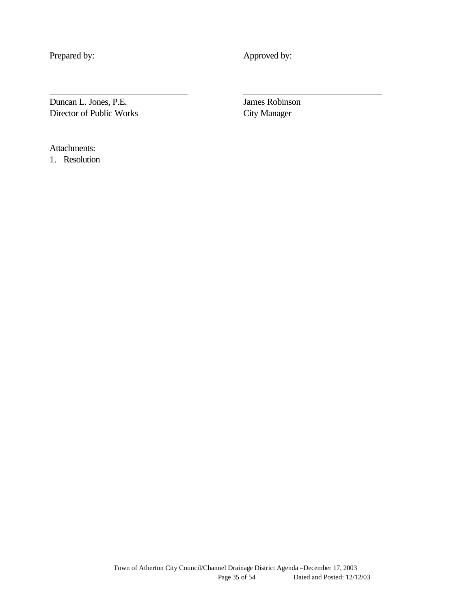Prepared by: Approved by:

Duncan L. Jones, P.E. James Robinson Director of Public Works City Manager

Attachments:

1. Resolution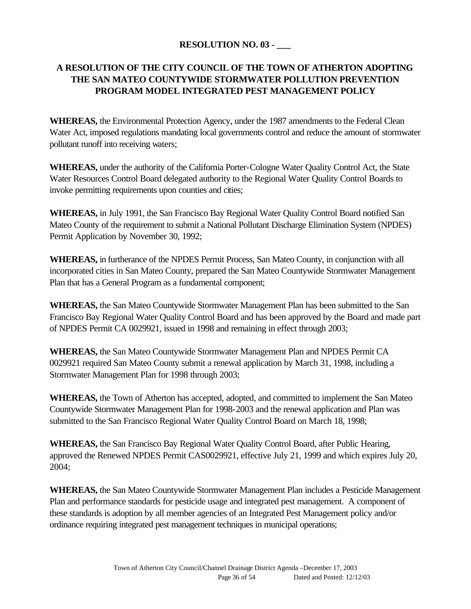## **RESOLUTION NO. 03 - \_\_\_**

## **A RESOLUTION OF THE CITY COUNCIL OF THE TOWN OF ATHERTON ADOPTING THE SAN MATEO COUNTYWIDE STORMWATER POLLUTION PREVENTION PROGRAM MODEL INTEGRATED PEST MANAGEMENT POLICY**

**WHEREAS,** the Environmental Protection Agency, under the 1987 amendments to the Federal Clean Water Act, imposed regulations mandating local governments control and reduce the amount of stormwater pollutant runoff into receiving waters;

**WHEREAS,** under the authority of the California Porter-Cologne Water Quality Control Act, the State Water Resources Control Board delegated authority to the Regional Water Quality Control Boards to invoke permitting requirements upon counties and cities;

**WHEREAS,** in July 1991, the San Francisco Bay Regional Water Quality Control Board notified San Mateo County of the requirement to submit a National Pollutant Discharge Elimination System (NPDES) Permit Application by November 30, 1992;

**WHEREAS,** in furtherance of the NPDES Permit Process, San Mateo County, in conjunction with all incorporated cities in San Mateo County, prepared the San Mateo Countywide Stormwater Management Plan that has a General Program as a fundamental component;

**WHEREAS,** the San Mateo Countywide Stormwater Management Plan has been submitted to the San Francisco Bay Regional Water Quality Control Board and has been approved by the Board and made part of NPDES Permit CA 0029921, issued in 1998 and remaining in effect through 2003;

**WHEREAS,** the San Mateo Countywide Stormwater Management Plan and NPDES Permit CA 0029921 required San Mateo County submit a renewal application by March 31, 1998, including a Stormwater Management Plan for 1998 through 2003;

**WHEREAS,** the Town of Atherton has accepted, adopted, and committed to implement the San Mateo Countywide Stormwater Management Plan for 1998-2003 and the renewal application and Plan was submitted to the San Francisco Regional Water Quality Control Board on March 18, 1998;

**WHEREAS,** the San Francisco Bay Regional Water Quality Control Board, after Public Hearing, approved the Renewed NPDES Permit CAS0029921, effective July 21, 1999 and which expires July 20, 2004;

**WHEREAS,** the San Mateo Countywide Stormwater Management Plan includes a Pesticide Management Plan and performance standards for pesticide usage and integrated pest management. A component of these standards is adoption by all member agencies of an Integrated Pest Management policy and/or ordinance requiring integrated pest management techniques in municipal operations;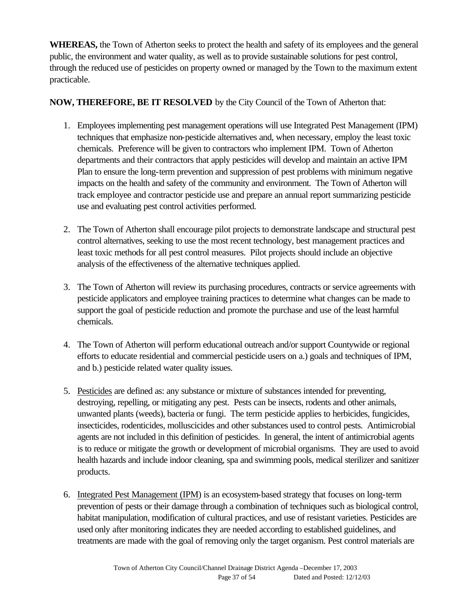**WHEREAS,** the Town of Atherton seeks to protect the health and safety of its employees and the general public, the environment and water quality, as well as to provide sustainable solutions for pest control, through the reduced use of pesticides on property owned or managed by the Town to the maximum extent practicable.

## **NOW, THEREFORE, BE IT RESOLVED** by the City Council of the Town of Atherton that:

- 1. Employees implementing pest management operations will use Integrated Pest Management (IPM) techniques that emphasize non-pesticide alternatives and, when necessary, employ the least toxic chemicals. Preference will be given to contractors who implement IPM. Town of Atherton departments and their contractors that apply pesticides will develop and maintain an active IPM Plan to ensure the long-term prevention and suppression of pest problems with minimum negative impacts on the health and safety of the community and environment. The Town of Atherton will track employee and contractor pesticide use and prepare an annual report summarizing pesticide use and evaluating pest control activities performed.
- 2. The Town of Atherton shall encourage pilot projects to demonstrate landscape and structural pest control alternatives, seeking to use the most recent technology, best management practices and least toxic methods for all pest control measures. Pilot projects should include an objective analysis of the effectiveness of the alternative techniques applied.
- 3. The Town of Atherton will review its purchasing procedures, contracts or service agreements with pesticide applicators and employee training practices to determine what changes can be made to support the goal of pesticide reduction and promote the purchase and use of the least harmful chemicals.
- 4. The Town of Atherton will perform educational outreach and/or support Countywide or regional efforts to educate residential and commercial pesticide users on a.) goals and techniques of IPM, and b.) pesticide related water quality issues.
- 5. Pesticides are defined as: any substance or mixture of substances intended for preventing, destroying, repelling, or mitigating any pest. Pests can be insects, rodents and other animals, unwanted plants (weeds), bacteria or fungi. The term pesticide applies to herbicides, fungicides, insecticides, rodenticides, molluscicides and other substances used to control pests. Antimicrobial agents are not included in this definition of pesticides. In general, the intent of antimicrobial agents is to reduce or mitigate the growth or development of microbial organisms. They are used to avoid health hazards and include indoor cleaning, spa and swimming pools, medical sterilizer and sanitizer products.
- 6. Integrated Pest Management (IPM) is an ecosystem-based strategy that focuses on long-term prevention of pests or their damage through a combination of techniques such as biological control, habitat manipulation, modification of cultural practices, and use of resistant varieties. Pesticides are used only after monitoring indicates they are needed according to established guidelines, and treatments are made with the goal of removing only the target organism. Pest control materials are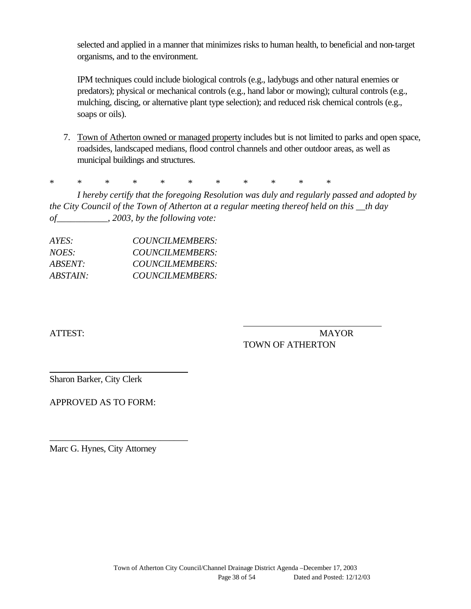selected and applied in a manner that minimizes risks to human health, to beneficial and non-target organisms, and to the environment.

IPM techniques could include biological controls (e.g., ladybugs and other natural enemies or predators); physical or mechanical controls (e.g., hand labor or mowing); cultural controls (e.g., mulching, discing, or alternative plant type selection); and reduced risk chemical controls (e.g., soaps or oils).

7. Town of Atherton owned or managed property includes but is not limited to parks and open space, roadsides, landscaped medians, flood control channels and other outdoor areas, as well as municipal buildings and structures.

\* \* \* \* \* \* \* \* \* \* \*

*I hereby certify that the foregoing Resolution was duly and regularly passed and adopted by the City Council of the Town of Atherton at a regular meeting thereof held on this \_\_th day of\_\_\_\_\_\_\_\_\_\_\_, 2003, by the following vote:*

| COUNCILMEMBERS: |
|-----------------|
| COUNCILMEMBERS: |
| COUNCILMEMBERS: |
| COUNCILMEMBERS: |
|                 |

ATTEST: MAYOR TOWN OF ATHERTON

Sharon Barker, City Clerk

APPROVED AS TO FORM:

Marc G. Hynes, City Attorney

\_\_\_\_\_\_\_\_\_\_\_\_\_\_\_\_\_\_\_\_\_\_\_\_\_\_\_\_\_\_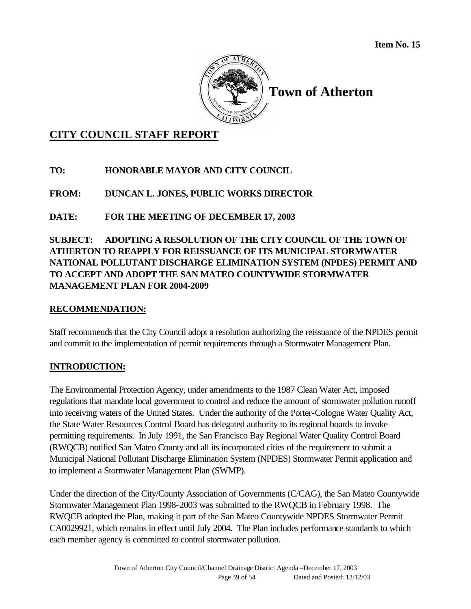

**Town of Atherton**

# **CITY COUNCIL STAFF REPORT**

# **TO: HONORABLE MAYOR AND CITY COUNCIL**

# **FROM: DUNCAN L. JONES, PUBLIC WORKS DIRECTOR**

# **DATE: FOR THE MEETING OF DECEMBER 17, 2003**

# **SUBJECT: ADOPTING A RESOLUTION OF THE CITY COUNCIL OF THE TOWN OF ATHERTON TO REAPPLY FOR REISSUANCE OF ITS MUNICIPAL STORMWATER NATIONAL POLLUTANT DISCHARGE ELIMINATION SYSTEM (NPDES) PERMIT AND TO ACCEPT AND ADOPT THE SAN MATEO COUNTYWIDE STORMWATER MANAGEMENT PLAN FOR 2004-2009**

# **RECOMMENDATION:**

Staff recommends that the City Council adopt a resolution authorizing the reissuance of the NPDES permit and commit to the implementation of permit requirements through a Stormwater Management Plan.

# **INTRODUCTION:**

The Environmental Protection Agency, under amendments to the 1987 Clean Water Act, imposed regulations that mandate local government to control and reduce the amount of stormwater pollution runoff into receiving waters of the United States. Under the authority of the Porter-Cologne Water Quality Act, the State Water Resources Control Board has delegated authority to its regional boards to invoke permitting requirements. In July 1991, the San Francisco Bay Regional Water Quality Control Board (RWQCB) notified San Mateo County and all its incorporated cities of the requirement to submit a Municipal National Pollutant Discharge Elimination System (NPDES) Stormwater Permit application and to implement a Stormwater Management Plan (SWMP).

Under the direction of the City/County Association of Governments (C/CAG), the San Mateo Countywide Stormwater Management Plan 1998-2003 was submitted to the RWQCB in February 1998. The RWQCB adopted the Plan, making it part of the San Mateo Countywide NPDES Stormwater Permit CA0029921, which remains in effect until July 2004. The Plan includes performance standards to which each member agency is committed to control stormwater pollution.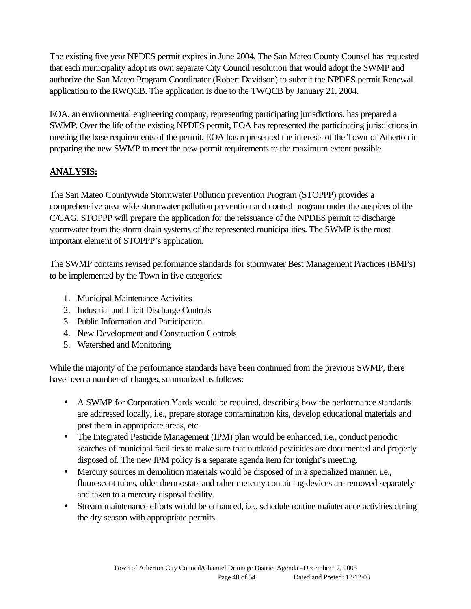The existing five year NPDES permit expires in June 2004. The San Mateo County Counsel has requested that each municipality adopt its own separate City Council resolution that would adopt the SWMP and authorize the San Mateo Program Coordinator (Robert Davidson) to submit the NPDES permit Renewal application to the RWQCB. The application is due to the TWQCB by January 21, 2004.

EOA, an environmental engineering company, representing participating jurisdictions, has prepared a SWMP. Over the life of the existing NPDES permit, EOA has represented the participating jurisdictions in meeting the base requirements of the permit. EOA has represented the interests of the Town of Atherton in preparing the new SWMP to meet the new permit requirements to the maximum extent possible.

# **ANALYSIS:**

The San Mateo Countywide Stormwater Pollution prevention Program (STOPPP) provides a comprehensive area-wide stormwater pollution prevention and control program under the auspices of the C/CAG. STOPPP will prepare the application for the reissuance of the NPDES permit to discharge stormwater from the storm drain systems of the represented municipalities. The SWMP is the most important element of STOPPP's application.

The SWMP contains revised performance standards for stormwater Best Management Practices (BMPs) to be implemented by the Town in five categories:

- 1. Municipal Maintenance Activities
- 2. Industrial and Illicit Discharge Controls
- 3. Public Information and Participation
- 4. New Development and Construction Controls
- 5. Watershed and Monitoring

While the majority of the performance standards have been continued from the previous SWMP, there have been a number of changes, summarized as follows:

- A SWMP for Corporation Yards would be required, describing how the performance standards are addressed locally, i.e., prepare storage contamination kits, develop educational materials and post them in appropriate areas, etc.
- The Integrated Pesticide Management (IPM) plan would be enhanced, i.e., conduct periodic searches of municipal facilities to make sure that outdated pesticides are documented and properly disposed of. The new IPM policy is a separate agenda item for tonight's meeting.
- Mercury sources in demolition materials would be disposed of in a specialized manner, i.e., fluorescent tubes, older thermostats and other mercury containing devices are removed separately and taken to a mercury disposal facility.
- Stream maintenance efforts would be enhanced, i.e., schedule routine maintenance activities during the dry season with appropriate permits.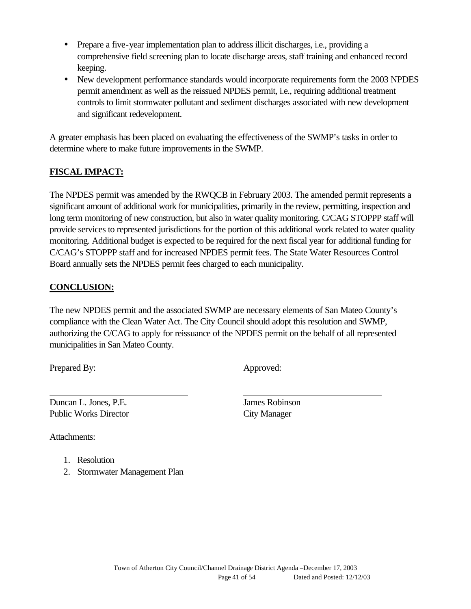- Prepare a five-year implementation plan to address illicit discharges, i.e., providing a comprehensive field screening plan to locate discharge areas, staff training and enhanced record keeping.
- New development performance standards would incorporate requirements form the 2003 NPDES permit amendment as well as the reissued NPDES permit, i.e., requiring additional treatment controls to limit stormwater pollutant and sediment discharges associated with new development and significant redevelopment.

A greater emphasis has been placed on evaluating the effectiveness of the SWMP's tasks in order to determine where to make future improvements in the SWMP.

# **FISCAL IMPACT:**

The NPDES permit was amended by the RWQCB in February 2003. The amended permit represents a significant amount of additional work for municipalities, primarily in the review, permitting, inspection and long term monitoring of new construction, but also in water quality monitoring. C/CAG STOPPP staff will provide services to represented jurisdictions for the portion of this additional work related to water quality monitoring. Additional budget is expected to be required for the next fiscal year for additional funding for C/CAG's STOPPP staff and for increased NPDES permit fees. The State Water Resources Control Board annually sets the NPDES permit fees charged to each municipality.

# **CONCLUSION:**

The new NPDES permit and the associated SWMP are necessary elements of San Mateo County's compliance with the Clean Water Act. The City Council should adopt this resolution and SWMP, authorizing the C/CAG to apply for reissuance of the NPDES permit on the behalf of all represented municipalities in San Mateo County.

Prepared By: Approved:

Duncan L. Jones, P.E. James Robinson Public Works Director City Manager

Attachments:

- 1. Resolution
- 2. Stormwater Management Plan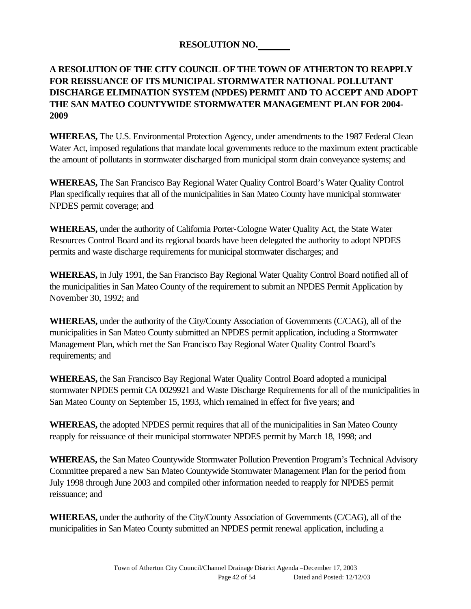# **RESOLUTION NO.**

# **A RESOLUTION OF THE CITY COUNCIL OF THE TOWN OF ATHERTON TO REAPPLY FOR REISSUANCE OF ITS MUNICIPAL STORMWATER NATIONAL POLLUTANT DISCHARGE ELIMINATION SYSTEM (NPDES) PERMIT AND TO ACCEPT AND ADOPT THE SAN MATEO COUNTYWIDE STORMWATER MANAGEMENT PLAN FOR 2004- 2009**

**WHEREAS,** The U.S. Environmental Protection Agency, under amendments to the 1987 Federal Clean Water Act, imposed regulations that mandate local governments reduce to the maximum extent practicable the amount of pollutants in stormwater discharged from municipal storm drain conveyance systems; and

**WHEREAS,** The San Francisco Bay Regional Water Quality Control Board's Water Quality Control Plan specifically requires that all of the municipalities in San Mateo County have municipal stormwater NPDES permit coverage; and

**WHEREAS,** under the authority of California Porter-Cologne Water Quality Act, the State Water Resources Control Board and its regional boards have been delegated the authority to adopt NPDES permits and waste discharge requirements for municipal stormwater discharges; and

**WHEREAS,** in July 1991, the San Francisco Bay Regional Water Quality Control Board notified all of the municipalities in San Mateo County of the requirement to submit an NPDES Permit Application by November 30, 1992; and

**WHEREAS,** under the authority of the City/County Association of Governments (C/CAG), all of the municipalities in San Mateo County submitted an NPDES permit application, including a Stormwater Management Plan, which met the San Francisco Bay Regional Water Quality Control Board's requirements; and

**WHEREAS,** the San Francisco Bay Regional Water Quality Control Board adopted a municipal stormwater NPDES permit CA 0029921 and Waste Discharge Requirements for all of the municipalities in San Mateo County on September 15, 1993, which remained in effect for five years; and

**WHEREAS,** the adopted NPDES permit requires that all of the municipalities in San Mateo County reapply for reissuance of their municipal stormwater NPDES permit by March 18, 1998; and

**WHEREAS,** the San Mateo Countywide Stormwater Pollution Prevention Program's Technical Advisory Committee prepared a new San Mateo Countywide Stormwater Management Plan for the period from July 1998 through June 2003 and compiled other information needed to reapply for NPDES permit reissuance; and

**WHEREAS,** under the authority of the City/County Association of Governments (C/CAG), all of the municipalities in San Mateo County submitted an NPDES permit renewal application, including a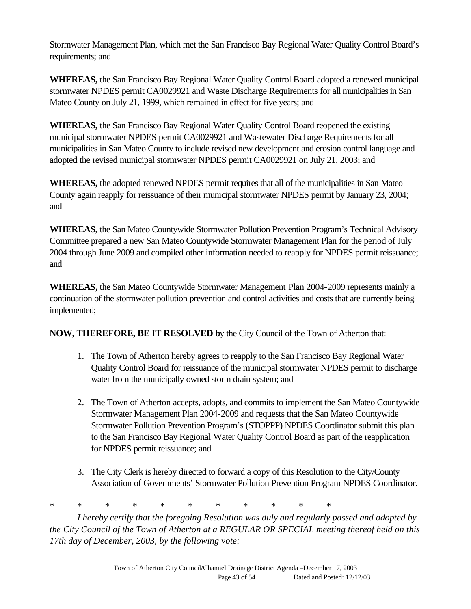Stormwater Management Plan, which met the San Francisco Bay Regional Water Quality Control Board's requirements; and

**WHEREAS,** the San Francisco Bay Regional Water Quality Control Board adopted a renewed municipal stormwater NPDES permit CA0029921 and Waste Discharge Requirements for all municipalities in San Mateo County on July 21, 1999, which remained in effect for five years; and

**WHEREAS,** the San Francisco Bay Regional Water Quality Control Board reopened the existing municipal stormwater NPDES permit CA0029921 and Wastewater Discharge Requirements for all municipalities in San Mateo County to include revised new development and erosion control language and adopted the revised municipal stormwater NPDES permit CA0029921 on July 21, 2003; and

**WHEREAS,** the adopted renewed NPDES permit requires that all of the municipalities in San Mateo County again reapply for reissuance of their municipal stormwater NPDES permit by January 23, 2004; and

**WHEREAS,** the San Mateo Countywide Stormwater Pollution Prevention Program's Technical Advisory Committee prepared a new San Mateo Countywide Stormwater Management Plan for the period of July 2004 through June 2009 and compiled other information needed to reapply for NPDES permit reissuance; and

**WHEREAS,** the San Mateo Countywide Stormwater Management Plan 2004-2009 represents mainly a continuation of the stormwater pollution prevention and control activities and costs that are currently being implemented;

**NOW, THEREFORE, BE IT RESOLVED b**y the City Council of the Town of Atherton that:

- 1. The Town of Atherton hereby agrees to reapply to the San Francisco Bay Regional Water Quality Control Board for reissuance of the municipal stormwater NPDES permit to discharge water from the municipally owned storm drain system; and
- 2. The Town of Atherton accepts, adopts, and commits to implement the San Mateo Countywide Stormwater Management Plan 2004-2009 and requests that the San Mateo Countywide Stormwater Pollution Prevention Program's (STOPPP) NPDES Coordinator submit this plan to the San Francisco Bay Regional Water Quality Control Board as part of the reapplication for NPDES permit reissuance; and
- 3. The City Clerk is hereby directed to forward a copy of this Resolution to the City/County Association of Governments' Stormwater Pollution Prevention Program NPDES Coordinator.

\* \* \* \* \* \* \* \* \* \* \*

*I hereby certify that the foregoing Resolution was duly and regularly passed and adopted by the City Council of the Town of Atherton at a REGULAR OR SPECIAL meeting thereof held on this 17th day of December, 2003, by the following vote:*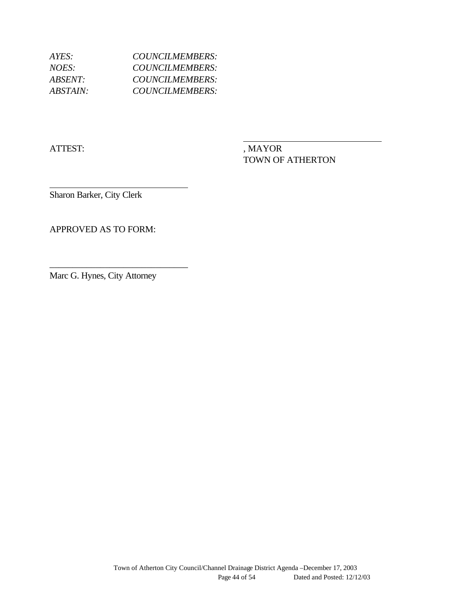| COUNCILMEMBERS:        |
|------------------------|
| COUNCILMEMBERS:        |
| COUNCILMEMBERS:        |
| <b>COUNCILMEMBERS:</b> |
|                        |

ATTEST: , MAYOR

TOWN OF ATHERTON

Sharon Barker, City Clerk

APPROVED AS TO FORM:

Marc G. Hynes, City Attorney

\_\_\_\_\_\_\_\_\_\_\_\_\_\_\_\_\_\_\_\_\_\_\_\_\_\_\_\_\_\_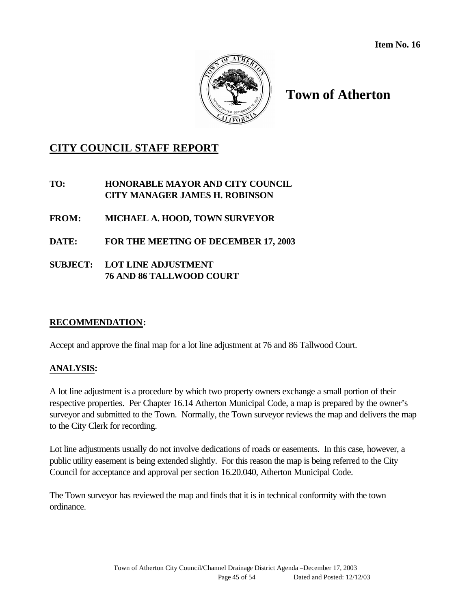

# **Town of Atherton**

# **CITY COUNCIL STAFF REPORT**

**TO: HONORABLE MAYOR AND CITY COUNCIL CITY MANAGER JAMES H. ROBINSON**

**FROM: MICHAEL A. HOOD, TOWN SURVEYOR**

**DATE: FOR THE MEETING OF DECEMBER 17, 2003**

**SUBJECT: LOT LINE ADJUSTMENT 76 AND 86 TALLWOOD COURT**

### **RECOMMENDATION:**

Accept and approve the final map for a lot line adjustment at 76 and 86 Tallwood Court.

### **ANALYSIS:**

A lot line adjustment is a procedure by which two property owners exchange a small portion of their respective properties. Per Chapter 16.14 Atherton Municipal Code, a map is prepared by the owner's surveyor and submitted to the Town. Normally, the Town surveyor reviews the map and delivers the map to the City Clerk for recording.

Lot line adjustments usually do not involve dedications of roads or easements. In this case, however, a public utility easement is being extended slightly. For this reason the map is being referred to the City Council for acceptance and approval per section 16.20.040, Atherton Municipal Code.

The Town surveyor has reviewed the map and finds that it is in technical conformity with the town ordinance.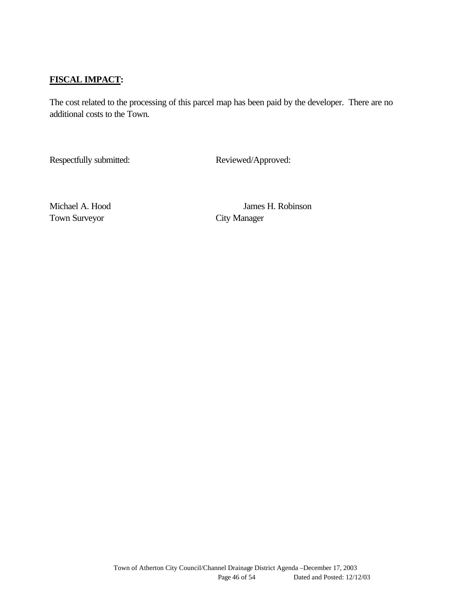## **FISCAL IMPACT:**

The cost related to the processing of this parcel map has been paid by the developer. There are no additional costs to the Town.

Respectfully submitted: Reviewed/Approved:

Town Surveyor City Manager

Michael A. Hood James H. Robinson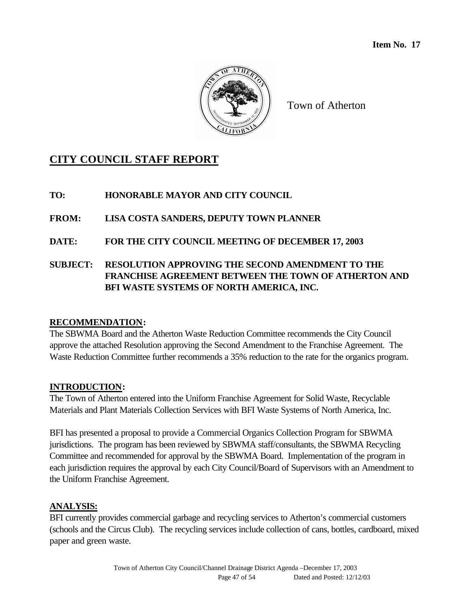

Town of Atherton

# **CITY COUNCIL STAFF REPORT**

# **TO: HONORABLE MAYOR AND CITY COUNCIL**

**FROM: LISA COSTA SANDERS, DEPUTY TOWN PLANNER**

**DATE: FOR THE CITY COUNCIL MEETING OF DECEMBER 17, 2003**

# **SUBJECT: RESOLUTION APPROVING THE SECOND AMENDMENT TO THE FRANCHISE AGREEMENT BETWEEN THE TOWN OF ATHERTON AND BFI WASTE SYSTEMS OF NORTH AMERICA, INC.**

# **RECOMMENDATION:**

The SBWMA Board and the Atherton Waste Reduction Committee recommends the City Council approve the attached Resolution approving the Second Amendment to the Franchise Agreement. The Waste Reduction Committee further recommends a 35% reduction to the rate for the organics program.

# **INTRODUCTION:**

The Town of Atherton entered into the Uniform Franchise Agreement for Solid Waste, Recyclable Materials and Plant Materials Collection Services with BFI Waste Systems of North America, Inc.

BFI has presented a proposal to provide a Commercial Organics Collection Program for SBWMA jurisdictions. The program has been reviewed by SBWMA staff/consultants, the SBWMA Recycling Committee and recommended for approval by the SBWMA Board. Implementation of the program in each jurisdiction requires the approval by each City Council/Board of Supervisors with an Amendment to the Uniform Franchise Agreement.

# **ANALYSIS:**

BFI currently provides commercial garbage and recycling services to Atherton's commercial customers (schools and the Circus Club). The recycling services include collection of cans, bottles, cardboard, mixed paper and green waste.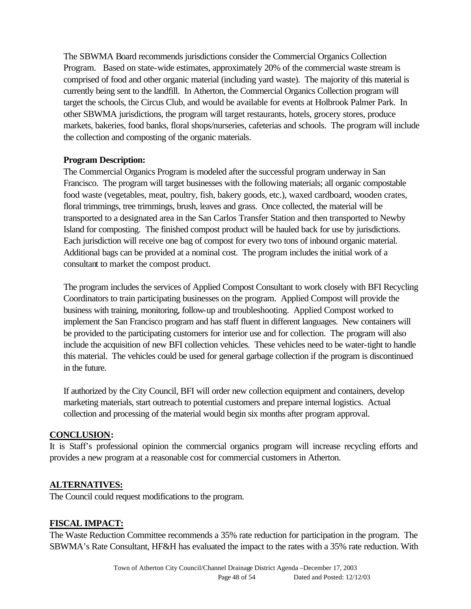The SBWMA Board recommends jurisdictions consider the Commercial Organics Collection Program. Based on state-wide estimates, approximately 20% of the commercial waste stream is comprised of food and other organic material (including yard waste). The majority of this material is currently being sent to the landfill. In Atherton, the Commercial Organics Collection program will target the schools, the Circus Club, and would be available for events at Holbrook Palmer Park. In other SBWMA jurisdictions, the program will target restaurants, hotels, grocery stores, produce markets, bakeries, food banks, floral shops/nurseries, cafeterias and schools. The program will include the collection and composting of the organic materials.

### **Program Description:**

The Commercial Organics Program is modeled after the successful program underway in San Francisco. The program will target businesses with the following materials; all organic compostable food waste (vegetables, meat, poultry, fish, bakery goods, etc.), waxed cardboard, wooden crates, floral trimmings, tree trimmings, brush, leaves and grass. Once collected, the material will be transported to a designated area in the San Carlos Transfer Station and then transported to Newby Island for composting. The finished compost product will be hauled back for use by jurisdictions. Each jurisdiction will receive one bag of compost for every two tons of inbound organic material. Additional bags can be provided at a nominal cost. The program includes the initial work of a consultant to market the compost product.

The program includes the services of Applied Compost Consultant to work closely with BFI Recycling Coordinators to train participating businesses on the program. Applied Compost will provide the business with training, monitoring, follow-up and troubleshooting. Applied Compost worked to implement the San Francisco program and has staff fluent in different languages. New containers will be provided to the participating customers for interior use and for collection. The program will also include the acquisition of new BFI collection vehicles. These vehicles need to be water-tight to handle this material. The vehicles could be used for general garbage collection if the program is discontinued in the future.

If authorized by the City Council, BFI will order new collection equipment and containers, develop marketing materials, start outreach to potential customers and prepare internal logistics. Actual collection and processing of the material would begin six months after program approval.

### **CONCLUSION:**

It is Staff's professional opinion the commercial organics program will increase recycling efforts and provides a new program at a reasonable cost for commercial customers in Atherton.

### **ALTERNATIVES:**

The Council could request modifications to the program.

### **FISCAL IMPACT:**

The Waste Reduction Committee recommends a 35% rate reduction for participation in the program. The SBWMA's Rate Consultant, HF&H has evaluated the impact to the rates with a 35% rate reduction. With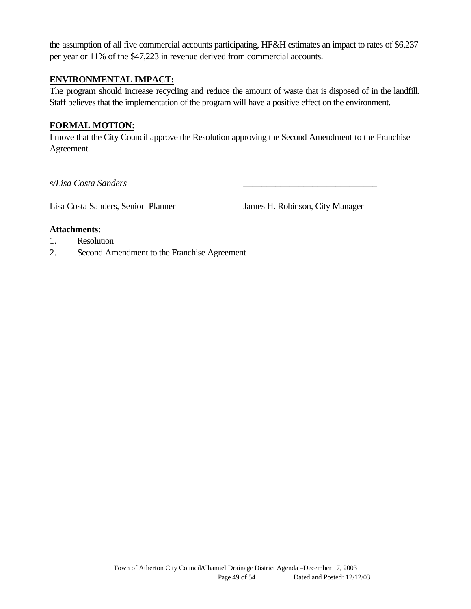the assumption of all five commercial accounts participating, HF&H estimates an impact to rates of \$6,237 per year or 11% of the \$47,223 in revenue derived from commercial accounts.

### **ENVIRONMENTAL IMPACT:**

The program should increase recycling and reduce the amount of waste that is disposed of in the landfill. Staff believes that the implementation of the program will have a positive effect on the environment.

### **FORMAL MOTION:**

I move that the City Council approve the Resolution approving the Second Amendment to the Franchise Agreement.

*s/Lisa Costa Sanders* \_\_\_\_\_\_\_\_\_\_\_\_\_\_\_\_\_\_\_\_\_\_\_\_\_\_\_\_\_

Lisa Costa Sanders, Senior Planner James H. Robinson, City Manager

#### **Attachments:**

- 1. Resolution
- 2. Second Amendment to the Franchise Agreement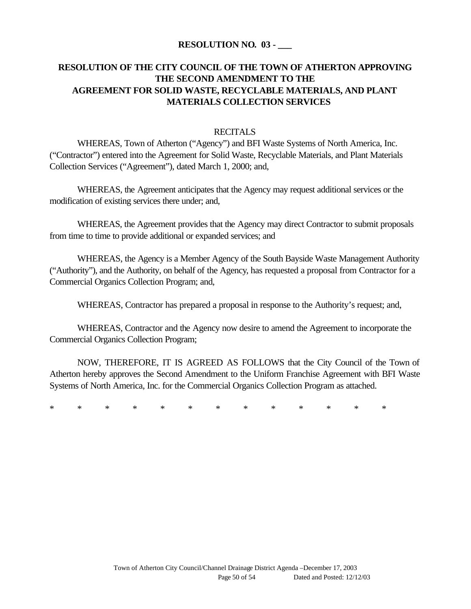### **RESOLUTION NO. 03 - \_\_\_**

# **RESOLUTION OF THE CITY COUNCIL OF THE TOWN OF ATHERTON APPROVING THE SECOND AMENDMENT TO THE AGREEMENT FOR SOLID WASTE, RECYCLABLE MATERIALS, AND PLANT MATERIALS COLLECTION SERVICES**

### **RECITALS**

WHEREAS, Town of Atherton ("Agency") and BFI Waste Systems of North America, Inc. ("Contractor") entered into the Agreement for Solid Waste, Recyclable Materials, and Plant Materials Collection Services ("Agreement"), dated March 1, 2000; and,

WHEREAS, the Agreement anticipates that the Agency may request additional services or the modification of existing services there under; and,

WHEREAS, the Agreement provides that the Agency may direct Contractor to submit proposals from time to time to provide additional or expanded services; and

WHEREAS, the Agency is a Member Agency of the South Bayside Waste Management Authority ("Authority"), and the Authority, on behalf of the Agency, has requested a proposal from Contractor for a Commercial Organics Collection Program; and,

WHEREAS, Contractor has prepared a proposal in response to the Authority's request; and,

WHEREAS, Contractor and the Agency now desire to amend the Agreement to incorporate the Commercial Organics Collection Program;

NOW, THEREFORE, IT IS AGREED AS FOLLOWS that the City Council of the Town of Atherton hereby approves the Second Amendment to the Uniform Franchise Agreement with BFI Waste Systems of North America, Inc. for the Commercial Organics Collection Program as attached.

\* \* \* \* \* \* \* \* \* \* \* \* \*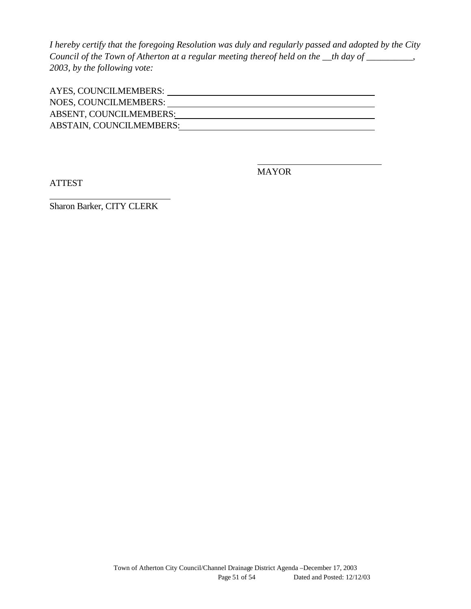*I hereby certify that the foregoing Resolution was duly and regularly passed and adopted by the City Council of the Town of Atherton at a regular meeting thereof held on the \_\_th day of \_\_\_\_\_\_\_\_\_\_, 2003, by the following vote:*

| AYES, COUNCILMEMBERS:           |  |
|---------------------------------|--|
| NOES, COUNCILMEMBERS:           |  |
| ABSENT, COUNCILMEMBERS:         |  |
| <b>ABSTAIN, COUNCILMEMBERS:</b> |  |

ATTEST

MAYOR

Sharon Barker, CITY CLERK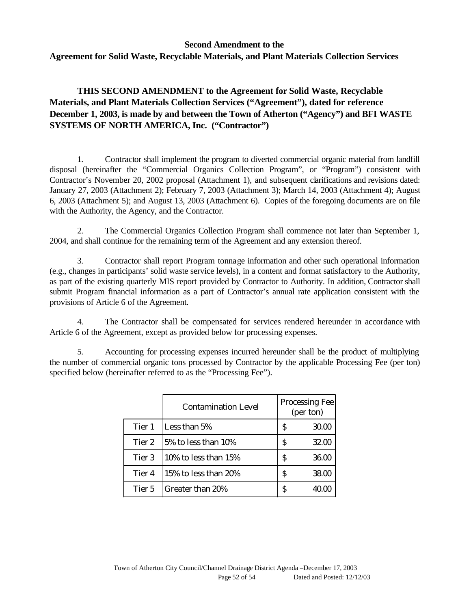### **Second Amendment to the Agreement for Solid Waste, Recyclable Materials, and Plant Materials Collection Services**

**THIS SECOND AMENDMENT to the Agreement for Solid Waste, Recyclable Materials, and Plant Materials Collection Services ("Agreement"), dated for reference December 1, 2003, is made by and between the Town of Atherton ("Agency") and BFI WASTE SYSTEMS OF NORTH AMERICA, Inc. ("Contractor")** 

1. Contractor shall implement the program to diverted commercial organic material from landfill disposal (hereinafter the "Commercial Organics Collection Program", or "Program") consistent with Contractor's November 20, 2002 proposal (Attachment 1), and subsequent clarifications and revisions dated: January 27, 2003 (Attachment 2); February 7, 2003 (Attachment 3); March 14, 2003 (Attachment 4); August 6, 2003 (Attachment 5); and August 13, 2003 (Attachment 6). Copies of the foregoing documents are on file with the Authority, the Agency, and the Contractor.

2. The Commercial Organics Collection Program shall commence not later than September 1, 2004, and shall continue for the remaining term of the Agreement and any extension thereof.

3. Contractor shall report Program tonnage information and other such operational information (e.g., changes in participants' solid waste service levels), in a content and format satisfactory to the Authority, as part of the existing quarterly MIS report provided by Contractor to Authority. In addition, Contractor shall submit Program financial information as a part of Contractor's annual rate application consistent with the provisions of Article 6 of the Agreement.

4. The Contractor shall be compensated for services rendered hereunder in accordance with Article 6 of the Agreement, except as provided below for processing expenses.

5. Accounting for processing expenses incurred hereunder shall be the product of multiplying the number of commercial organic tons processed by Contractor by the applicable Processing Fee (per ton) specified below (hereinafter referred to as the "Processing Fee").

|        | <b>Contamination Level</b> |   | Processing Fee<br>(per ton) |
|--------|----------------------------|---|-----------------------------|
| Tier 1 | Less than 5%               | S | 30.00                       |
| Tier 2 | 5% to less than 10%        | S | 32.00                       |
| Tier 3 | 10% to less than $15%$     | S | 36.00                       |
| Tier 4 | 15% to less than 20%       | S | 38.00                       |
| Tier 5 | Greater than 20%           | S | 40.00                       |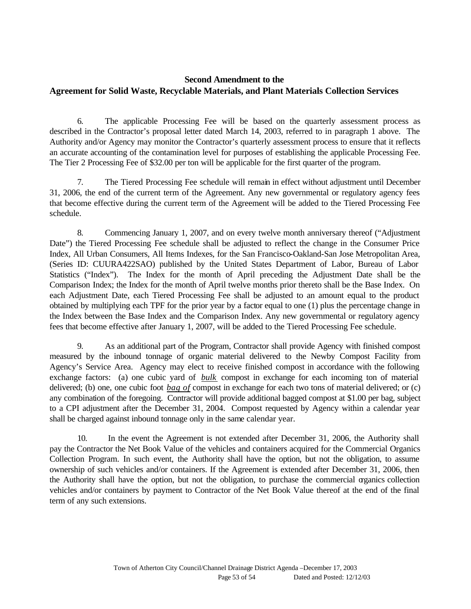## **Second Amendment to the Agreement for Solid Waste, Recyclable Materials, and Plant Materials Collection Services**

6. The applicable Processing Fee will be based on the quarterly assessment process as described in the Contractor's proposal letter dated March 14, 2003, referred to in paragraph 1 above. The Authority and/or Agency may monitor the Contractor's quarterly assessment process to ensure that it reflects an accurate accounting of the contamination level for purposes of establishing the applicable Processing Fee. The Tier 2 Processing Fee of \$32.00 per ton will be applicable for the first quarter of the program.

7. The Tiered Processing Fee schedule will remain in effect without adjustment until December 31, 2006, the end of the current term of the Agreement. Any new governmental or regulatory agency fees that become effective during the current term of the Agreement will be added to the Tiered Processing Fee schedule.

8. Commencing January 1, 2007, and on every twelve month anniversary thereof ("Adjustment Date") the Tiered Processing Fee schedule shall be adjusted to reflect the change in the Consumer Price Index, All Urban Consumers, All Items Indexes, for the San Francisco-Oakland-San Jose Metropolitan Area, (Series ID: CUURA422SAO) published by the United States Department of Labor, Bureau of Labor Statistics ("Index"). The Index for the month of April preceding the Adjustment Date shall be the Comparison Index; the Index for the month of April twelve months prior thereto shall be the Base Index. On each Adjustment Date, each Tiered Processing Fee shall be adjusted to an amount equal to the product obtained by multiplying each TPF for the prior year by a factor equal to one (1) plus the percentage change in the Index between the Base Index and the Comparison Index. Any new governmental or regulatory agency fees that become effective after January 1, 2007, will be added to the Tiered Processing Fee schedule.

9. As an additional part of the Program, Contractor shall provide Agency with finished compost measured by the inbound tonnage of organic material delivered to the Newby Compost Facility from Agency's Service Area. Agency may elect to receive finished compost in accordance with the following exchange factors: (a) one cubic yard of *bulk* compost in exchange for each incoming ton of material delivered; (b) one, one cubic foot *bag of* compost in exchange for each two tons of material delivered; or (c) any combination of the foregoing. Contractor will provide additional bagged compost at \$1.00 per bag, subject to a CPI adjustment after the December 31, 2004. Compost requested by Agency within a calendar year shall be charged against inbound tonnage only in the same calendar year.

10. In the event the Agreement is not extended after December 31, 2006, the Authority shall pay the Contractor the Net Book Value of the vehicles and containers acquired for the Commercial Organics Collection Program. In such event, the Authority shall have the option, but not the obligation, to assume ownership of such vehicles and/or containers. If the Agreement is extended after December 31, 2006, then the Authority shall have the option, but not the obligation, to purchase the commercial organics collection vehicles and/or containers by payment to Contractor of the Net Book Value thereof at the end of the final term of any such extensions.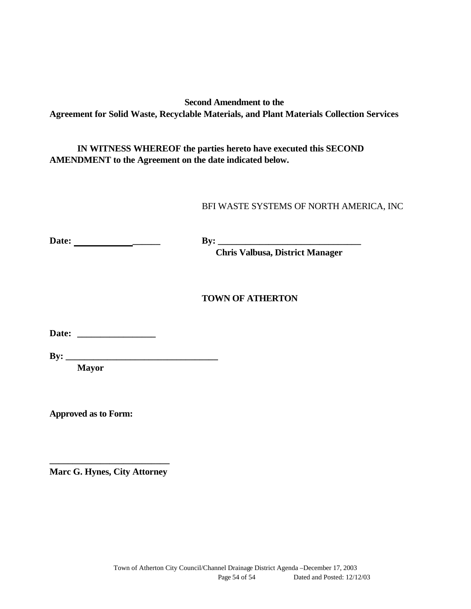**Second Amendment to the Agreement for Solid Waste, Recyclable Materials, and Plant Materials Collection Services**

**IN WITNESS WHEREOF the parties hereto have executed this SECOND AMENDMENT to the Agreement on the date indicated below.**

BFI WASTE SYSTEMS OF NORTH AMERICA, INC

**Date: \_\_\_\_\_\_ By: \_\_\_\_\_\_\_\_\_\_\_\_\_\_\_\_\_\_\_\_\_\_\_\_\_\_\_\_\_\_\_**

**Chris Valbusa, District Manager**

### **TOWN OF ATHERTON**

**Date: \_\_\_\_\_\_\_\_\_\_\_\_\_\_\_\_\_**

**Mayor** 

**Approved as to Form:**

**\_\_\_\_\_\_\_\_\_\_\_\_\_\_\_\_\_\_\_\_\_\_\_\_\_\_ Marc G. Hynes, City Attorney**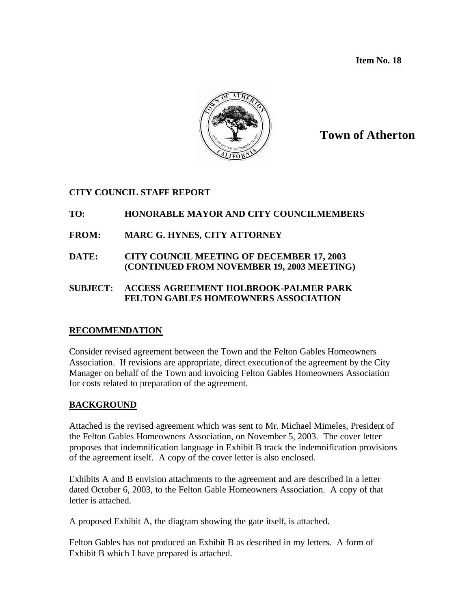**Item No. 18**



# **Town of Atherton**

## **CITY COUNCIL STAFF REPORT**

## **TO: HONORABLE MAYOR AND CITY COUNCILMEMBERS**

# **FROM: MARC G. HYNES, CITY ATTORNEY**

**DATE: CITY COUNCIL MEETING OF DECEMBER 17, 2003 (CONTINUED FROM NOVEMBER 19, 2003 MEETING)**

### **SUBJECT: ACCESS AGREEMENT HOLBROOK-PALMER PARK FELTON GABLES HOMEOWNERS ASSOCIATION**

### **RECOMMENDATION**

Consider revised agreement between the Town and the Felton Gables Homeowners Association. If revisions are appropriate, direct executionof the agreement by the City Manager on behalf of the Town and invoicing Felton Gables Homeowners Association for costs related to preparation of the agreement.

### **BACKGROUND**

Attached is the revised agreement which was sent to Mr. Michael Mimeles, President of the Felton Gables Homeowners Association, on November 5, 2003. The cover letter proposes that indemnification language in Exhibit B track the indemnification provisions of the agreement itself. A copy of the cover letter is also enclosed.

Exhibits A and B envision attachments to the agreement and are described in a letter dated October 6, 2003, to the Felton Gable Homeowners Association. A copy of that letter is attached.

A proposed Exhibit A, the diagram showing the gate itself, is attached.

Felton Gables has not produced an Exhibit B as described in my letters. A form of Exhibit B which I have prepared is attached.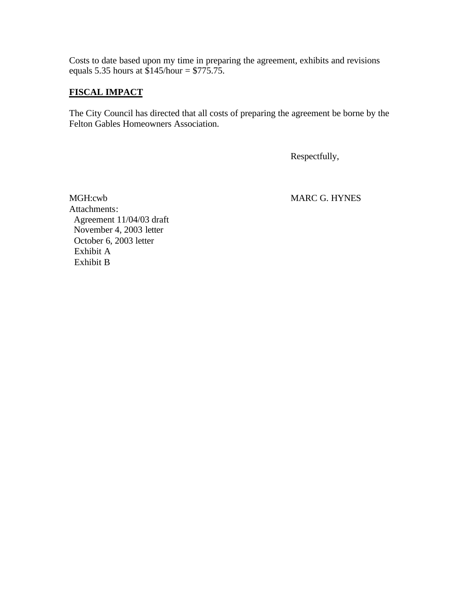Costs to date based upon my time in preparing the agreement, exhibits and revisions equals 5.35 hours at  $$145/hour = $775.75$ .

### **FISCAL IMPACT**

The City Council has directed that all costs of preparing the agreement be borne by the Felton Gables Homeowners Association.

Respectfully,

MGH:cwb MARC G. HYNES Attachments: Agreement 11/04/03 draft November 4, 2003 letter October 6, 2003 letter Exhibit A Exhibit B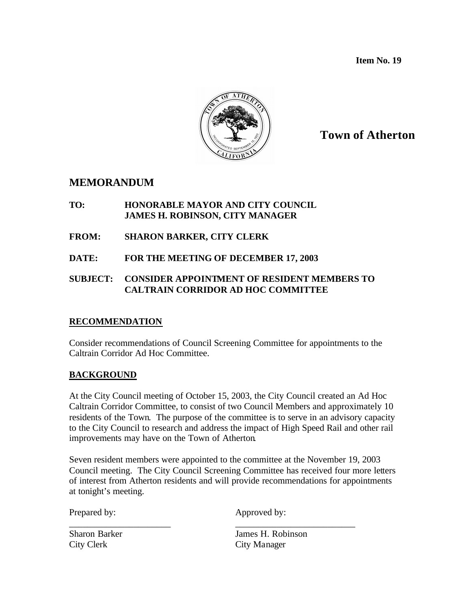**Item No. 19**



# **Town of Atherton**

# **MEMORANDUM**

### **TO: HONORABLE MAYOR AND CITY COUNCIL JAMES H. ROBINSON, CITY MANAGER**

- **FROM: SHARON BARKER, CITY CLERK**
- **DATE: FOR THE MEETING OF DECEMBER 17, 2003**

## **SUBJECT: CONSIDER APPOINTMENT OF RESIDENT MEMBERS TO CALTRAIN CORRIDOR AD HOC COMMITTEE**

### **RECOMMENDATION**

Consider recommendations of Council Screening Committee for appointments to the Caltrain Corridor Ad Hoc Committee.

### **BACKGROUND**

At the City Council meeting of October 15, 2003, the City Council created an Ad Hoc Caltrain Corridor Committee, to consist of two Council Members and approximately 10 residents of the Town. The purpose of the committee is to serve in an advisory capacity to the City Council to research and address the impact of High Speed Rail and other rail improvements may have on the Town of Atherton.

Seven resident members were appointed to the committee at the November 19, 2003 Council meeting. The City Council Screening Committee has received four more letters of interest from Atherton residents and will provide recommendations for appointments at tonight's meeting.

\_\_\_\_\_\_\_\_\_\_\_\_\_\_\_\_\_\_\_\_\_\_ \_\_\_\_\_\_\_\_\_\_\_\_\_\_\_\_\_\_\_\_\_\_\_\_\_\_

Prepared by: Approved by:

City Clerk City Manager

Sharon Barker James H. Robinson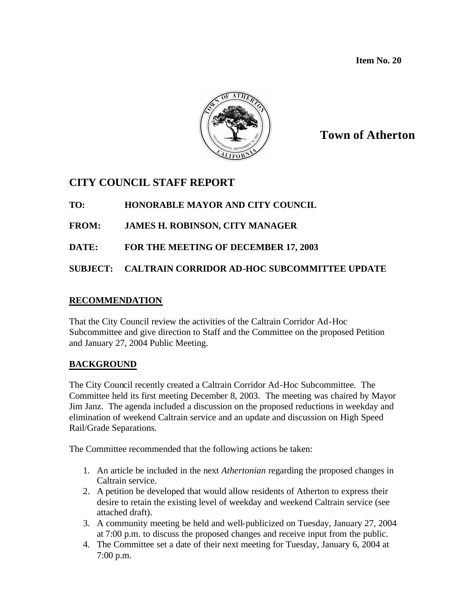**Item No. 20**



# **Town of Atherton**

# **CITY COUNCIL STAFF REPORT**

# **TO: HONORABLE MAYOR AND CITY COUNCIL**

- **FROM: JAMES H. ROBINSON, CITY MANAGER**
- **DATE: FOR THE MEETING OF DECEMBER 17, 2003**

# **SUBJECT: CALTRAIN CORRIDOR AD-HOC SUBCOMMITTEE UPDATE**

## **RECOMMENDATION**

That the City Council review the activities of the Caltrain Corridor Ad-Hoc Subcommittee and give direction to Staff and the Committee on the proposed Petition and January 27, 2004 Public Meeting.

# **BACKGROUND**

The City Council recently created a Caltrain Corridor Ad-Hoc Subcommittee. The Committee held its first meeting December 8, 2003. The meeting was chaired by Mayor Jim Janz. The agenda included a discussion on the proposed reductions in weekday and elimination of weekend Caltrain service and an update and discussion on High Speed Rail/Grade Separations.

The Committee recommended that the following actions be taken:

- 1. An article be included in the next *Athertonian* regarding the proposed changes in Caltrain service.
- 2. A petition be developed that would allow residents of Atherton to express their desire to retain the existing level of weekday and weekend Caltrain service (see attached draft).
- 3. A community meeting be held and well-publicized on Tuesday, January 27, 2004 at 7:00 p.m. to discuss the proposed changes and receive input from the public.
- 4. The Committee set a date of their next meeting for Tuesday, January 6, 2004 at 7:00 p.m.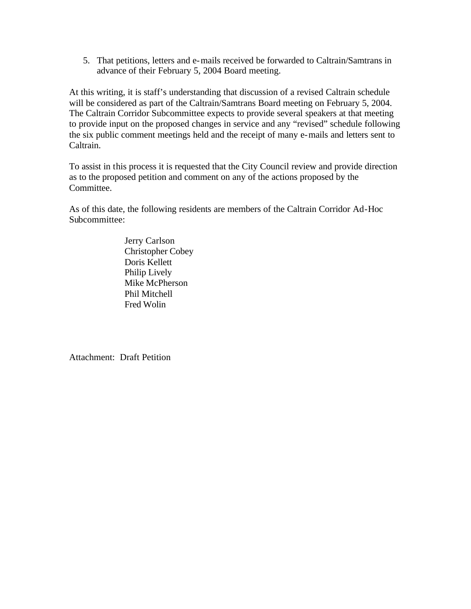5. That petitions, letters and e-mails received be forwarded to Caltrain/Samtrans in advance of their February 5, 2004 Board meeting.

At this writing, it is staff's understanding that discussion of a revised Caltrain schedule will be considered as part of the Caltrain/Samtrans Board meeting on February 5, 2004. The Caltrain Corridor Subcommittee expects to provide several speakers at that meeting to provide input on the proposed changes in service and any "revised" schedule following the six public comment meetings held and the receipt of many e-mails and letters sent to Caltrain.

To assist in this process it is requested that the City Council review and provide direction as to the proposed petition and comment on any of the actions proposed by the Committee.

As of this date, the following residents are members of the Caltrain Corridor Ad-Hoc Subcommittee:

> Jerry Carlson Christopher Cobey Doris Kellett Philip Lively Mike McPherson Phil Mitchell Fred Wolin

Attachment: Draft Petition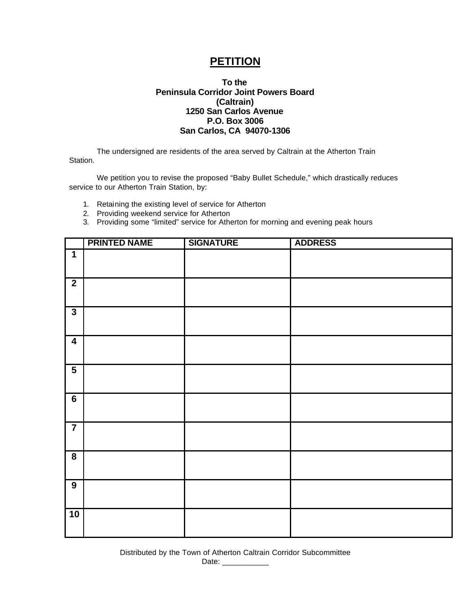# **PETITION**

#### **To the Peninsula Corridor Joint Powers Board (Caltrain) 1250 San Carlos Avenue P.O. Box 3006 San Carlos, CA 94070-1306**

The undersigned are residents of the area served by Caltrain at the Atherton Train Station.

We petition you to revise the proposed "Baby Bullet Schedule," which drastically reduces service to our Atherton Train Station, by:

- 1. Retaining the existing level of service for Atherton
- 2. Providing weekend service for Atherton
- 3. Providing some "limited" service for Atherton for morning and evening peak hours

|                             | <b>PRINTED NAME</b> | <b>SIGNATURE</b> | <b>ADDRESS</b> |
|-----------------------------|---------------------|------------------|----------------|
| $\mathbf 1$                 |                     |                  |                |
| $\overline{2}$              |                     |                  |                |
| $\overline{3}$              |                     |                  |                |
| $\boldsymbol{4}$            |                     |                  |                |
| $\overline{5}$              |                     |                  |                |
| $\overline{\boldsymbol{6}}$ |                     |                  |                |
| $\overline{7}$              |                     |                  |                |
| $\overline{\mathbf{8}}$     |                     |                  |                |
| $\overline{9}$              |                     |                  |                |
| 10                          |                     |                  |                |

Distributed by the Town of Atherton Caltrain Corridor Subcommittee Date: \_\_\_\_\_\_\_\_\_\_\_\_\_\_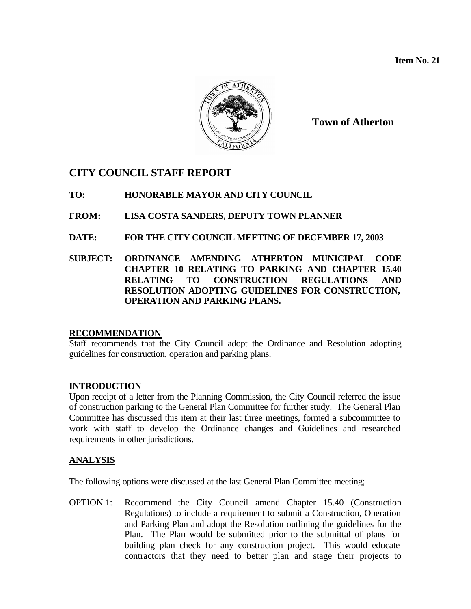**Item No. 21**



**Town of Atherton**

# **CITY COUNCIL STAFF REPORT**

## **TO: HONORABLE MAYOR AND CITY COUNCIL**

## **FROM: LISA COSTA SANDERS, DEPUTY TOWN PLANNER**

## **DATE: FOR THE CITY COUNCIL MEETING OF DECEMBER 17, 2003**

### **SUBJECT: ORDINANCE AMENDING ATHERTON MUNICIPAL CODE CHAPTER 10 RELATING TO PARKING AND CHAPTER 15.40 RELATING TO CONSTRUCTION REGULATIONS AND RESOLUTION ADOPTING GUIDELINES FOR CONSTRUCTION, OPERATION AND PARKING PLANS.**

### **RECOMMENDATION**

Staff recommends that the City Council adopt the Ordinance and Resolution adopting guidelines for construction, operation and parking plans.

### **INTRODUCTION**

Upon receipt of a letter from the Planning Commission, the City Council referred the issue of construction parking to the General Plan Committee for further study. The General Plan Committee has discussed this item at their last three meetings, formed a subcommittee to work with staff to develop the Ordinance changes and Guidelines and researched requirements in other jurisdictions.

# **ANALYSIS**

The following options were discussed at the last General Plan Committee meeting;

OPTION 1: Recommend the City Council amend Chapter 15.40 (Construction Regulations) to include a requirement to submit a Construction, Operation and Parking Plan and adopt the Resolution outlining the guidelines for the Plan. The Plan would be submitted prior to the submittal of plans for building plan check for any construction project. This would educate contractors that they need to better plan and stage their projects to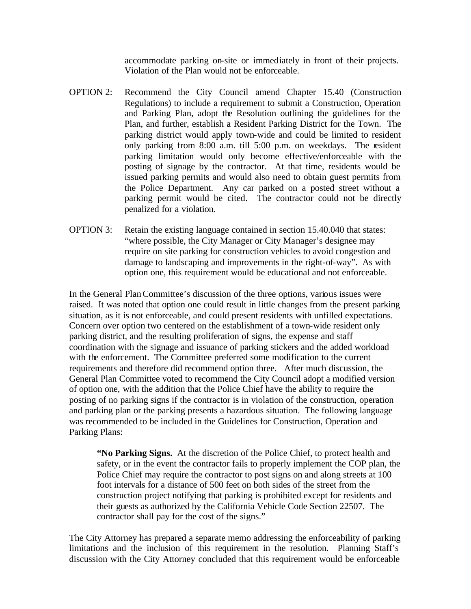accommodate parking on-site or immediately in front of their projects. Violation of the Plan would not be enforceable.

- OPTION 2: Recommend the City Council amend Chapter 15.40 (Construction Regulations) to include a requirement to submit a Construction, Operation and Parking Plan, adopt the Resolution outlining the guidelines for the Plan, and further, establish a Resident Parking District for the Town. The parking district would apply town-wide and could be limited to resident only parking from 8:00 a.m. till 5:00 p.m. on weekdays. The resident parking limitation would only become effective/enforceable with the posting of signage by the contractor. At that time, residents would be issued parking permits and would also need to obtain guest permits from the Police Department. Any car parked on a posted street without a parking permit would be cited. The contractor could not be directly penalized for a violation.
- OPTION 3: Retain the existing language contained in section 15.40.040 that states: "where possible, the City Manager or City Manager's designee may require on site parking for construction vehicles to avoid congestion and damage to landscaping and improvements in the right-of-way". As with option one, this requirement would be educational and not enforceable.

In the General Plan Committee's discussion of the three options, various issues were raised. It was noted that option one could result in little changes from the present parking situation, as it is not enforceable, and could present residents with unfilled expectations. Concern over option two centered on the establishment of a town-wide resident only parking district, and the resulting proliferation of signs, the expense and staff coordination with the signage and issuance of parking stickers and the added workload with the enforcement. The Committee preferred some modification to the current requirements and therefore did recommend option three. After much discussion, the General Plan Committee voted to recommend the City Council adopt a modified version of option one, with the addition that the Police Chief have the ability to require the posting of no parking signs if the contractor is in violation of the construction, operation and parking plan or the parking presents a hazardous situation. The following language was recommended to be included in the Guidelines for Construction, Operation and Parking Plans:

**"No Parking Signs.** At the discretion of the Police Chief, to protect health and safety, or in the event the contractor fails to properly implement the COP plan, the Police Chief may require the contractor to post signs on and along streets at 100 foot intervals for a distance of 500 feet on both sides of the street from the construction project notifying that parking is prohibited except for residents and their guests as authorized by the California Vehicle Code Section 22507. The contractor shall pay for the cost of the signs."

The City Attorney has prepared a separate memo addressing the enforceability of parking limitations and the inclusion of this requirement in the resolution. Planning Staff's discussion with the City Attorney concluded that this requirement would be enforceable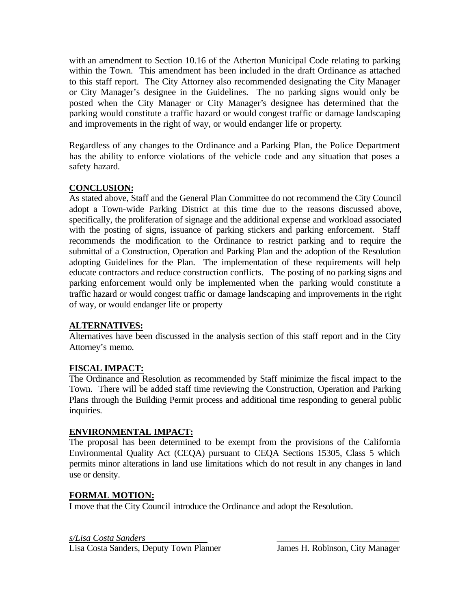with an amendment to Section 10.16 of the Atherton Municipal Code relating to parking within the Town. This amendment has been included in the draft Ordinance as attached to this staff report. The City Attorney also recommended designating the City Manager or City Manager's designee in the Guidelines. The no parking signs would only be posted when the City Manager or City Manager's designee has determined that the parking would constitute a traffic hazard or would congest traffic or damage landscaping and improvements in the right of way, or would endanger life or property.

Regardless of any changes to the Ordinance and a Parking Plan, the Police Department has the ability to enforce violations of the vehicle code and any situation that poses a safety hazard.

# **CONCLUSION:**

As stated above, Staff and the General Plan Committee do not recommend the City Council adopt a Town-wide Parking District at this time due to the reasons discussed above, specifically, the proliferation of signage and the additional expense and workload associated with the posting of signs, issuance of parking stickers and parking enforcement. Staff recommends the modification to the Ordinance to restrict parking and to require the submittal of a Construction, Operation and Parking Plan and the adoption of the Resolution adopting Guidelines for the Plan. The implementation of these requirements will help educate contractors and reduce construction conflicts. The posting of no parking signs and parking enforcement would only be implemented when the parking would constitute a traffic hazard or would congest traffic or damage landscaping and improvements in the right of way, or would endanger life or property

### **ALTERNATIVES:**

Alternatives have been discussed in the analysis section of this staff report and in the City Attorney's memo.

### **FISCAL IMPACT:**

The Ordinance and Resolution as recommended by Staff minimize the fiscal impact to the Town. There will be added staff time reviewing the Construction, Operation and Parking Plans through the Building Permit process and additional time responding to general public inquiries.

### **ENVIRONMENTAL IMPACT:**

The proposal has been determined to be exempt from the provisions of the California Environmental Quality Act (CEQA) pursuant to CEQA Sections 15305, Class 5 which permits minor alterations in land use limitations which do not result in any changes in land use or density.

### **FORMAL MOTION:**

I move that the City Council introduce the Ordinance and adopt the Resolution.

*s/Lisa Costa Sanders* \_\_\_\_\_\_\_\_\_\_\_\_\_\_\_\_\_\_\_\_\_\_\_\_\_\_\_ Lisa Costa Sanders, Deputy Town Planner James H. Robinson, City Manager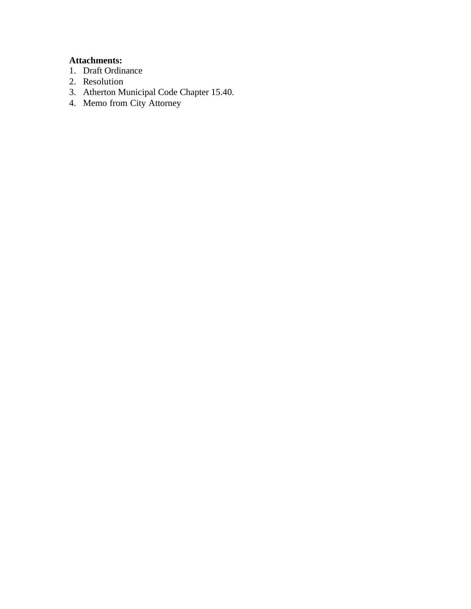### **Attachments:**

- 1. Draft Ordinance
- 2. Resolution
- 3. Atherton Municipal Code Chapter 15.40.
- 4. Memo from City Attorney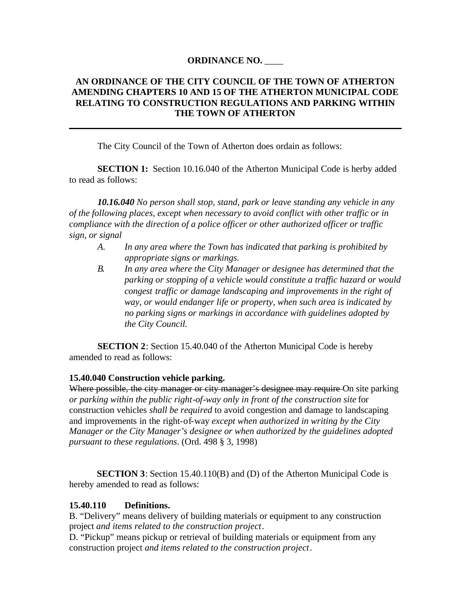### **ORDINANCE NO.** \_\_\_\_

### **AN ORDINANCE OF THE CITY COUNCIL OF THE TOWN OF ATHERTON AMENDING CHAPTERS 10 AND 15 OF THE ATHERTON MUNICIPAL CODE RELATING TO CONSTRUCTION REGULATIONS AND PARKING WITHIN THE TOWN OF ATHERTON**

The City Council of the Town of Atherton does ordain as follows:

**SECTION 1:** Section 10.16.040 of the Atherton Municipal Code is herby added to read as follows:

*10.16.040 No person shall stop, stand, park or leave standing any vehicle in any of the following places, except when necessary to avoid conflict with other traffic or in compliance with the direction of a police officer or other authorized officer or traffic sign, or signal*

- *A. In any area where the Town has indicated that parking is prohibited by appropriate signs or markings.*
- *B. In any area where the City Manager or designee has determined that the parking or stopping of a vehicle would constitute a traffic hazard or would congest traffic or damage landscaping and improvements in the right of way, or would endanger life or property, when such area is indicated by no parking signs or markings in accordance with guidelines adopted by the City Council.*

**SECTION 2**: Section 15.40.040 of the Atherton Municipal Code is hereby amended to read as follows:

#### **15.40.040 Construction vehicle parking.**

Where possible, the city manager or city manager's designee may require On site parking *or parking within the public right-of-way only in front of the construction site* for construction vehicles *shall be required* to avoid congestion and damage to landscaping and improvements in the right-of-way *except when authorized in writing by the City Manager or the City Manager's designee or when authorized by the guidelines adopted pursuant to these regulations*. (Ord. 498 § 3, 1998)

**SECTION 3**: Section 15.40.110(B) and (D) of the Atherton Municipal Code is hereby amended to read as follows:

#### **15.40.110 Definitions.**

B. "Delivery" means delivery of building materials or equipment to any construction project *and items related to the construction project*.

D. "Pickup" means pickup or retrieval of building materials or equipment from any construction project *and items related to the construction project*.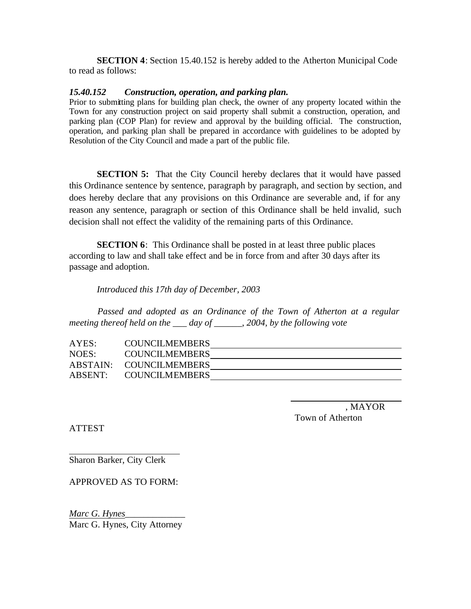**SECTION 4**: Section 15.40.152 is hereby added to the Atherton Municipal Code to read as follows:

#### *15.40.152 Construction, operation, and parking plan.*

Prior to submitting plans for building plan check, the owner of any property located within the Town for any construction project on said property shall submit a construction, operation, and parking plan (COP Plan) for review and approval by the building official. The construction, operation, and parking plan shall be prepared in accordance with guidelines to be adopted by Resolution of the City Council and made a part of the public file.

**SECTION 5:** That the City Council hereby declares that it would have passed this Ordinance sentence by sentence, paragraph by paragraph, and section by section, and does hereby declare that any provisions on this Ordinance are severable and, if for any reason any sentence, paragraph or section of this Ordinance shall be held invalid, such decision shall not effect the validity of the remaining parts of this Ordinance.

**SECTION 6**: This Ordinance shall be posted in at least three public places according to law and shall take effect and be in force from and after 30 days after its passage and adoption.

*Introduced this 17th day of December, 2003*

*Passed and adopted as an Ordinance of the Town of Atherton at a regular meeting thereof held on the \_\_\_ day of \_\_\_\_\_\_, 2004, by the following vote*

| AYES: | <b>COUNCILMEMBERS</b>   |  |
|-------|-------------------------|--|
| NOES: | <b>COUNCILMEMBERS</b>   |  |
|       | ABSTAIN: COUNCILMEMBERS |  |
|       | ABSENT: COUNCILMEMBERS  |  |

 , MAYOR Town of Atherton

ATTEST

Sharon Barker, City Clerk

APPROVED AS TO FORM:

*Marc G. Hynes*\_\_\_\_\_\_\_\_\_\_\_\_\_ Marc G. Hynes, City Attorney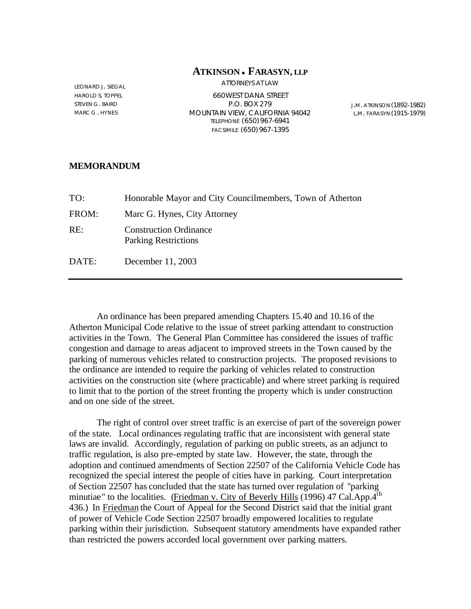#### **ATKINSON** <sup>l</sup> **FARASYN, LLP** ATTORNEYS AT LAW

LEONARD J. SIEGAL HAROLD S. TOPPEL STEVEN G. BAIRD MARC G . HYNES

660WEST DANA STREET P.O. BOX 279 MOUNTAIN VIEW, CALIFORNIA 94042 TELEPHONE (650)967-6941 FACSIMILE (650)967-1395

J.M. ATKINSON (1892-1982) L.M. FARASYN (1915-1979)

#### **MEMORANDUM**

| TO:   | Honorable Mayor and City Councilmembers, Town of Atherton    |
|-------|--------------------------------------------------------------|
| FROM: | Marc G. Hynes, City Attorney                                 |
| RE:   | <b>Construction Ordinance</b><br><b>Parking Restrictions</b> |
| DATE: | December 11, 2003                                            |

An ordinance has been prepared amending Chapters 15.40 and 10.16 of the Atherton Municipal Code relative to the issue of street parking attendant to construction activities in the Town. The General Plan Committee has considered the issues of traffic congestion and damage to areas adjacent to improved streets in the Town caused by the parking of numerous vehicles related to construction projects. The proposed revisions to the ordinance are intended to require the parking of vehicles related to construction activities on the construction site (where practicable) and where street parking is required to limit that to the portion of the street fronting the property which is under construction and on one side of the street.

The right of control over street traffic is an exercise of part of the sovereign power of the state. Local ordinances regulating traffic that are inconsistent with general state laws are invalid. Accordingly, regulation of parking on public streets, as an adjunct to traffic regulation, is also pre-empted by state law. However, the state, through the adoption and continued amendments of Section 22507 of the California Vehicle Code has recognized the special interest the people of cities have in parking. Court interpretation of Section 22507 has concluded that the state has turned over regulation of "parking minutiae" to the localities. (Friedman v. City of Beverly Hills (1996) 47 Cal.App.4<sup>th</sup> 436.) In Friedman the Court of Appeal for the Second District said that the initial grant of power of Vehicle Code Section 22507 broadly empowered localities to regulate parking within their jurisdiction. Subsequent statutory amendments have expanded rather than restricted the powers accorded local government over parking matters.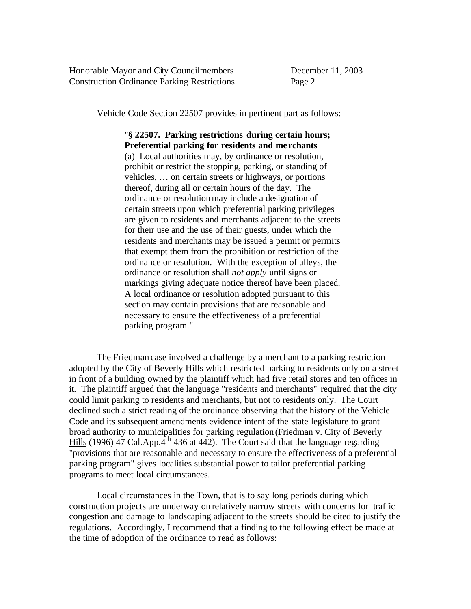Honorable Mayor and City Councilmembers December 11, 2003 Construction Ordinance Parking Restrictions Page 2

Vehicle Code Section 22507 provides in pertinent part as follows:

# "**§ 22507. Parking restrictions during certain hours; Preferential parking for residents and me rchants** (a) Local authorities may, by ordinance or resolution, prohibit or restrict the stopping, parking, or standing of vehicles, … on certain streets or highways, or portions

thereof, during all or certain hours of the day. The ordinance or resolution may include a designation of certain streets upon which preferential parking privileges are given to residents and merchants adjacent to the streets for their use and the use of their guests, under which the residents and merchants may be issued a permit or permits that exempt them from the prohibition or restriction of the ordinance or resolution. With the exception of alleys, the ordinance or resolution shall *not apply* until signs or markings giving adequate notice thereof have been placed. A local ordinance or resolution adopted pursuant to this section may contain provisions that are reasonable and necessary to ensure the effectiveness of a preferential parking program."

The Friedman case involved a challenge by a merchant to a parking restriction adopted by the City of Beverly Hills which restricted parking to residents only on a street in front of a building owned by the plaintiff which had five retail stores and ten offices in it. The plaintiff argued that the language "residents and merchants" required that the city could limit parking to residents and merchants, but not to residents only. The Court declined such a strict reading of the ordinance observing that the history of the Vehicle Code and its subsequent amendments evidence intent of the state legislature to grant broad authority to municipalities for parking regulation (Friedman v. City of Beverly Hills (1996) 47 Cal.App. $4^{th}$  436 at 442). The Court said that the language regarding "provisions that are reasonable and necessary to ensure the effectiveness of a preferential parking program" gives localities substantial power to tailor preferential parking programs to meet local circumstances.

Local circumstances in the Town, that is to say long periods during which construction projects are underway on relatively narrow streets with concerns for traffic congestion and damage to landscaping adjacent to the streets should be cited to justify the regulations. Accordingly, I recommend that a finding to the following effect be made at the time of adoption of the ordinance to read as follows: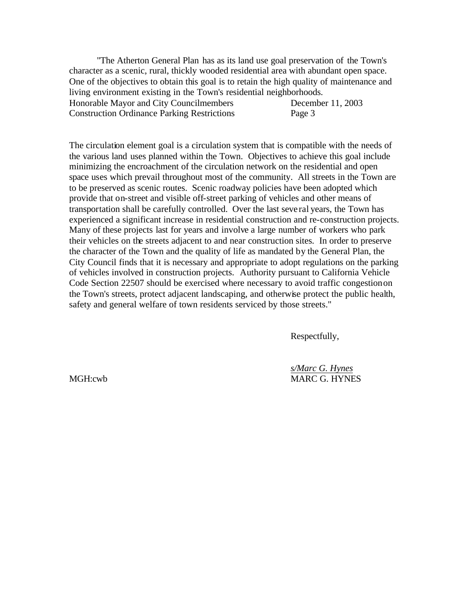"The Atherton General Plan has as its land use goal preservation of the Town's character as a scenic, rural, thickly wooded residential area with abundant open space. One of the objectives to obtain this goal is to retain the high quality of maintenance and living environment existing in the Town's residential neighborhoods. Honorable Mayor and City Councilmembers December 11, 2003 Construction Ordinance Parking Restrictions Page 3

The circulation element goal is a circulation system that is compatible with the needs of the various land uses planned within the Town. Objectives to achieve this goal include minimizing the encroachment of the circulation network on the residential and open space uses which prevail throughout most of the community. All streets in the Town are to be preserved as scenic routes. Scenic roadway policies have been adopted which provide that on-street and visible off-street parking of vehicles and other means of transportation shall be carefully controlled. Over the last seve ral years, the Town has experienced a significant increase in residential construction and re-construction projects. Many of these projects last for years and involve a large number of workers who park their vehicles on the streets adjacent to and near construction sites. In order to preserve the character of the Town and the quality of life as mandated by the General Plan, the City Council finds that it is necessary and appropriate to adopt regulations on the parking of vehicles involved in construction projects. Authority pursuant to California Vehicle Code Section 22507 should be exercised where necessary to avoid traffic congestion on the Town's streets, protect adjacent landscaping, and otherwise protect the public health, safety and general welfare of town residents serviced by those streets."

Respectfully,

*s/Marc G. Hynes* MGH:cwb MARC G. HYNES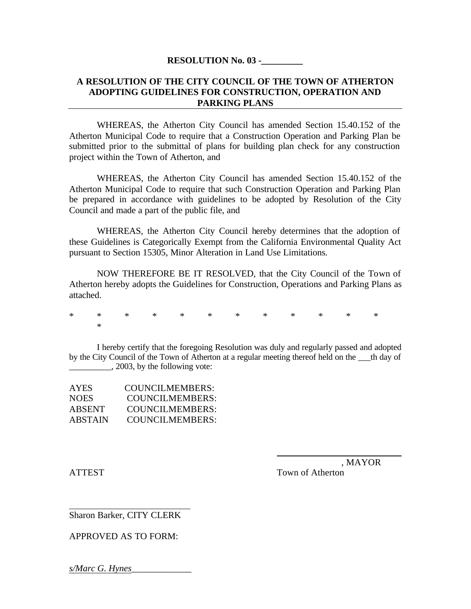#### **RESOLUTION No. 03 -\_\_\_\_\_\_\_\_\_**

### **A RESOLUTION OF THE CITY COUNCIL OF THE TOWN OF ATHERTON ADOPTING GUIDELINES FOR CONSTRUCTION, OPERATION AND PARKING PLANS**

WHEREAS, the Atherton City Council has amended Section 15.40.152 of the Atherton Municipal Code to require that a Construction Operation and Parking Plan be submitted prior to the submittal of plans for building plan check for any construction project within the Town of Atherton, and

WHEREAS, the Atherton City Council has amended Section 15.40.152 of the Atherton Municipal Code to require that such Construction Operation and Parking Plan be prepared in accordance with guidelines to be adopted by Resolution of the City Council and made a part of the public file, and

WHEREAS, the Atherton City Council hereby determines that the adoption of these Guidelines is Categorically Exempt from the California Environmental Quality Act pursuant to Section 15305, Minor Alteration in Land Use Limitations.

NOW THEREFORE BE IT RESOLVED, that the City Council of the Town of Atherton hereby adopts the Guidelines for Construction, Operations and Parking Plans as attached.

\* \* \* \* \* \* \* \* \* \* \* \* \*

I hereby certify that the foregoing Resolution was duly and regularly passed and adopted by the City Council of the Town of Atherton at a regular meeting thereof held on the the day of  $\frac{1}{2003}$ , by the following vote:

| <b>AYES</b> | COUNCILMEMBERS: |
|-------------|-----------------|
| <b>NOES</b> | COUNCILMEMBERS: |
| ABSENT      | COUNCILMEMBERS: |
| ABSTAIN     | COUNCILMEMBERS: |

 , MAYOR ATTEST Town of Atherton

Sharon Barker, CITY CLERK

APPROVED AS TO FORM:

*s/Marc G. Hynes*\_\_\_\_\_\_\_\_\_\_\_\_\_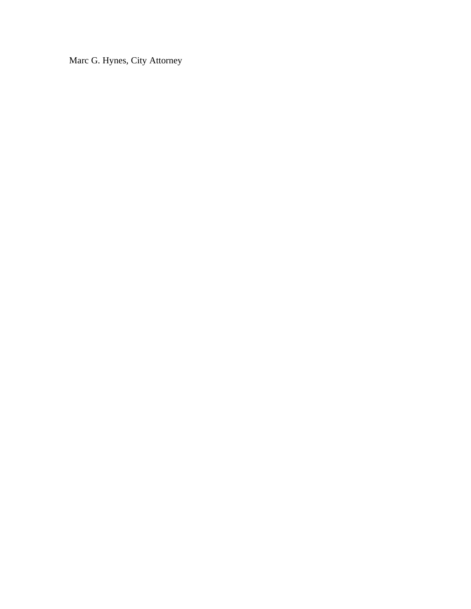Marc G. Hynes, City Attorney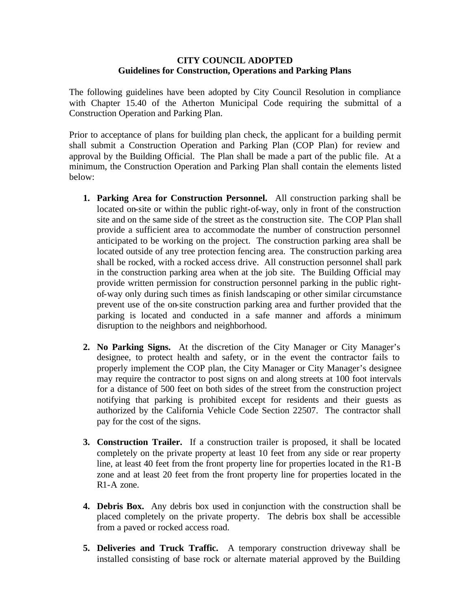## **CITY COUNCIL ADOPTED Guidelines for Construction, Operations and Parking Plans**

The following guidelines have been adopted by City Council Resolution in compliance with Chapter 15.40 of the Atherton Municipal Code requiring the submittal of a Construction Operation and Parking Plan.

Prior to acceptance of plans for building plan check, the applicant for a building permit shall submit a Construction Operation and Parking Plan (COP Plan) for review and approval by the Building Official. The Plan shall be made a part of the public file. At a minimum, the Construction Operation and Parking Plan shall contain the elements listed below:

- **1. Parking Area for Construction Personnel.** All construction parking shall be located on-site or within the public right-of-way, only in front of the construction site and on the same side of the street as the construction site. The COP Plan shall provide a sufficient area to accommodate the number of construction personnel anticipated to be working on the project. The construction parking area shall be located outside of any tree protection fencing area. The construction parking area shall be rocked, with a rocked access drive. All construction personnel shall park in the construction parking area when at the job site. The Building Official may provide written permission for construction personnel parking in the public rightof-way only during such times as finish landscaping or other similar circumstance prevent use of the on-site construction parking area and further provided that the parking is located and conducted in a safe manner and affords a minimum disruption to the neighbors and neighborhood.
- **2. No Parking Signs.** At the discretion of the City Manager or City Manager's designee, to protect health and safety, or in the event the contractor fails to properly implement the COP plan, the City Manager or City Manager's designee may require the contractor to post signs on and along streets at 100 foot intervals for a distance of 500 feet on both sides of the street from the construction project notifying that parking is prohibited except for residents and their guests as authorized by the California Vehicle Code Section 22507. The contractor shall pay for the cost of the signs.
- **3. Construction Trailer.** If a construction trailer is proposed, it shall be located completely on the private property at least 10 feet from any side or rear property line, at least 40 feet from the front property line for properties located in the R1-B zone and at least 20 feet from the front property line for properties located in the R1-A zone.
- **4. Debris Box.** Any debris box used in conjunction with the construction shall be placed completely on the private property. The debris box shall be accessible from a paved or rocked access road.
- **5. Deliveries and Truck Traffic.** A temporary construction driveway shall be installed consisting of base rock or alternate material approved by the Building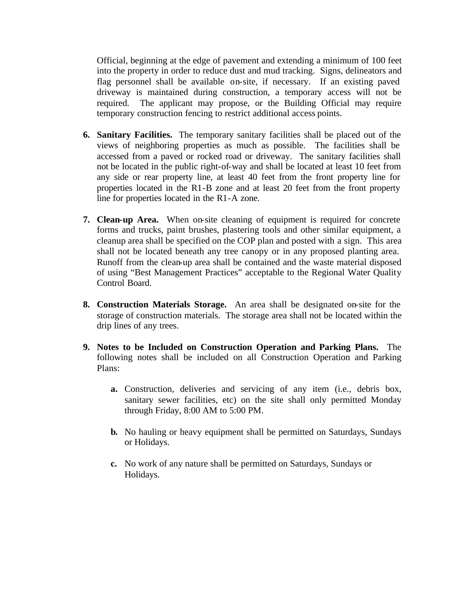Official, beginning at the edge of pavement and extending a minimum of 100 feet into the property in order to reduce dust and mud tracking. Signs, delineators and flag personnel shall be available on-site, if necessary. If an existing paved driveway is maintained during construction, a temporary access will not be required. The applicant may propose, or the Building Official may require temporary construction fencing to restrict additional access points.

- **6. Sanitary Facilities.** The temporary sanitary facilities shall be placed out of the views of neighboring properties as much as possible. The facilities shall be accessed from a paved or rocked road or driveway. The sanitary facilities shall not be located in the public right-of-way and shall be located at least 10 feet from any side or rear property line, at least 40 feet from the front property line for properties located in the R1-B zone and at least 20 feet from the front property line for properties located in the R1-A zone.
- **7. Clean-up Area.** When on-site cleaning of equipment is required for concrete forms and trucks, paint brushes, plastering tools and other similar equipment, a cleanup area shall be specified on the COP plan and posted with a sign. This area shall not be located beneath any tree canopy or in any proposed planting area. Runoff from the clean-up area shall be contained and the waste material disposed of using "Best Management Practices" acceptable to the Regional Water Quality Control Board.
- **8. Construction Materials Storage.** An area shall be designated on-site for the storage of construction materials. The storage area shall not be located within the drip lines of any trees.
- **9. Notes to be Included on Construction Operation and Parking Plans.** The following notes shall be included on all Construction Operation and Parking Plans:
	- **a.** Construction, deliveries and servicing of any item (i.e., debris box, sanitary sewer facilities, etc) on the site shall only permitted Monday through Friday, 8:00 AM to 5:00 PM.
	- **b.** No hauling or heavy equipment shall be permitted on Saturdays, Sundays or Holidays.
	- **c.** No work of any nature shall be permitted on Saturdays, Sundays or Holidays.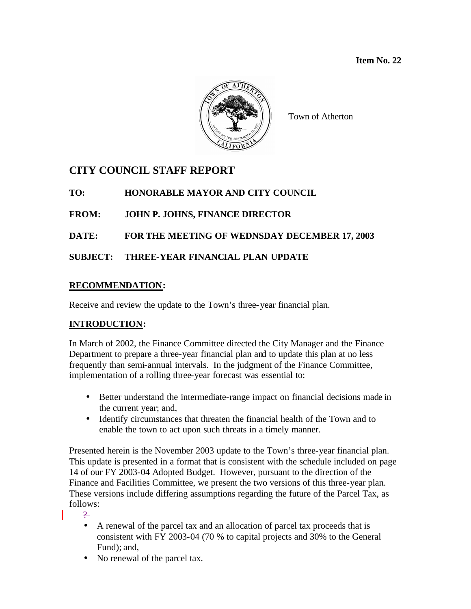

Town of Atherton

# **CITY COUNCIL STAFF REPORT**

**TO: HONORABLE MAYOR AND CITY COUNCIL**

# **FROM: JOHN P. JOHNS, FINANCE DIRECTOR**

# **DATE: FOR THE MEETING OF WEDNSDAY DECEMBER 17, 2003**

# **SUBJECT: THREE-YEAR FINANCIAL PLAN UPDATE**

# **RECOMMENDATION:**

Receive and review the update to the Town's three-year financial plan.

# **INTRODUCTION:**

In March of 2002, the Finance Committee directed the City Manager and the Finance Department to prepare a three-year financial plan and to update this plan at no less frequently than semi-annual intervals. In the judgment of the Finance Committee, implementation of a rolling three-year forecast was essential to:

- Better understand the intermediate-range impact on financial decisions made in the current year; and,
- Identify circumstances that threaten the financial health of the Town and to enable the town to act upon such threats in a timely manner.

Presented herein is the November 2003 update to the Town's three-year financial plan. This update is presented in a format that is consistent with the schedule included on page 14 of our FY 2003-04 Adopted Budget. However, pursuant to the direction of the Finance and Facilities Committee, we present the two versions of this three-year plan. These versions include differing assumptions regarding the future of the Parcel Tax, as follows:

 $\overline{2}$ 

- A renewal of the parcel tax and an allocation of parcel tax proceeds that is consistent with FY 2003-04 (70 % to capital projects and 30% to the General Fund); and,
- No renewal of the parcel tax.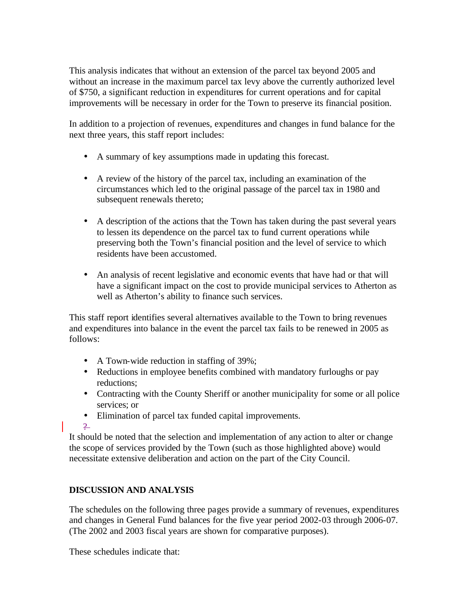This analysis indicates that without an extension of the parcel tax beyond 2005 and without an increase in the maximum parcel tax levy above the currently authorized level of \$750, a significant reduction in expenditures for current operations and for capital improvements will be necessary in order for the Town to preserve its financial position.

In addition to a projection of revenues, expenditures and changes in fund balance for the next three years, this staff report includes:

- A summary of key assumptions made in updating this forecast.
- A review of the history of the parcel tax, including an examination of the circumstances which led to the original passage of the parcel tax in 1980 and subsequent renewals thereto;
- A description of the actions that the Town has taken during the past several years to lessen its dependence on the parcel tax to fund current operations while preserving both the Town's financial position and the level of service to which residents have been accustomed.
- An analysis of recent legislative and economic events that have had or that will have a significant impact on the cost to provide municipal services to Atherton as well as Atherton's ability to finance such services.

This staff report identifies several alternatives available to the Town to bring revenues and expenditures into balance in the event the parcel tax fails to be renewed in 2005 as follows:

- A Town-wide reduction in staffing of 39%;
- Reductions in employee benefits combined with mandatory furloughs or pay reductions;
- Contracting with the County Sheriff or another municipality for some or all police services; or
- Elimination of parcel tax funded capital improvements.
- $\overline{2}$

It should be noted that the selection and implementation of any action to alter or change the scope of services provided by the Town (such as those highlighted above) would necessitate extensive deliberation and action on the part of the City Council.

# **DISCUSSION AND ANALYSIS**

The schedules on the following three pages provide a summary of revenues, expenditures and changes in General Fund balances for the five year period 2002-03 through 2006-07. (The 2002 and 2003 fiscal years are shown for comparative purposes).

These schedules indicate that: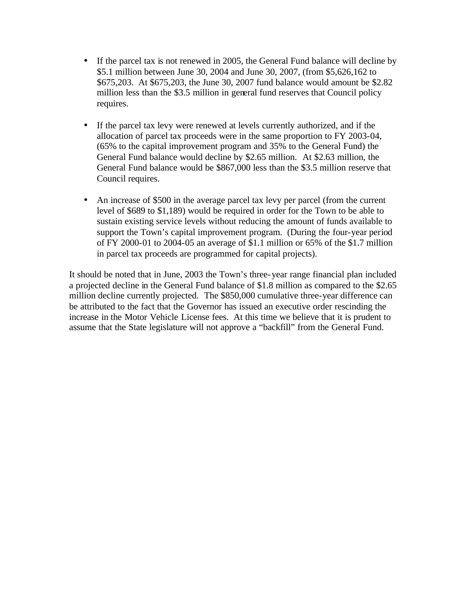- If the parcel tax is not renewed in 2005, the General Fund balance will decline by \$5.1 million between June 30, 2004 and June 30, 2007, (from \$5,626,162 to \$675,203. At \$675,203, the June 30, 2007 fund balance would amount be \$2.82 million less than the \$3.5 million in general fund reserves that Council policy requires.
- If the parcel tax levy were renewed at levels currently authorized, and if the allocation of parcel tax proceeds were in the same proportion to FY 2003-04, (65% to the capital improvement program and 35% to the General Fund) the General Fund balance would decline by \$2.65 million. At \$2.63 million, the General Fund balance would be \$867,000 less than the \$3.5 million reserve that Council requires.
- An increase of \$500 in the average parcel tax levy per parcel (from the current level of \$689 to \$1,189) would be required in order for the Town to be able to sustain existing service levels without reducing the amount of funds available to support the Town's capital improvement program. (During the four-year period of FY 2000-01 to 2004-05 an average of \$1.1 million or 65% of the \$1.7 million in parcel tax proceeds are programmed for capital projects).

It should be noted that in June, 2003 the Town's three-year range financial plan included a projected decline in the General Fund balance of \$1.8 million as compared to the \$2.65 million decline currently projected. The \$850,000 cumulative three-year difference can be attributed to the fact that the Governor has issued an executive order rescinding the increase in the Motor Vehicle License fees. At this time we believe that it is prudent to assume that the State legislature will not approve a "backfill" from the General Fund.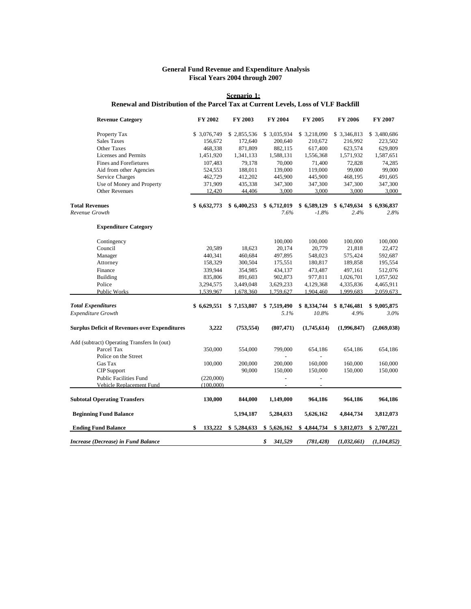#### **General Fund Revenue and Expenditure Analysis Fiscal Years 2004 through 2007**

#### **Scenario 1: Renewal and Distribution of the Parcel Tax at Current Levels, Loss of VLF Backfill**

| <b>Revenue Category</b>                              | FY 2002       | FY 2003     | FY 2004        | FY 2005                  | FY 2006      | FY 2007      |
|------------------------------------------------------|---------------|-------------|----------------|--------------------------|--------------|--------------|
| Property Tax                                         | \$ 3,076,749  | \$2,855,536 | \$ 3,035,934   | \$3,218,090              | \$ 3,346,813 | \$ 3,480,686 |
| <b>Sales Taxes</b>                                   | 156,672       | 172,640     | 200,640        | 210,672                  | 216,992      | 223,502      |
| <b>Other Taxes</b>                                   | 468,338       | 871,809     | 882,115        | 617,400                  | 623,574      | 629,809      |
| Licenses and Permits                                 | 1,451,920     | 1,341,133   | 1,588,131      | 1,556,368                | 1,571,932    | 1,587,651    |
| <b>Fines and Forefietures</b>                        | 107,483       | 79,178      | 70,000         | 71,400                   | 72,828       | 74,285       |
| Aid from other Agencies                              | 524,553       | 188,011     | 139,000        | 119,000                  | 99,000       | 99,000       |
| Service Charges                                      | 462,729       | 412,202     | 445,900        | 445,900                  | 468,195      | 491,605      |
| Use of Money and Property                            | 371,909       | 435,338     | 347,300        | 347,300                  | 347,300      | 347,300      |
| <b>Other Revenues</b>                                | 12,420        | 44,406      | 3,000          | 3,000                    | 3,000        | 3,000        |
| <b>Total Revenues</b>                                | \$6,632,773   | \$6,400,253 | \$6,712,019    | \$6,589,129              | \$6,749,634  | \$6,936,837  |
| Revenue Growth                                       |               |             | 7.6%           | $-1.8%$                  | 2.4%         | 2.8%         |
| <b>Expenditure Category</b>                          |               |             |                |                          |              |              |
| Contingency                                          |               |             | 100,000        | 100,000                  | 100,000      | 100,000      |
| Council                                              | 20,589        | 18,623      | 20,174         | 20,779                   | 21,818       | 22,472       |
| Manager                                              | 440,341       | 460,684     | 497,895        | 548,023                  | 575,424      | 592,687      |
| Attorney                                             | 158,329       | 300,504     | 175,551        | 180,817                  | 189,858      | 195,554      |
| Finance                                              | 339,944       | 354,985     | 434,137        | 473,487                  | 497,161      | 512,076      |
| <b>Building</b>                                      | 835,806       | 891,603     | 902,873        | 977,811                  | 1,026,701    | 1,057,502    |
| Police                                               | 3,294,575     | 3,449,048   | 3,629,233      | 4,129,368                | 4,335,836    | 4,465,911    |
| Public Works                                         | 1,539,967     | 1,678,360   | 1,759,627      | 1,904,460                | 1,999,683    | 2,059,673    |
| <b>Total Expenditures</b>                            | \$6,629,551   | \$7,153,807 | \$7,519,490    | \$8,334,744              | \$8,746,481  | \$9,005,875  |
| Expenditure Growth                                   |               |             | 5.1%           | 10.8%                    | 4.9%         | $3.0\%$      |
| <b>Surplus Deficit of Revenues over Expenditures</b> | 3,222         | (753, 554)  | (807, 471)     | (1,745,614)              | (1,996,847)  | (2,069,038)  |
| Add (subtract) Operating Transfers In (out)          |               |             |                |                          |              |              |
| Parcel Tax                                           | 350,000       | 554,000     | 799,000        | 654,186                  | 654,186      | 654,186      |
| Police on the Street                                 |               |             |                |                          |              |              |
| Gas Tax                                              | 100,000       | 200,000     | 200,000        | 160,000                  | 160,000      | 160,000      |
| <b>CIP</b> Support                                   |               | 90,000      | 150,000        | 150,000                  | 150,000      | 150,000      |
| <b>Public Facilities Fund</b>                        | (220,000)     |             | $\overline{a}$ | $\overline{\phantom{a}}$ |              |              |
| Vehicle Replacement Fund                             | (100,000)     |             |                |                          |              |              |
| <b>Subtotal Operating Transfers</b>                  | 130,000       | 844,000     | 1,149,000      | 964,186                  | 964,186      | 964,186      |
| <b>Beginning Fund Balance</b>                        |               | 5,194,187   | 5,284,633      | 5,626,162                | 4,844,734    | 3,812,073    |
| <b>Ending Fund Balance</b>                           | \$<br>133,222 | \$5,284,633 | \$5,626,162    | \$4,844,734              | \$3,812,073  | \$2,707,221  |
| <b>Increase (Decrease) in Fund Balance</b>           |               |             | \$<br>341,529  | (781, 428)               | (1,032,661)  | (1,104,852)  |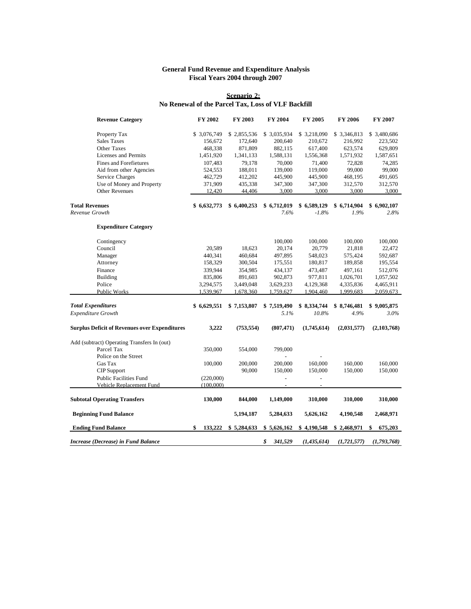#### **General Fund Revenue and Expenditure Analysis Fiscal Years 2004 through 2007**

#### **Scenario 2: No Renewal of the Parcel Tax, Loss of VLF Backfill**

| <b>Revenue Category</b>                              | FY 2002       | FY 2003     | FY 2004                  | FY 2005                  | FY 2006       | FY 2007       |
|------------------------------------------------------|---------------|-------------|--------------------------|--------------------------|---------------|---------------|
| Property Tax                                         | \$3,076,749   | \$2,855,536 | \$3,035,934              | \$3,218,090              | \$3,346,813   | \$3,480,686   |
| <b>Sales Taxes</b>                                   | 156,672       | 172,640     | 200,640                  | 210,672                  | 216,992       | 223,502       |
| <b>Other Taxes</b>                                   | 468,338       | 871,809     | 882,115                  | 617,400                  | 623,574       | 629,809       |
| Licenses and Permits                                 | 1,451,920     | 1,341,133   | 1,588,131                | 1,556,368                | 1,571,932     | 1,587,651     |
| <b>Fines and Forefietures</b>                        | 107,483       | 79,178      | 70,000                   | 71,400                   | 72.828        | 74,285        |
| Aid from other Agencies                              | 524,553       | 188,011     | 139,000                  | 119,000                  | 99,000        | 99,000        |
| Service Charges                                      | 462,729       | 412,202     | 445,900                  | 445,900                  | 468,195       | 491,605       |
| Use of Money and Property                            | 371,909       | 435,338     | 347,300                  | 347,300                  | 312,570       | 312,570       |
| Other Revenues                                       | 12,420        | 44,406      | 3,000                    | 3,000                    | 3,000         | 3,000         |
| <b>Total Revenues</b>                                | \$6,632,773   | \$6,400,253 | \$6,712,019              | \$6,589,129              | \$6,714,904   | \$6,902,107   |
| Revenue Growth                                       |               |             | 7.6%                     | $-1.8%$                  | 1.9%          | 2.8%          |
| <b>Expenditure Category</b>                          |               |             |                          |                          |               |               |
| Contingency                                          |               |             | 100,000                  | 100,000                  | 100,000       | 100,000       |
| Council                                              | 20,589        | 18,623      | 20,174                   | 20,779                   | 21,818        | 22,472        |
| Manager                                              | 440,341       | 460,684     | 497,895                  | 548,023                  | 575,424       | 592,687       |
| Attorney                                             | 158,329       | 300,504     | 175,551                  | 180,817                  | 189,858       | 195,554       |
| Finance                                              | 339,944       | 354,985     | 434,137                  | 473,487                  | 497,161       | 512,076       |
| Building                                             | 835,806       | 891,603     | 902,873                  | 977,811                  | 1,026,701     | 1,057,502     |
| Police                                               | 3,294,575     | 3,449,048   | 3,629,233                | 4,129,368                | 4,335,836     | 4,465,911     |
| Public Works                                         | 1,539,967     | 1,678,360   | 1,759,627                | 1,904,460                | 1,999,683     | 2,059,673     |
| <b>Total Expenditures</b>                            | \$6,629,551   | \$7,153,807 | \$7,519,490              | \$8,334,744              | \$8,746,481   | \$9,005,875   |
| Expenditure Growth                                   |               |             | 5.1%                     | 10.8%                    | 4.9%          | 3.0%          |
| <b>Surplus Deficit of Revenues over Expenditures</b> | 3,222         | (753, 554)  | (807, 471)               | (1,745,614)              | (2,031,577)   | (2,103,768)   |
| Add (subtract) Operating Transfers In (out)          |               |             |                          |                          |               |               |
| Parcel Tax                                           | 350,000       | 554,000     | 799,000                  |                          |               |               |
| Police on the Street                                 |               |             |                          |                          |               |               |
| Gas Tax                                              | 100,000       | 200,000     | 200,000                  | 160,000                  | 160,000       | 160,000       |
| <b>CIP</b> Support                                   |               | 90,000      | 150,000                  | 150,000                  | 150,000       | 150,000       |
| <b>Public Facilities Fund</b>                        | (220,000)     |             | $\frac{1}{2}$            | $\frac{1}{2}$            |               |               |
| Vehicle Replacement Fund                             | (100,000)     |             | $\overline{\phantom{a}}$ | $\overline{\phantom{a}}$ |               |               |
| <b>Subtotal Operating Transfers</b>                  | 130,000       | 844,000     | 1,149,000                | 310,000                  | 310,000       | 310,000       |
| <b>Beginning Fund Balance</b>                        |               | 5,194,187   | 5,284,633                | 5,626,162                | 4,190,548     | 2,468,971     |
| <b>Ending Fund Balance</b>                           | \$<br>133,222 | \$5,284,633 | \$5,626,162              | \$4,190,548              | \$2,468,971   | 675,203<br>\$ |
| Increase (Decrease) in Fund Balance                  |               |             | \$<br>341,529            | (1, 435, 614)            | (1, 721, 577) | (1,793,768)   |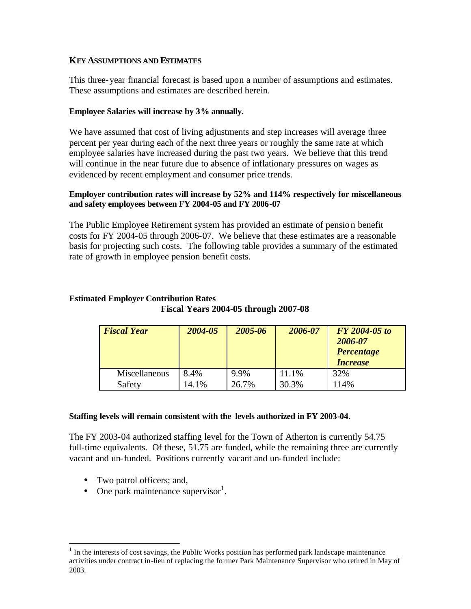## **KEY ASSUMPTIONS AND ESTIMATES**

This three-year financial forecast is based upon a number of assumptions and estimates. These assumptions and estimates are described herein.

## **Employee Salaries will increase by 3% annually.**

We have assumed that cost of living adjustments and step increases will average three percent per year during each of the next three years or roughly the same rate at which employee salaries have increased during the past two years. We believe that this trend will continue in the near future due to absence of inflationary pressures on wages as evidenced by recent employment and consumer price trends.

### **Employer contribution rates will increase by 52% and 114% respectively for miscellaneous and safety employees between FY 2004-05 and FY 2006-07**

The Public Employee Retirement system has provided an estimate of pension benefit costs for FY 2004-05 through 2006-07. We believe that these estimates are a reasonable basis for projecting such costs. The following table provides a summary of the estimated rate of growth in employee pension benefit costs.

## **Estimated Employer Contribution Rates Fiscal Years 2004-05 through 2007-08**

| <b>Fiscal Year</b> | 2004-05 | 2005-06 | 2006-07 | FY 2004-05 to<br>2006-07<br><b>Percentage</b><br><b>Increase</b> |
|--------------------|---------|---------|---------|------------------------------------------------------------------|
| Miscellaneous      | 8.4%    | 9.9%    | 11.1%   | 32%                                                              |
| Safety             | 14.1%   | 26.7%   | 30.3%   | 114%                                                             |

## **Staffing levels will remain consistent with the levels authorized in FY 2003-04.**

The FY 2003-04 authorized staffing level for the Town of Atherton is currently 54.75 full-time equivalents. Of these, 51.75 are funded, while the remaining three are currently vacant and un-funded. Positions currently vacant and un-funded include:

• Two patrol officers; and,

 $\overline{a}$ 

• One park maintenance supervisor<sup>1</sup>.

 $<sup>1</sup>$  In the interests of cost savings, the Public Works position has performed park landscape maintenance</sup> activities under contract in-lieu of replacing the former Park Maintenance Supervisor who retired in May of 2003.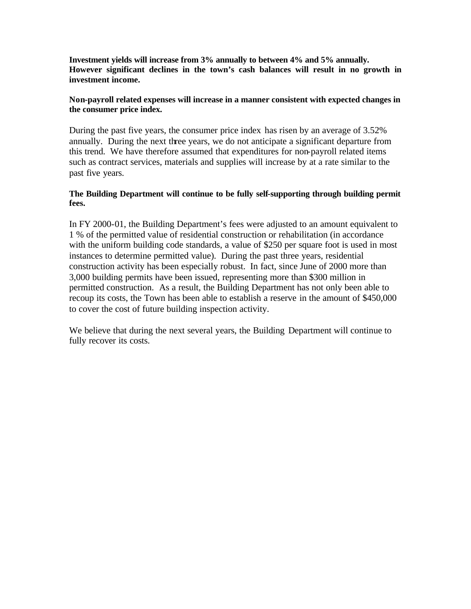**Investment yields will increase from 3% annually to between 4% and 5% annually. However significant declines in the town's cash balances will result in no growth in investment income.**

## **Non-payroll related expenses will increase in a manner consistent with expected changes in the consumer price index.**

During the past five years, the consumer price index has risen by an average of 3.52% annually. During the next three years, we do not anticipate a significant departure from this trend. We have therefore assumed that expenditures for non-payroll related items such as contract services, materials and supplies will increase by at a rate similar to the past five years.

## **The Building Department will continue to be fully self-supporting through building permit fees.**

In FY 2000-01, the Building Department's fees were adjusted to an amount equivalent to 1 % of the permitted value of residential construction or rehabilitation (in accordance with the uniform building code standards, a value of \$250 per square foot is used in most instances to determine permitted value). During the past three years, residential construction activity has been especially robust. In fact, since June of 2000 more than 3,000 building permits have been issued, representing more than \$300 million in permitted construction. As a result, the Building Department has not only been able to recoup its costs, the Town has been able to establish a reserve in the amount of \$450,000 to cover the cost of future building inspection activity.

We believe that during the next several years, the Building Department will continue to fully recover its costs.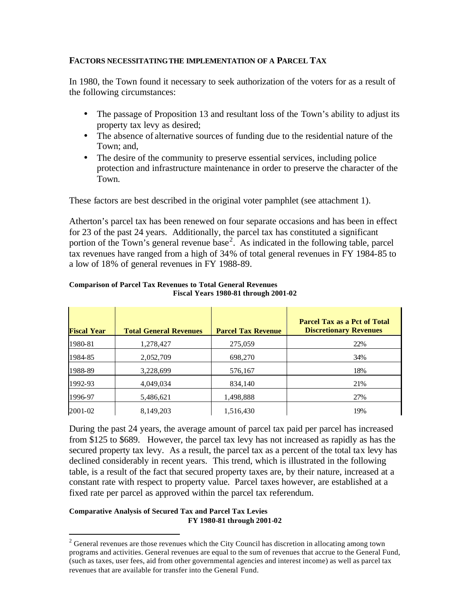## **FACTORS NECESSITATING THE IMPLEMENTATION OF A PARCEL TAX**

In 1980, the Town found it necessary to seek authorization of the voters for as a result of the following circumstances:

- The passage of Proposition 13 and resultant loss of the Town's ability to adjust its property tax levy as desired;
- The absence of alternative sources of funding due to the residential nature of the Town; and,
- The desire of the community to preserve essential services, including police protection and infrastructure maintenance in order to preserve the character of the Town.

These factors are best described in the original voter pamphlet (see attachment 1).

Atherton's parcel tax has been renewed on four separate occasions and has been in effect for 23 of the past 24 years. Additionally, the parcel tax has constituted a significant portion of the Town's general revenue base<sup>2</sup>. As indicated in the following table, parcel tax revenues have ranged from a high of 34% of total general revenues in FY 1984-85 to a low of 18% of general revenues in FY 1988-89.

| <b>Fiscal Year</b> | <b>Total General Revenues</b> | <b>Parcel Tax Revenue</b> | <b>Parcel Tax as a Pct of Total</b><br><b>Discretionary Revenues</b> |
|--------------------|-------------------------------|---------------------------|----------------------------------------------------------------------|
| 1980-81            | 1,278,427                     | 275,059                   | 22%                                                                  |
| 1984-85            | 2,052,709                     | 698,270                   | 34%                                                                  |
| 1988-89            | 3,228,699                     | 576,167                   | 18%                                                                  |
| 1992-93            | 4,049,034                     | 834,140                   | 21%                                                                  |
| 1996-97            | 5,486,621                     | 1,498,888                 | 27%                                                                  |
| 2001-02            | 8,149,203                     | 1,516,430                 | 19%                                                                  |

#### **Comparison of Parcel Tax Revenues to Total General Revenues Fiscal Years 1980-81 through 2001-02**

During the past 24 years, the average amount of parcel tax paid per parcel has increased from \$125 to \$689. However, the parcel tax levy has not increased as rapidly as has the secured property tax levy. As a result, the parcel tax as a percent of the total tax levy has declined considerably in recent years. This trend, which is illustrated in the following table, is a result of the fact that secured property taxes are, by their nature, increased at a constant rate with respect to property value. Parcel taxes however, are established at a fixed rate per parcel as approved within the parcel tax referendum.

## **Comparative Analysis of Secured Tax and Parcel Tax Levies FY 1980-81 through 2001-02**

 $\overline{a}$ 

 $2^2$  General revenues are those revenues which the City Council has discretion in allocating among town programs and activities. General revenues are equal to the sum of revenues that accrue to the General Fund, (such as taxes, user fees, aid from other governmental agencies and interest income) as well as parcel tax revenues that are available for transfer into the General Fund.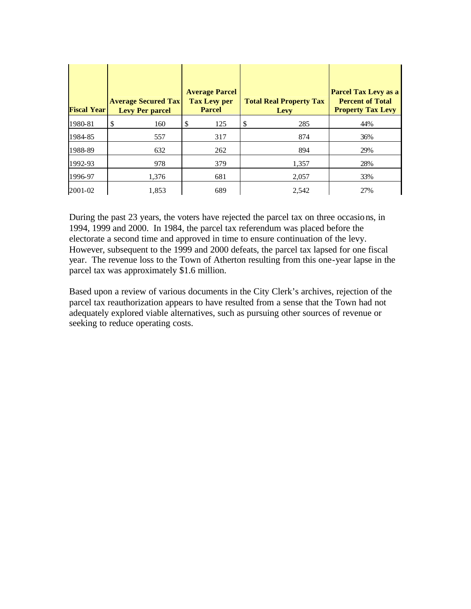| <b>Fiscal Year</b> | <b>Average Secured Tax</b><br><b>Levy Per parcel</b> | <b>Average Parcel</b><br><b>Tax Levy per</b><br><b>Parcel</b> | <b>Total Real Property Tax</b><br>Levy | <b>Parcel Tax Levy as a</b><br><b>Percent of Total</b><br><b>Property Tax Levy</b> |
|--------------------|------------------------------------------------------|---------------------------------------------------------------|----------------------------------------|------------------------------------------------------------------------------------|
| 1980-81            | \$<br>160                                            | \$<br>125                                                     | \$<br>285                              | 44%                                                                                |
| 1984-85            | 557                                                  | 317                                                           | 874                                    | 36%                                                                                |
| 1988-89            | 632                                                  | 262                                                           | 894                                    | 29%                                                                                |
| 1992-93            | 978                                                  | 379                                                           | 1,357                                  | 28%                                                                                |
| 1996-97            | 1,376                                                | 681                                                           | 2,057                                  | 33%                                                                                |
| 2001-02            | 1,853                                                | 689                                                           | 2,542                                  | 27%                                                                                |

During the past 23 years, the voters have rejected the parcel tax on three occasions, in 1994, 1999 and 2000. In 1984, the parcel tax referendum was placed before the electorate a second time and approved in time to ensure continuation of the levy. However, subsequent to the 1999 and 2000 defeats, the parcel tax lapsed for one fiscal year. The revenue loss to the Town of Atherton resulting from this one-year lapse in the parcel tax was approximately \$1.6 million.

Based upon a review of various documents in the City Clerk's archives, rejection of the parcel tax reauthorization appears to have resulted from a sense that the Town had not adequately explored viable alternatives, such as pursuing other sources of revenue or seeking to reduce operating costs.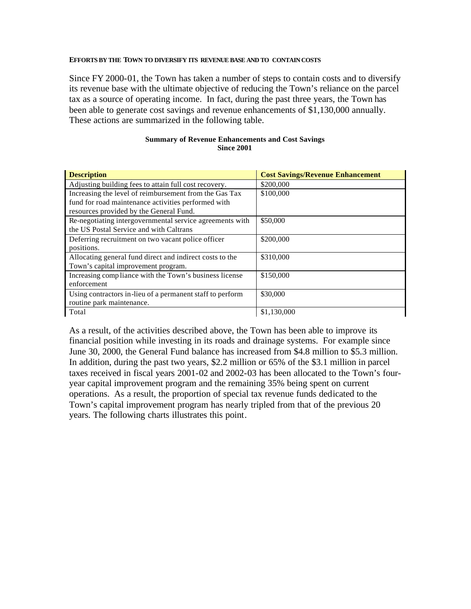#### **EFFORTS BY THE TOWN TO DIVERSIFY ITS REVENUE BASE AND TO CONTAIN COSTS**

Since FY 2000-01, the Town has taken a number of steps to contain costs and to diversify its revenue base with the ultimate objective of reducing the Town's reliance on the parcel tax as a source of operating income. In fact, during the past three years, the Town has been able to generate cost savings and revenue enhancements of \$1,130,000 annually. These actions are summarized in the following table.

#### **Summary of Revenue Enhancements and Cost Savings Since 2001**

| <b>Description</b>                                        | <b>Cost Savings/Revenue Enhancement</b> |
|-----------------------------------------------------------|-----------------------------------------|
| Adjusting building fees to attain full cost recovery.     | \$200,000                               |
| Increasing the level of reimbursement from the Gas Tax    | \$100,000                               |
| fund for road maintenance activities performed with       |                                         |
| resources provided by the General Fund.                   |                                         |
| Re-negotiating intergovernmental service agreements with  | \$50,000                                |
| the US Postal Service and with Caltrans                   |                                         |
| Deferring recruitment on two vacant police officer        | \$200,000                               |
| positions.                                                |                                         |
| Allocating general fund direct and indirect costs to the  | \$310,000                               |
| Town's capital improvement program.                       |                                         |
| Increasing compliance with the Town's business license    | \$150,000                               |
| enforcement                                               |                                         |
| Using contractors in-lieu of a permanent staff to perform | \$30,000                                |
| routine park maintenance.                                 |                                         |
| Total                                                     | \$1,130,000                             |

As a result, of the activities described above, the Town has been able to improve its financial position while investing in its roads and drainage systems. For example since June 30, 2000, the General Fund balance has increased from \$4.8 million to \$5.3 million. In addition, during the past two years, \$2.2 million or 65% of the \$3.1 million in parcel taxes received in fiscal years 2001-02 and 2002-03 has been allocated to the Town's fouryear capital improvement program and the remaining 35% being spent on current operations. As a result, the proportion of special tax revenue funds dedicated to the Town's capital improvement program has nearly tripled from that of the previous 20 years. The following charts illustrates this point.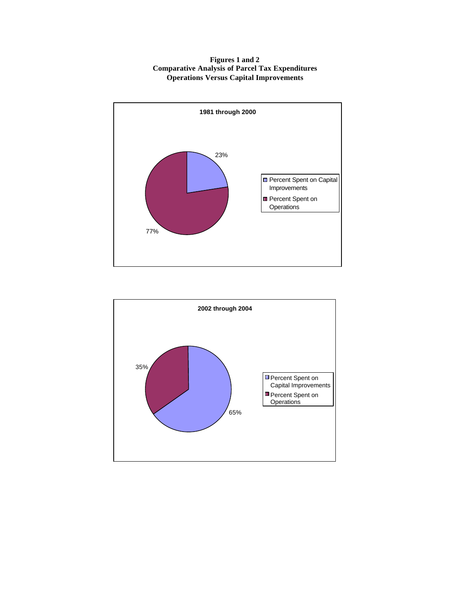#### **Figures 1 and 2 Comparative Analysis of Parcel Tax Expenditures Operations Versus Capital Improvements**



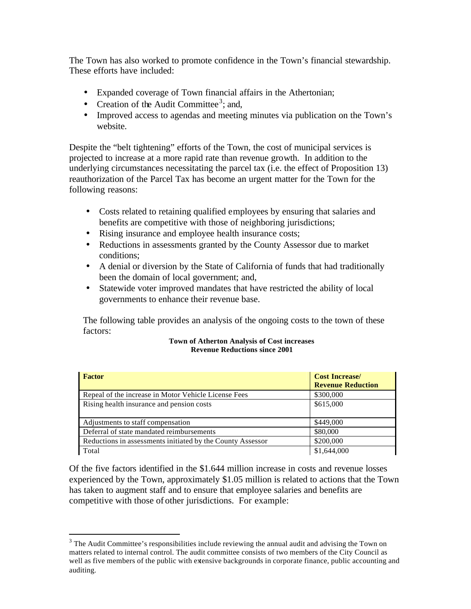The Town has also worked to promote confidence in the Town's financial stewardship. These efforts have included:

- Expanded coverage of Town financial affairs in the Athertonian;
- Creation of the Audit Committee<sup>3</sup>; and,
- Improved access to agendas and meeting minutes via publication on the Town's website.

Despite the "belt tightening" efforts of the Town, the cost of municipal services is projected to increase at a more rapid rate than revenue growth. In addition to the underlying circumstances necessitating the parcel tax (i.e. the effect of Proposition 13) reauthorization of the Parcel Tax has become an urgent matter for the Town for the following reasons:

- Costs related to retaining qualified employees by ensuring that salaries and benefits are competitive with those of neighboring jurisdictions;
- Rising insurance and employee health insurance costs;
- Reductions in assessments granted by the County Assessor due to market conditions;
- A denial or diversion by the State of California of funds that had traditionally been the domain of local government; and,
- Statewide voter improved mandates that have restricted the ability of local governments to enhance their revenue base.

The following table provides an analysis of the ongoing costs to the town of these factors:

#### **Town of Atherton Analysis of Cost increases Revenue Reductions since 2001**

| Factor                                                     | <b>Cost Increase/</b><br><b>Revenue Reduction</b> |
|------------------------------------------------------------|---------------------------------------------------|
| Repeal of the increase in Motor Vehicle License Fees       | \$300,000                                         |
| Rising health insurance and pension costs                  | \$615,000                                         |
| Adjustments to staff compensation                          | \$449,000                                         |
| Deferral of state mandated reimbursements                  | \$80,000                                          |
| Reductions in assessments initiated by the County Assessor | \$200,000                                         |
| Total                                                      | \$1,644,000                                       |

Of the five factors identified in the \$1.644 million increase in costs and revenue losses experienced by the Town, approximately \$1.05 million is related to actions that the Town has taken to augment staff and to ensure that employee salaries and benefits are competitive with those of other jurisdictions. For example:

 $\overline{a}$ 

 $3$  The Audit Committee's responsibilities include reviewing the annual audit and advising the Town on matters related to internal control. The audit committee consists of two members of the City Council as well as five members of the public with extensive backgrounds in corporate finance, public accounting and auditing.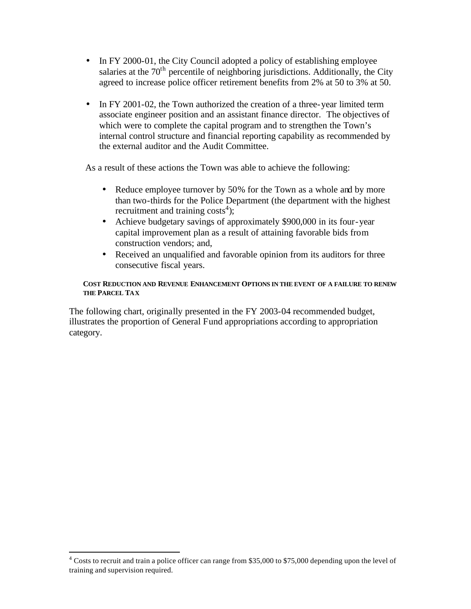- In FY 2000-01, the City Council adopted a policy of establishing employee salaries at the  $70<sup>th</sup>$  percentile of neighboring jurisdictions. Additionally, the City agreed to increase police officer retirement benefits from 2% at 50 to 3% at 50.
- In FY 2001-02, the Town authorized the creation of a three-year limited term associate engineer position and an assistant finance director. The objectives of which were to complete the capital program and to strengthen the Town's internal control structure and financial reporting capability as recommended by the external auditor and the Audit Committee.

As a result of these actions the Town was able to achieve the following:

- Reduce employee turnover by 50% for the Town as a whole and by more than two-thirds for the Police Department (the department with the highest recruitment and training  $costs<sup>4</sup>$ );
- Achieve budgetary savings of approximately \$900,000 in its four-year capital improvement plan as a result of attaining favorable bids from construction vendors; and,
- Received an unqualified and favorable opinion from its auditors for three consecutive fiscal years.

## **COST REDUCTION AND REVENUE ENHANCEMENT OPTIONS IN THE EVENT OF A FAILURE TO RENEW THE PARCEL TAX**

The following chart, originally presented in the FY 2003-04 recommended budget, illustrates the proportion of General Fund appropriations according to appropriation category.

 $\overline{a}$ 

<sup>&</sup>lt;sup>4</sup> Costs to recruit and train a police officer can range from \$35,000 to \$75,000 depending upon the level of training and supervision required.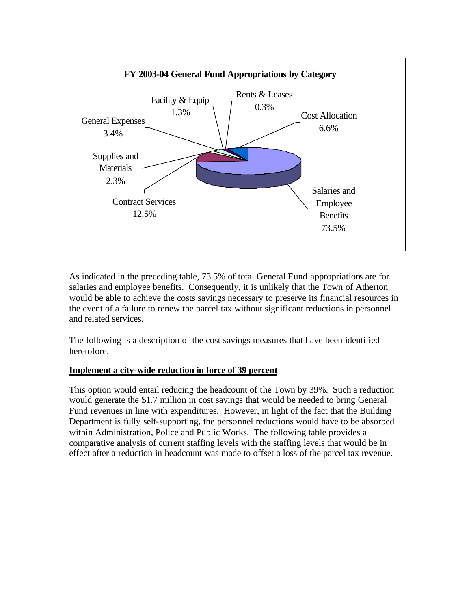

As indicated in the preceding table, 73.5% of total General Fund appropriations are for salaries and employee benefits. Consequently, it is unlikely that the Town of Atherton would be able to achieve the costs savings necessary to preserve its financial resources in the event of a failure to renew the parcel tax without significant reductions in personnel and related services.

The following is a description of the cost savings measures that have been identified heretofore.

# **Implement a city-wide reduction in force of 39 percent**

This option would entail reducing the headcount of the Town by 39%. Such a reduction would generate the \$1.7 million in cost savings that would be needed to bring General Fund revenues in line with expenditures. However, in light of the fact that the Building Department is fully self-supporting, the personnel reductions would have to be absorbed within Administration, Police and Public Works. The following table provides a comparative analysis of current staffing levels with the staffing levels that would be in effect after a reduction in headcount was made to offset a loss of the parcel tax revenue.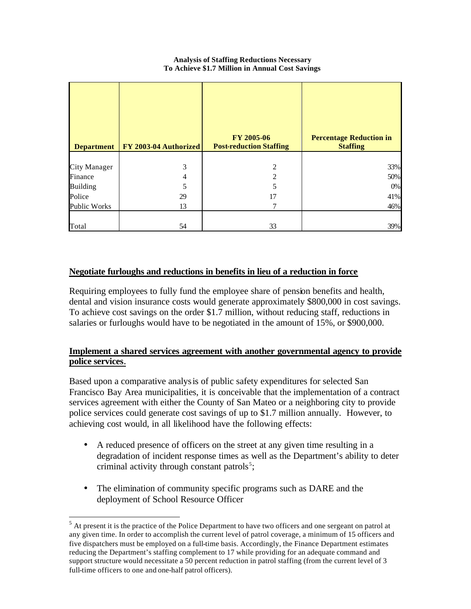#### **Analysis of Staffing Reductions Necessary To Achieve \$1.7 Million in Annual Cost Savings**

| <b>Department</b>   | <b>FY 2003-04 Authorized</b> | FY 2005-06<br><b>Post-reduction Staffing</b> | <b>Percentage Reduction in</b><br><b>Staffing</b> |
|---------------------|------------------------------|----------------------------------------------|---------------------------------------------------|
| <b>City Manager</b> | 3                            | 2                                            | 33%                                               |
| Finance             | 4                            | $\overline{2}$                               | 50%                                               |
| <b>Building</b>     | 5                            | 5                                            | 0%                                                |
| Police              | 29                           | 17                                           | 41%                                               |
| <b>Public Works</b> | 13                           | 7                                            | 46%                                               |
| Total               | 54                           | 33                                           | 39%                                               |

# **Negotiate furloughs and reductions in benefits in lieu of a reduction in force**

Requiring employees to fully fund the employee share of pension benefits and health, dental and vision insurance costs would generate approximately \$800,000 in cost savings. To achieve cost savings on the order \$1.7 million, without reducing staff, reductions in salaries or furloughs would have to be negotiated in the amount of 15%, or \$900,000.

# **Implement a shared services agreement with another governmental agency to provide police services.**

Based upon a comparative analysis of public safety expenditures for selected San Francisco Bay Area municipalities, it is conceivable that the implementation of a contract services agreement with either the County of San Mateo or a neighboring city to provide police services could generate cost savings of up to \$1.7 million annually. However, to achieving cost would, in all likelihood have the following effects:

- A reduced presence of officers on the street at any given time resulting in a degradation of incident response times as well as the Department's ability to deter criminal activity through constant patrols<sup>5</sup>;
- The elimination of community specific programs such as DARE and the deployment of School Resource Officer

 $\overline{a}$ 

<sup>&</sup>lt;sup>5</sup> At present it is the practice of the Police Department to have two officers and one sergeant on patrol at any given time. In order to accomplish the current level of patrol coverage, a minimum of 15 officers and five dispatchers must be employed on a full-time basis. Accordingly, the Finance Department estimates reducing the Department's staffing complement to 17 while providing for an adequate command and support structure would necessitate a 50 percent reduction in patrol staffing (from the current level of 3 full-time officers to one and one-half patrol officers).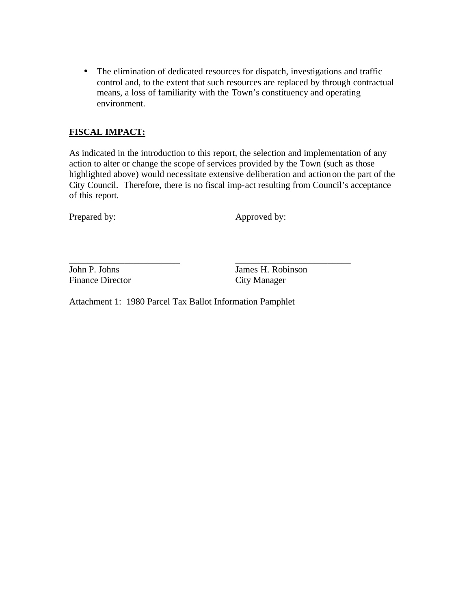• The elimination of dedicated resources for dispatch, investigations and traffic control and, to the extent that such resources are replaced by through contractual means, a loss of familiarity with the Town's constituency and operating environment.

# **FISCAL IMPACT:**

As indicated in the introduction to this report, the selection and implementation of any action to alter or change the scope of services provided by the Town (such as those highlighted above) would necessitate extensive deliberation and actionon the part of the City Council. Therefore, there is no fiscal imp-act resulting from Council's acceptance of this report.

Prepared by: Approved by:

\_\_\_\_\_\_\_\_\_\_\_\_\_\_\_\_\_\_\_\_\_\_\_\_ \_\_\_\_\_\_\_\_\_\_\_\_\_\_\_\_\_\_\_\_\_\_\_\_\_ Finance Director

John P. Johns James H. Robinson<br>Finance Director City Manager

Attachment 1: 1980 Parcel Tax Ballot Information Pamphlet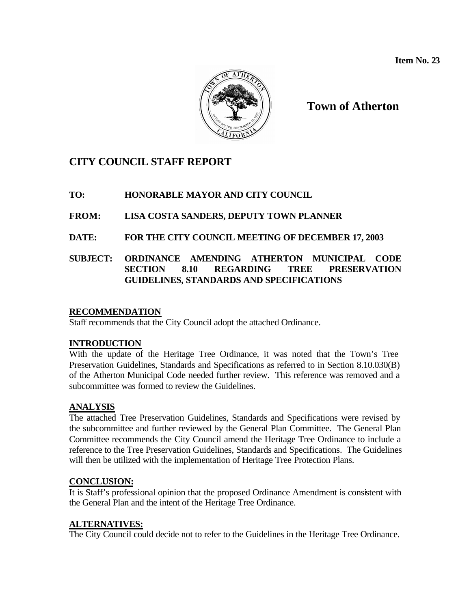**Item No. 23**



**Town of Atherton**

# **CITY COUNCIL STAFF REPORT**

# **TO: HONORABLE MAYOR AND CITY COUNCIL**

# **FROM: LISA COSTA SANDERS, DEPUTY TOWN PLANNER**

# **DATE: FOR THE CITY COUNCIL MEETING OF DECEMBER 17, 2003**

# **SUBJECT: ORDINANCE AMENDING ATHERTON MUNICIPAL CODE SECTION 8.10 REGARDING TREE PRESERVATION GUIDELINES, STANDARDS AND SPECIFICATIONS**

# **RECOMMENDATION**

Staff recommends that the City Council adopt the attached Ordinance.

## **INTRODUCTION**

With the update of the Heritage Tree Ordinance, it was noted that the Town's Tree Preservation Guidelines, Standards and Specifications as referred to in Section 8.10.030(B) of the Atherton Municipal Code needed further review. This reference was removed and a subcommittee was formed to review the Guidelines.

# **ANALYSIS**

The attached Tree Preservation Guidelines, Standards and Specifications were revised by the subcommittee and further reviewed by the General Plan Committee. The General Plan Committee recommends the City Council amend the Heritage Tree Ordinance to include a reference to the Tree Preservation Guidelines, Standards and Specifications. The Guidelines will then be utilized with the implementation of Heritage Tree Protection Plans.

## **CONCLUSION:**

It is Staff's professional opinion that the proposed Ordinance Amendment is consistent with the General Plan and the intent of the Heritage Tree Ordinance.

# **ALTERNATIVES:**

The City Council could decide not to refer to the Guidelines in the Heritage Tree Ordinance.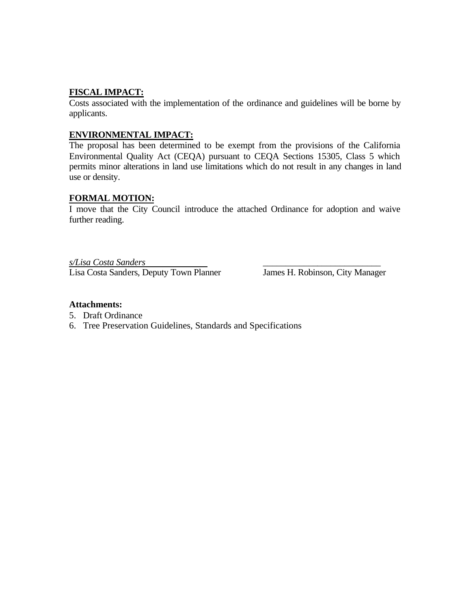# **FISCAL IMPACT:**

Costs associated with the implementation of the ordinance and guidelines will be borne by applicants.

# **ENVIRONMENTAL IMPACT:**

The proposal has been determined to be exempt from the provisions of the California Environmental Quality Act (CEQA) pursuant to CEQA Sections 15305, Class 5 which permits minor alterations in land use limitations which do not result in any changes in land use or density.

## **FORMAL MOTION:**

I move that the City Council introduce the attached Ordinance for adoption and waive further reading.

*s/Lisa Costa Sanders* \_\_\_\_\_\_\_\_\_\_\_\_\_\_\_\_\_\_\_\_\_\_\_\_\_\_ Lisa Costa Sanders, Deputy Town Planner James H. Robinson, City Manager

## **Attachments:**

- 5. Draft Ordinance
- 6. Tree Preservation Guidelines, Standards and Specifications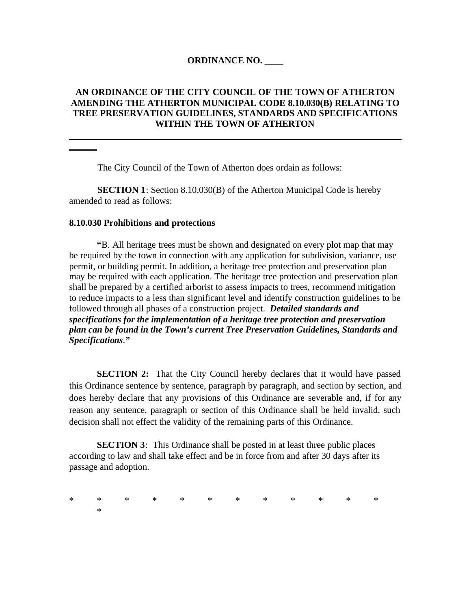## **ORDINANCE NO.** \_\_\_\_

## **AN ORDINANCE OF THE CITY COUNCIL OF THE TOWN OF ATHERTON AMENDING THE ATHERTON MUNICIPAL CODE 8.10.030(B) RELATING TO TREE PRESERVATION GUIDELINES, STANDARDS AND SPECIFICATIONS WITHIN THE TOWN OF ATHERTON**

The City Council of the Town of Atherton does ordain as follows:

**SECTION 1**: Section 8.10.030(B) of the Atherton Municipal Code is hereby amended to read as follows:

#### **8.10.030 Prohibitions and protections**

**"**B. All heritage trees must be shown and designated on every plot map that may be required by the town in connection with any application for subdivision, variance, use permit, or building permit. In addition, a heritage tree protection and preservation plan may be required with each application. The heritage tree protection and preservation plan shall be prepared by a certified arborist to assess impacts to trees, recommend mitigation to reduce impacts to a less than significant level and identify construction guidelines to be followed through all phases of a construction project. *Detailed standards and specifications for the implementation of a heritage tree protection and preservation plan can be found in the Town's current Tree Preservation Guidelines, Standards and Specifications*.*"*

**SECTION 2:** That the City Council hereby declares that it would have passed this Ordinance sentence by sentence, paragraph by paragraph, and section by section, and does hereby declare that any provisions of this Ordinance are severable and, if for any reason any sentence, paragraph or section of this Ordinance shall be held invalid, such decision shall not effect the validity of the remaining parts of this Ordinance.

**SECTION 3**: This Ordinance shall be posted in at least three public places according to law and shall take effect and be in force from and after 30 days after its passage and adoption.

\* \* \* \* \* \* \* \* \* \* \* \* \*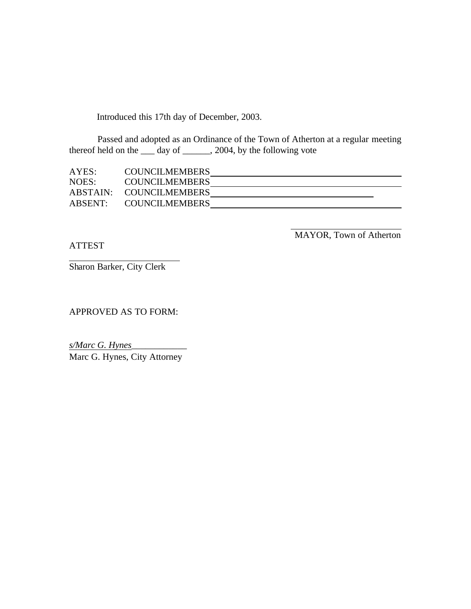Introduced this 17th day of December, 2003.

Passed and adopted as an Ordinance of the Town of Atherton at a regular meeting thereof held on the \_\_\_\_\_\_ day of \_\_\_\_\_\_\_, 2004, by the following vote

| AYES:   | <b>COUNCILMEMBERS</b>   |  |
|---------|-------------------------|--|
| NOES:   | <b>COUNCILMEMBERS</b>   |  |
|         | ABSTAIN: COUNCILMEMBERS |  |
| ABSENT: | COUNCILMEMBERS          |  |

ATTEST

MAYOR, Town of Atherton

Sharon Barker, City Clerk

APPROVED AS TO FORM:

*s/Marc G. Hynes*\_\_\_\_\_\_\_\_\_\_\_\_ Marc G. Hynes, City Attorney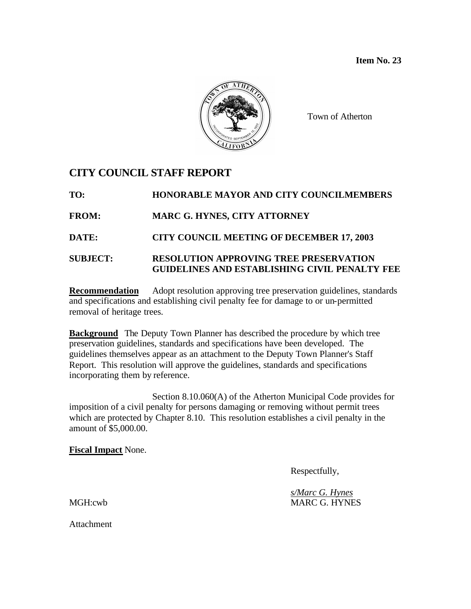**Item No. 23**



Town of Atherton

# **CITY COUNCIL STAFF REPORT**

**TO: HONORABLE MAYOR AND CITY COUNCILMEMBERS FROM: MARC G. HYNES, CITY ATTORNEY DATE: CITY COUNCIL MEETING OF DECEMBER 17, 2003 SUBJECT: RESOLUTION APPROVING TREE PRESERVATION GUIDELINES AND ESTABLISHING CIVIL PENALTY FEE**

**Recommendation** Adopt resolution approving tree preservation guidelines, standards and specifications and establishing civil penalty fee for damage to or un-permitted removal of heritage trees.

**Background** The Deputy Town Planner has described the procedure by which tree preservation guidelines, standards and specifications have been developed. The guidelines themselves appear as an attachment to the Deputy Town Planner's Staff Report. This resolution will approve the guidelines, standards and specifications incorporating them by reference.

Section 8.10.060(A) of the Atherton Municipal Code provides for imposition of a civil penalty for persons damaging or removing without permit trees which are protected by Chapter 8.10. This resolution establishes a civil penalty in the amount of \$5,000.00.

**Fiscal Impact** None.

Respectfully,

*s/Marc G. Hynes* MGH:cwb MARC G. HYNES

**Attachment**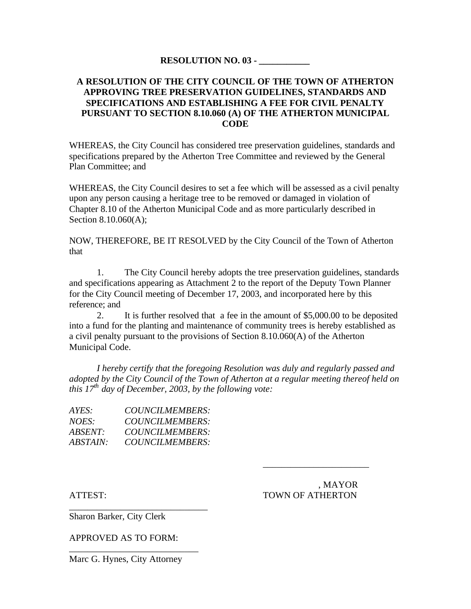## **RESOLUTION NO. 03 - \_\_\_\_\_\_\_\_\_\_\_**

## **A RESOLUTION OF THE CITY COUNCIL OF THE TOWN OF ATHERTON APPROVING TREE PRESERVATION GUIDELINES, STANDARDS AND SPECIFICATIONS AND ESTABLISHING A FEE FOR CIVIL PENALTY PURSUANT TO SECTION 8.10.060 (A) OF THE ATHERTON MUNICIPAL CODE**

WHEREAS, the City Council has considered tree preservation guidelines, standards and specifications prepared by the Atherton Tree Committee and reviewed by the General Plan Committee; and

WHEREAS, the City Council desires to set a fee which will be assessed as a civil penalty upon any person causing a heritage tree to be removed or damaged in violation of Chapter 8.10 of the Atherton Municipal Code and as more particularly described in Section 8.10.060(A);

NOW, THEREFORE, BE IT RESOLVED by the City Council of the Town of Atherton that

1. The City Council hereby adopts the tree preservation guidelines, standards and specifications appearing as Attachment 2 to the report of the Deputy Town Planner for the City Council meeting of December 17, 2003, and incorporated here by this reference; and

2. It is further resolved that a fee in the amount of \$5,000.00 to be deposited into a fund for the planting and maintenance of community trees is hereby established as a civil penalty pursuant to the provisions of Section 8.10.060(A) of the Atherton Municipal Code.

*I hereby certify that the foregoing Resolution was duly and regularly passed and adopted by the City Council of the Town of Atherton at a regular meeting thereof held on this 17th day of December, 2003, by the following vote:*

| AYES:           | <i>COUNCILMEMBERS:</i> |
|-----------------|------------------------|
| <i>NOES:</i>    | <i>COUNCILMEMBERS:</i> |
| <i>ABSENT:</i>  | COUNCILMEMBERS:        |
| <i>ABSTAIN:</i> | COUNCILMEMBERS:        |

\_\_\_\_\_\_\_\_\_\_\_\_\_\_\_\_\_\_\_\_\_\_\_\_\_\_\_\_\_\_

 , MAYOR ATTEST: TOWN OF ATHERTON

\_\_\_\_\_\_\_\_\_\_\_\_\_\_\_\_\_\_\_\_\_\_\_

Sharon Barker, City Clerk

APPROVED AS TO FORM:

Marc G. Hynes, City Attorney

\_\_\_\_\_\_\_\_\_\_\_\_\_\_\_\_\_\_\_\_\_\_\_\_\_\_\_\_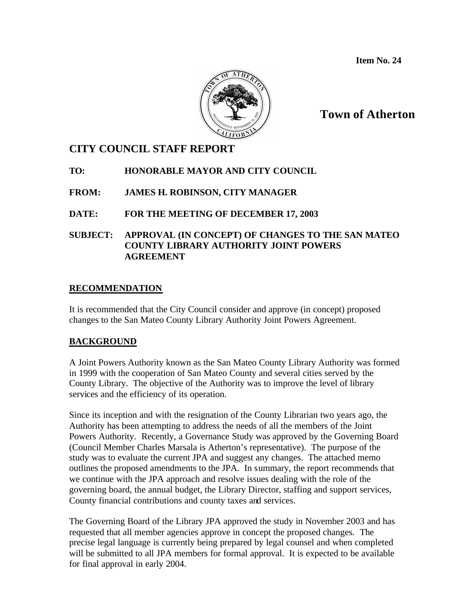**Item No. 24**



# **Town of Atherton**

# **CITY COUNCIL STAFF REPORT**

# **TO: HONORABLE MAYOR AND CITY COUNCIL**

**FROM: JAMES H. ROBINSON, CITY MANAGER**

# **DATE: FOR THE MEETING OF DECEMBER 17, 2003**

# **SUBJECT: APPROVAL (IN CONCEPT) OF CHANGES TO THE SAN MATEO COUNTY LIBRARY AUTHORITY JOINT POWERS AGREEMENT**

# **RECOMMENDATION**

It is recommended that the City Council consider and approve (in concept) proposed changes to the San Mateo County Library Authority Joint Powers Agreement.

# **BACKGROUND**

A Joint Powers Authority known as the San Mateo County Library Authority was formed in 1999 with the cooperation of San Mateo County and several cities served by the County Library. The objective of the Authority was to improve the level of library services and the efficiency of its operation.

Since its inception and with the resignation of the County Librarian two years ago, the Authority has been attempting to address the needs of all the members of the Joint Powers Authority. Recently, a Governance Study was approved by the Governing Board (Council Member Charles Marsala is Atherton's representative). The purpose of the study was to evaluate the current JPA and suggest any changes. The attached memo outlines the proposed amendments to the JPA. In summary, the report recommends that we continue with the JPA approach and resolve issues dealing with the role of the governing board, the annual budget, the Library Director, staffing and support services, County financial contributions and county taxes and services.

The Governing Board of the Library JPA approved the study in November 2003 and has requested that all member agencies approve in concept the proposed changes. The precise legal language is currently being prepared by legal counsel and when completed will be submitted to all JPA members for formal approval. It is expected to be available for final approval in early 2004.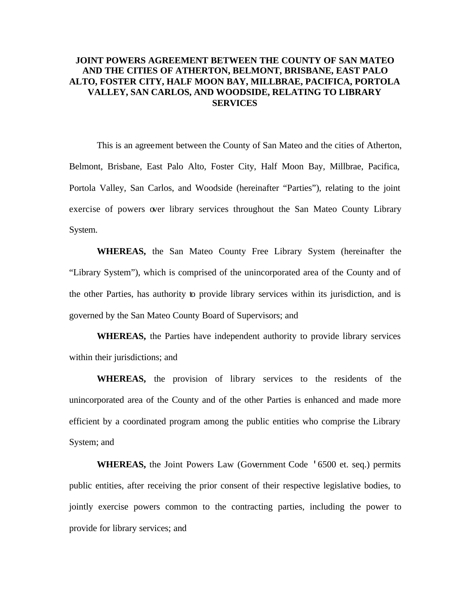## **JOINT POWERS AGREEMENT BETWEEN THE COUNTY OF SAN MATEO AND THE CITIES OF ATHERTON, BELMONT, BRISBANE, EAST PALO ALTO, FOSTER CITY, HALF MOON BAY, MILLBRAE, PACIFICA, PORTOLA VALLEY, SAN CARLOS, AND WOODSIDE, RELATING TO LIBRARY SERVICES**

This is an agreement between the County of San Mateo and the cities of Atherton, Belmont, Brisbane, East Palo Alto, Foster City, Half Moon Bay, Millbrae, Pacifica, Portola Valley, San Carlos, and Woodside (hereinafter "Parties"), relating to the joint exercise of powers over library services throughout the San Mateo County Library System.

**WHEREAS,** the San Mateo County Free Library System (hereinafter the "Library System"), which is comprised of the unincorporated area of the County and of the other Parties, has authority to provide library services within its jurisdiction, and is governed by the San Mateo County Board of Supervisors; and

**WHEREAS,** the Parties have independent authority to provide library services within their jurisdictions; and

**WHEREAS,** the provision of library services to the residents of the unincorporated area of the County and of the other Parties is enhanced and made more efficient by a coordinated program among the public entities who comprise the Library System; and

**WHEREAS,** the Joint Powers Law (Government Code '6500 et. seq.) permits public entities, after receiving the prior consent of their respective legislative bodies, to jointly exercise powers common to the contracting parties, including the power to provide for library services; and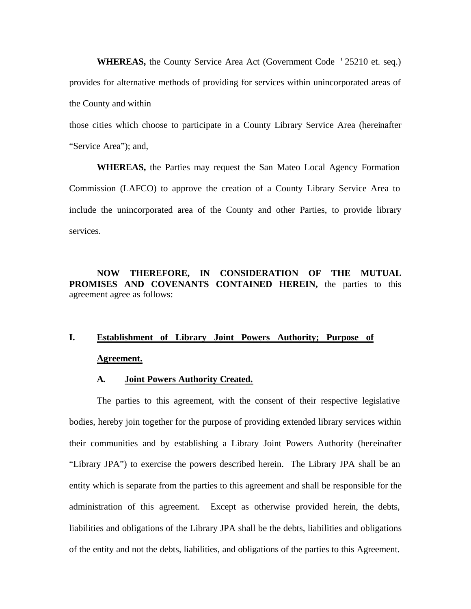**WHEREAS,** the County Service Area Act (Government Code '25210 et. seq.) provides for alternative methods of providing for services within unincorporated areas of the County and within

those cities which choose to participate in a County Library Service Area (hereinafter "Service Area"); and,

**WHEREAS,** the Parties may request the San Mateo Local Agency Formation Commission (LAFCO) to approve the creation of a County Library Service Area to include the unincorporated area of the County and other Parties, to provide library services.

**NOW THEREFORE, IN CONSIDERATION OF THE MUTUAL PROMISES AND COVENANTS CONTAINED HEREIN,** the parties to this agreement agree as follows:

# **I. Establishment of Library Joint Powers Authority; Purpose of Agreement.**

#### **A. Joint Powers Authority Created.**

The parties to this agreement, with the consent of their respective legislative bodies, hereby join together for the purpose of providing extended library services within their communities and by establishing a Library Joint Powers Authority (hereinafter "Library JPA") to exercise the powers described herein. The Library JPA shall be an entity which is separate from the parties to this agreement and shall be responsible for the administration of this agreement. Except as otherwise provided herein, the debts, liabilities and obligations of the Library JPA shall be the debts, liabilities and obligations of the entity and not the debts, liabilities, and obligations of the parties to this Agreement.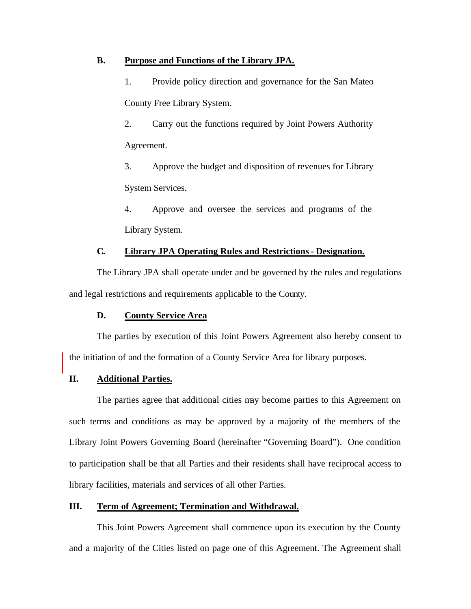## **B. Purpose and Functions of the Library JPA.**

1. Provide policy direction and governance for the San Mateo County Free Library System.

2. Carry out the functions required by Joint Powers Authority Agreement.

3. Approve the budget and disposition of revenues for Library System Services.

4. Approve and oversee the services and programs of the Library System.

# **C. Library JPA Operating Rules and Restrictions - Designation.**

The Library JPA shall operate under and be governed by the rules and regulations and legal restrictions and requirements applicable to the County.

## **D. County Service Area**

The parties by execution of this Joint Powers Agreement also hereby consent to the initiation of and the formation of a County Service Area for library purposes.

# **II. Additional Parties.**

The parties agree that additional cities may become parties to this Agreement on such terms and conditions as may be approved by a majority of the members of the Library Joint Powers Governing Board (hereinafter "Governing Board"). One condition to participation shall be that all Parties and their residents shall have reciprocal access to library facilities, materials and services of all other Parties.

## **III. Term of Agreement; Termination and Withdrawal.**

This Joint Powers Agreement shall commence upon its execution by the County and a majority of the Cities listed on page one of this Agreement. The Agreement shall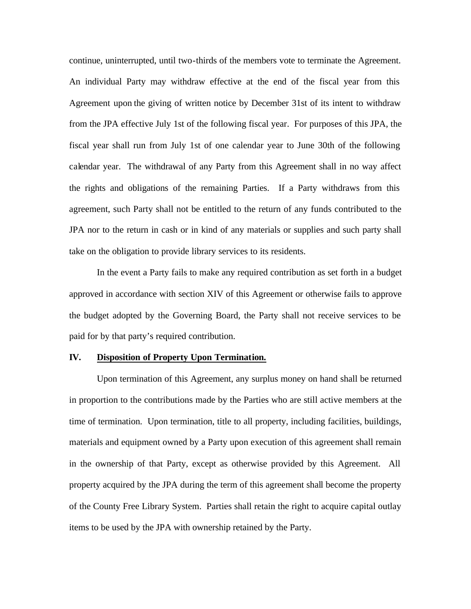continue, uninterrupted, until two-thirds of the members vote to terminate the Agreement. An individual Party may withdraw effective at the end of the fiscal year from this Agreement upon the giving of written notice by December 31st of its intent to withdraw from the JPA effective July 1st of the following fiscal year. For purposes of this JPA, the fiscal year shall run from July 1st of one calendar year to June 30th of the following calendar year. The withdrawal of any Party from this Agreement shall in no way affect the rights and obligations of the remaining Parties. If a Party withdraws from this agreement, such Party shall not be entitled to the return of any funds contributed to the JPA nor to the return in cash or in kind of any materials or supplies and such party shall take on the obligation to provide library services to its residents.

In the event a Party fails to make any required contribution as set forth in a budget approved in accordance with section XIV of this Agreement or otherwise fails to approve the budget adopted by the Governing Board, the Party shall not receive services to be paid for by that party's required contribution.

#### **IV. Disposition of Property Upon Termination.**

Upon termination of this Agreement, any surplus money on hand shall be returned in proportion to the contributions made by the Parties who are still active members at the time of termination. Upon termination, title to all property, including facilities, buildings, materials and equipment owned by a Party upon execution of this agreement shall remain in the ownership of that Party, except as otherwise provided by this Agreement. All property acquired by the JPA during the term of this agreement shall become the property of the County Free Library System. Parties shall retain the right to acquire capital outlay items to be used by the JPA with ownership retained by the Party.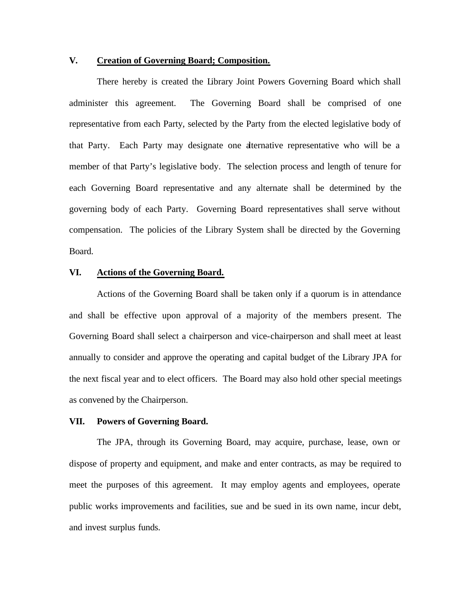## **V. Creation of Governing Board; Composition.**

There hereby is created the Library Joint Powers Governing Board which shall administer this agreement. The Governing Board shall be comprised of one representative from each Party, selected by the Party from the elected legislative body of that Party. Each Party may designate one alternative representative who will be a member of that Party's legislative body. The selection process and length of tenure for each Governing Board representative and any alternate shall be determined by the governing body of each Party. Governing Board representatives shall serve without compensation. The policies of the Library System shall be directed by the Governing Board.

#### **VI. Actions of the Governing Board.**

Actions of the Governing Board shall be taken only if a quorum is in attendance and shall be effective upon approval of a majority of the members present. The Governing Board shall select a chairperson and vice-chairperson and shall meet at least annually to consider and approve the operating and capital budget of the Library JPA for the next fiscal year and to elect officers. The Board may also hold other special meetings as convened by the Chairperson.

#### **VII. Powers of Governing Board.**

The JPA, through its Governing Board, may acquire, purchase, lease, own or dispose of property and equipment, and make and enter contracts, as may be required to meet the purposes of this agreement. It may employ agents and employees, operate public works improvements and facilities, sue and be sued in its own name, incur debt, and invest surplus funds.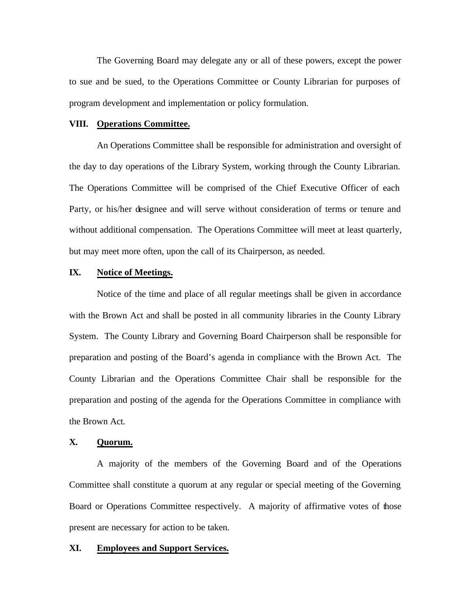The Governing Board may delegate any or all of these powers, except the power to sue and be sued, to the Operations Committee or County Librarian for purposes of program development and implementation or policy formulation.

#### **VIII. Operations Committee.**

An Operations Committee shall be responsible for administration and oversight of the day to day operations of the Library System, working through the County Librarian. The Operations Committee will be comprised of the Chief Executive Officer of each Party, or his/her designee and will serve without consideration of terms or tenure and without additional compensation. The Operations Committee will meet at least quarterly, but may meet more often, upon the call of its Chairperson, as needed.

#### **IX. Notice of Meetings.**

Notice of the time and place of all regular meetings shall be given in accordance with the Brown Act and shall be posted in all community libraries in the County Library System. The County Library and Governing Board Chairperson shall be responsible for preparation and posting of the Board's agenda in compliance with the Brown Act. The County Librarian and the Operations Committee Chair shall be responsible for the preparation and posting of the agenda for the Operations Committee in compliance with the Brown Act.

#### **X. Quorum.**

A majority of the members of the Governing Board and of the Operations Committee shall constitute a quorum at any regular or special meeting of the Governing Board or Operations Committee respectively. A majority of affirmative votes of those present are necessary for action to be taken.

#### **XI. Employees and Support Services.**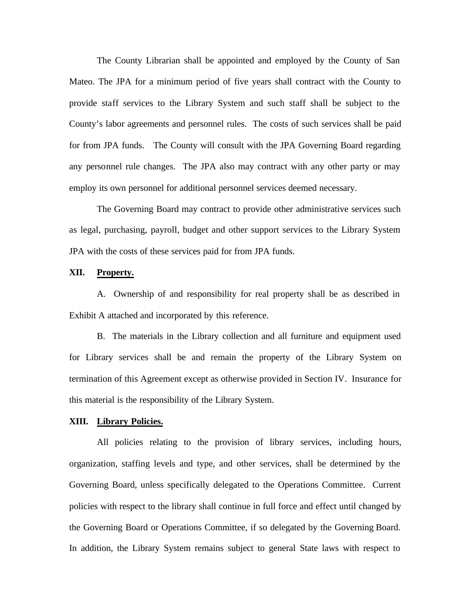The County Librarian shall be appointed and employed by the County of San Mateo. The JPA for a minimum period of five years shall contract with the County to provide staff services to the Library System and such staff shall be subject to the County's labor agreements and personnel rules. The costs of such services shall be paid for from JPA funds. The County will consult with the JPA Governing Board regarding any personnel rule changes. The JPA also may contract with any other party or may employ its own personnel for additional personnel services deemed necessary.

The Governing Board may contract to provide other administrative services such as legal, purchasing, payroll, budget and other support services to the Library System JPA with the costs of these services paid for from JPA funds.

### **XII. Property.**

A. Ownership of and responsibility for real property shall be as described in Exhibit A attached and incorporated by this reference.

B. The materials in the Library collection and all furniture and equipment used for Library services shall be and remain the property of the Library System on termination of this Agreement except as otherwise provided in Section IV. Insurance for this material is the responsibility of the Library System.

#### **XIII. Library Policies.**

All policies relating to the provision of library services, including hours, organization, staffing levels and type, and other services, shall be determined by the Governing Board, unless specifically delegated to the Operations Committee. Current policies with respect to the library shall continue in full force and effect until changed by the Governing Board or Operations Committee, if so delegated by the Governing Board. In addition, the Library System remains subject to general State laws with respect to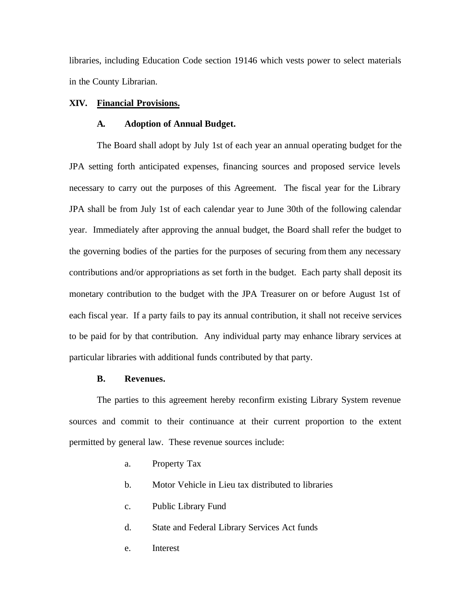libraries, including Education Code section 19146 which vests power to select materials in the County Librarian.

#### **XIV. Financial Provisions.**

#### **A. Adoption of Annual Budget.**

The Board shall adopt by July 1st of each year an annual operating budget for the JPA setting forth anticipated expenses, financing sources and proposed service levels necessary to carry out the purposes of this Agreement. The fiscal year for the Library JPA shall be from July 1st of each calendar year to June 30th of the following calendar year. Immediately after approving the annual budget, the Board shall refer the budget to the governing bodies of the parties for the purposes of securing from them any necessary contributions and/or appropriations as set forth in the budget. Each party shall deposit its monetary contribution to the budget with the JPA Treasurer on or before August 1st of each fiscal year. If a party fails to pay its annual contribution, it shall not receive services to be paid for by that contribution. Any individual party may enhance library services at particular libraries with additional funds contributed by that party.

#### **B. Revenues.**

The parties to this agreement hereby reconfirm existing Library System revenue sources and commit to their continuance at their current proportion to the extent permitted by general law. These revenue sources include:

- a. Property Tax
- b. Motor Vehicle in Lieu tax distributed to libraries
- c. Public Library Fund
- d. State and Federal Library Services Act funds
- e. Interest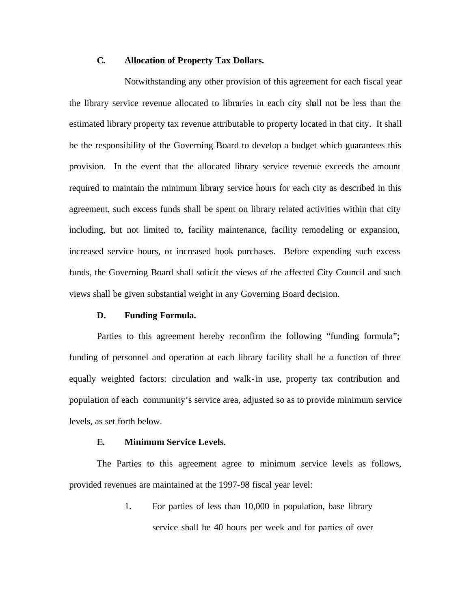### **C. Allocation of Property Tax Dollars.**

Notwithstanding any other provision of this agreement for each fiscal year the library service revenue allocated to libraries in each city shall not be less than the estimated library property tax revenue attributable to property located in that city. It shall be the responsibility of the Governing Board to develop a budget which guarantees this provision. In the event that the allocated library service revenue exceeds the amount required to maintain the minimum library service hours for each city as described in this agreement, such excess funds shall be spent on library related activities within that city including, but not limited to, facility maintenance, facility remodeling or expansion, increased service hours, or increased book purchases. Before expending such excess funds, the Governing Board shall solicit the views of the affected City Council and such views shall be given substantial weight in any Governing Board decision.

#### **D. Funding Formula.**

Parties to this agreement hereby reconfirm the following "funding formula"; funding of personnel and operation at each library facility shall be a function of three equally weighted factors: circulation and walk-in use, property tax contribution and population of each community's service area, adjusted so as to provide minimum service levels, as set forth below.

#### **E. Minimum Service Levels.**

The Parties to this agreement agree to minimum service levels as follows, provided revenues are maintained at the 1997-98 fiscal year level:

> 1. For parties of less than 10,000 in population, base library service shall be 40 hours per week and for parties of over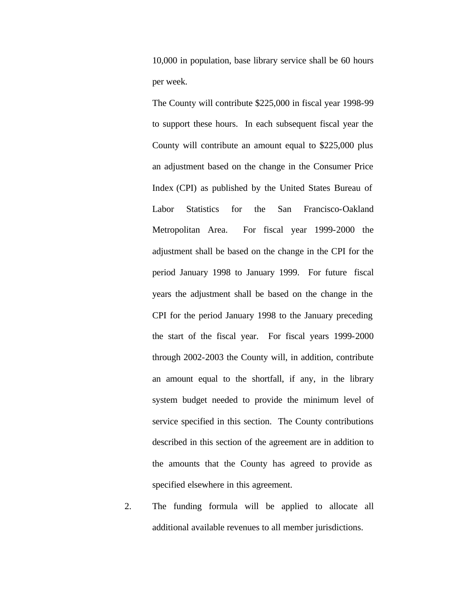10,000 in population, base library service shall be 60 hours per week.

The County will contribute \$225,000 in fiscal year 1998-99 to support these hours. In each subsequent fiscal year the County will contribute an amount equal to \$225,000 plus an adjustment based on the change in the Consumer Price Index (CPI) as published by the United States Bureau of Labor Statistics for the San Francisco-Oakland Metropolitan Area. For fiscal year 1999-2000 the adjustment shall be based on the change in the CPI for the period January 1998 to January 1999. For future fiscal years the adjustment shall be based on the change in the CPI for the period January 1998 to the January preceding the start of the fiscal year. For fiscal years 1999-2000 through 2002-2003 the County will, in addition, contribute an amount equal to the shortfall, if any, in the library system budget needed to provide the minimum level of service specified in this section. The County contributions described in this section of the agreement are in addition to the amounts that the County has agreed to provide as specified elsewhere in this agreement.

2. The funding formula will be applied to allocate all additional available revenues to all member jurisdictions.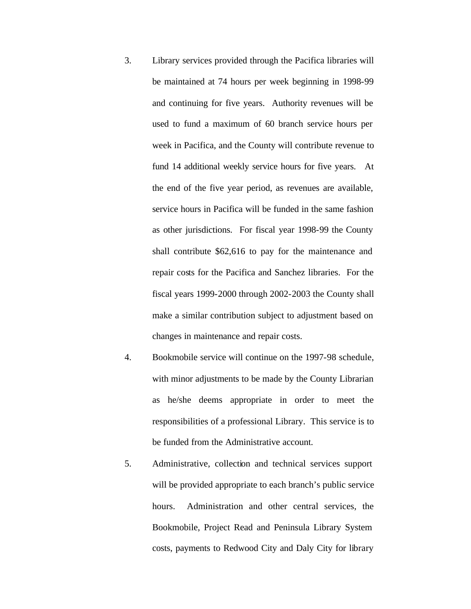- 3. Library services provided through the Pacifica libraries will be maintained at 74 hours per week beginning in 1998-99 and continuing for five years. Authority revenues will be used to fund a maximum of 60 branch service hours per week in Pacifica, and the County will contribute revenue to fund 14 additional weekly service hours for five years. At the end of the five year period, as revenues are available, service hours in Pacifica will be funded in the same fashion as other jurisdictions. For fiscal year 1998-99 the County shall contribute \$62,616 to pay for the maintenance and repair costs for the Pacifica and Sanchez libraries. For the fiscal years 1999-2000 through 2002-2003 the County shall make a similar contribution subject to adjustment based on changes in maintenance and repair costs.
- 4. Bookmobile service will continue on the 1997-98 schedule, with minor adjustments to be made by the County Librarian as he/she deems appropriate in order to meet the responsibilities of a professional Library. This service is to be funded from the Administrative account.
- 5. Administrative, collection and technical services support will be provided appropriate to each branch's public service hours. Administration and other central services, the Bookmobile, Project Read and Peninsula Library System costs, payments to Redwood City and Daly City for library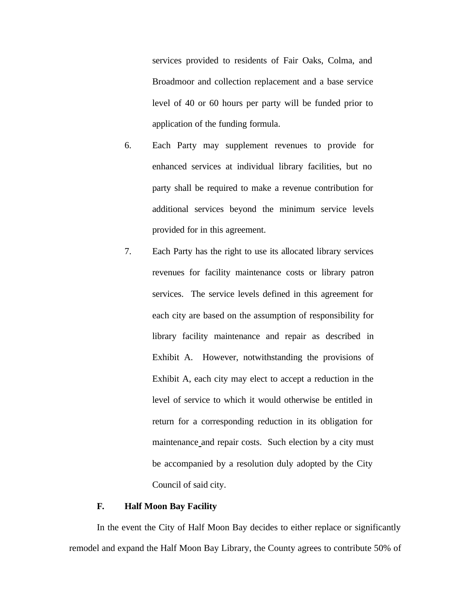services provided to residents of Fair Oaks, Colma, and Broadmoor and collection replacement and a base service level of 40 or 60 hours per party will be funded prior to application of the funding formula.

- 6. Each Party may supplement revenues to provide for enhanced services at individual library facilities, but no party shall be required to make a revenue contribution for additional services beyond the minimum service levels provided for in this agreement.
- 7. Each Party has the right to use its allocated library services revenues for facility maintenance costs or library patron services. The service levels defined in this agreement for each city are based on the assumption of responsibility for library facility maintenance and repair as described in Exhibit A. However, notwithstanding the provisions of Exhibit A, each city may elect to accept a reduction in the level of service to which it would otherwise be entitled in return for a corresponding reduction in its obligation for maintenance and repair costs. Such election by a city must be accompanied by a resolution duly adopted by the City Council of said city.

#### **F. Half Moon Bay Facility**

In the event the City of Half Moon Bay decides to either replace or significantly remodel and expand the Half Moon Bay Library, the County agrees to contribute 50% of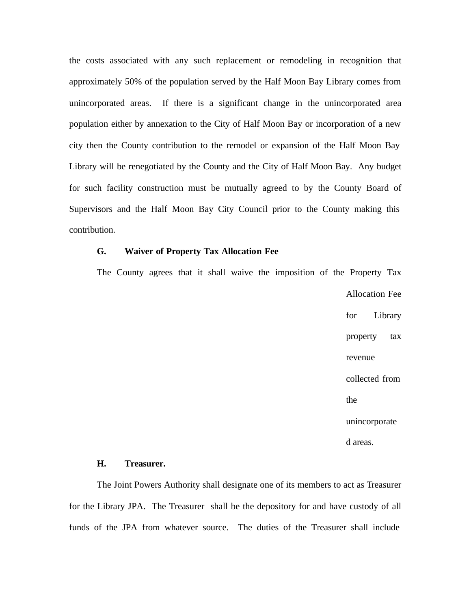the costs associated with any such replacement or remodeling in recognition that approximately 50% of the population served by the Half Moon Bay Library comes from unincorporated areas. If there is a significant change in the unincorporated area population either by annexation to the City of Half Moon Bay or incorporation of a new city then the County contribution to the remodel or expansion of the Half Moon Bay Library will be renegotiated by the County and the City of Half Moon Bay. Any budget for such facility construction must be mutually agreed to by the County Board of Supervisors and the Half Moon Bay City Council prior to the County making this contribution.

## **G. Waiver of Property Tax Allocation Fee**

The County agrees that it shall waive the imposition of the Property Tax Allocation Fee for Library property tax revenue collected from the unincorporate d areas.

## **H. Treasurer.**

The Joint Powers Authority shall designate one of its members to act as Treasurer for the Library JPA. The Treasurer shall be the depository for and have custody of all funds of the JPA from whatever source. The duties of the Treasurer shall include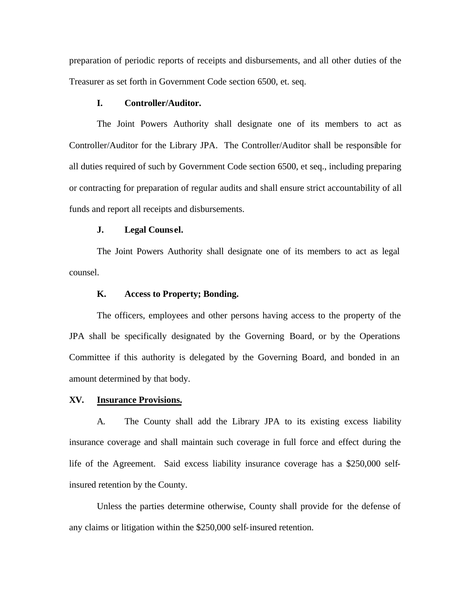preparation of periodic reports of receipts and disbursements, and all other duties of the Treasurer as set forth in Government Code section 6500, et. seq.

### **I. Controller/Auditor.**

The Joint Powers Authority shall designate one of its members to act as Controller/Auditor for the Library JPA. The Controller/Auditor shall be responsible for all duties required of such by Government Code section 6500, et seq., including preparing or contracting for preparation of regular audits and shall ensure strict accountability of all funds and report all receipts and disbursements.

#### **J. Legal Couns el.**

The Joint Powers Authority shall designate one of its members to act as legal counsel.

#### **K. Access to Property; Bonding.**

The officers, employees and other persons having access to the property of the JPA shall be specifically designated by the Governing Board, or by the Operations Committee if this authority is delegated by the Governing Board, and bonded in an amount determined by that body.

#### **XV. Insurance Provisions.**

A. The County shall add the Library JPA to its existing excess liability insurance coverage and shall maintain such coverage in full force and effect during the life of the Agreement. Said excess liability insurance coverage has a \$250,000 selfinsured retention by the County.

Unless the parties determine otherwise, County shall provide for the defense of any claims or litigation within the \$250,000 self-insured retention.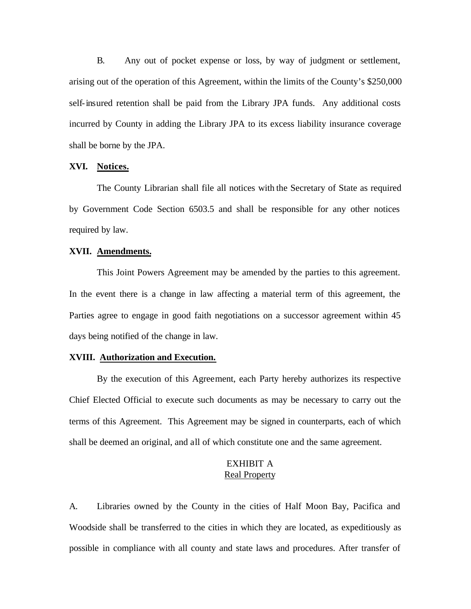B. Any out of pocket expense or loss, by way of judgment or settlement, arising out of the operation of this Agreement, within the limits of the County's \$250,000 self-insured retention shall be paid from the Library JPA funds. Any additional costs incurred by County in adding the Library JPA to its excess liability insurance coverage shall be borne by the JPA.

## **XVI. Notices.**

The County Librarian shall file all notices with the Secretary of State as required by Government Code Section 6503.5 and shall be responsible for any other notices required by law.

#### **XVII. Amendments.**

This Joint Powers Agreement may be amended by the parties to this agreement. In the event there is a change in law affecting a material term of this agreement, the Parties agree to engage in good faith negotiations on a successor agreement within 45 days being notified of the change in law.

#### **XVIII. Authorization and Execution.**

By the execution of this Agreement, each Party hereby authorizes its respective Chief Elected Official to execute such documents as may be necessary to carry out the terms of this Agreement. This Agreement may be signed in counterparts, each of which shall be deemed an original, and all of which constitute one and the same agreement.

## EXHIBIT A Real Property

A. Libraries owned by the County in the cities of Half Moon Bay, Pacifica and Woodside shall be transferred to the cities in which they are located, as expeditiously as possible in compliance with all county and state laws and procedures. After transfer of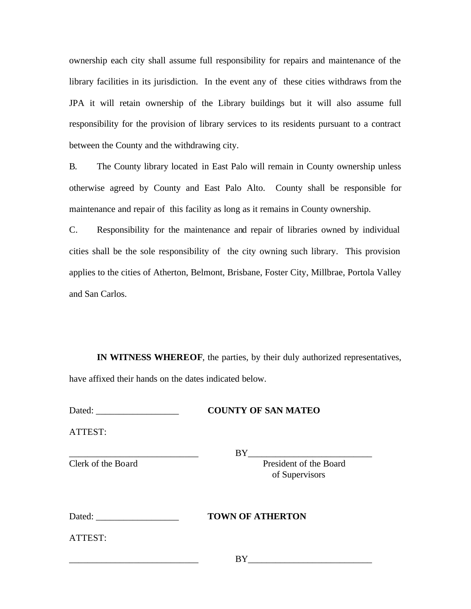ownership each city shall assume full responsibility for repairs and maintenance of the library facilities in its jurisdiction. In the event any of these cities withdraws from the JPA it will retain ownership of the Library buildings but it will also assume full responsibility for the provision of library services to its residents pursuant to a contract between the County and the withdrawing city.

B. The County library located in East Palo will remain in County ownership unless otherwise agreed by County and East Palo Alto. County shall be responsible for maintenance and repair of this facility as long as it remains in County ownership.

C. Responsibility for the maintenance and repair of libraries owned by individual cities shall be the sole responsibility of the city owning such library. This provision applies to the cities of Atherton, Belmont, Brisbane, Foster City, Millbrae, Portola Valley and San Carlos.

**IN WITNESS WHEREOF**, the parties, by their duly authorized representatives, have affixed their hands on the dates indicated below.

|--|

## **COUNTY OF SAN MATEO**

ATTEST:

\_\_\_\_\_\_\_\_\_\_\_\_\_\_\_\_\_\_\_\_\_\_\_\_\_\_\_\_ BY\_\_\_\_\_\_\_\_\_\_\_\_\_\_\_\_\_\_\_\_\_\_\_\_\_\_\_

Clerk of the Board President of the Board of Supervisors

| Dated: | <b>TOWN OF</b> |
|--------|----------------|
|        |                |

ATTEST:

\_\_\_\_\_\_\_\_\_\_\_\_\_\_\_\_\_\_\_\_\_\_\_\_\_\_\_\_ BY\_\_\_\_\_\_\_\_\_\_\_\_\_\_\_\_\_\_\_\_\_\_\_\_\_\_\_

 $ATHERTON$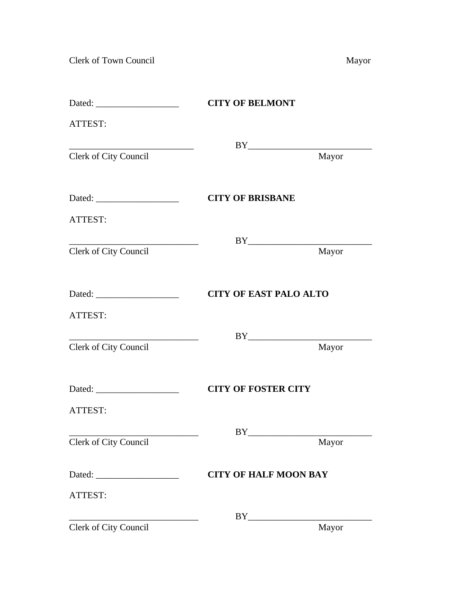Clerk of Town Council Mayor

|                       | <b>CITY OF BELMONT</b>                                                                                                                                                                                                                                                                                                                                       |  |
|-----------------------|--------------------------------------------------------------------------------------------------------------------------------------------------------------------------------------------------------------------------------------------------------------------------------------------------------------------------------------------------------------|--|
| ATTEST:               |                                                                                                                                                                                                                                                                                                                                                              |  |
|                       | $BY \begin{tabular}{ c c c } \hline \rule{0.3cm}{.01cm} \rule{0.3cm}{.01cm} \rule{0.3cm}{.01cm} \rule{0.3cm}{.01cm} \rule{0.3cm}{.01cm} \rule{0.3cm}{.01cm} \rule{0.3cm}{.01cm} \rule{0.3cm}{.01cm} \rule{0.3cm}{.01cm} \rule{0.3cm}{.01cm} \rule{0.3cm}{.01cm} \rule{0.3cm}{.01cm} \rule{0.3cm}{.01cm} \rule{0.3cm}{.01cm} \rule{0.3cm}{.01cm} \rule{0.3cm$ |  |
| Clerk of City Council | Mayor                                                                                                                                                                                                                                                                                                                                                        |  |
|                       | <b>CITY OF BRISBANE</b>                                                                                                                                                                                                                                                                                                                                      |  |
| ATTEST:               |                                                                                                                                                                                                                                                                                                                                                              |  |
|                       |                                                                                                                                                                                                                                                                                                                                                              |  |
| Clerk of City Council | Mayor                                                                                                                                                                                                                                                                                                                                                        |  |
|                       | <b>CITY OF EAST PALO ALTO</b>                                                                                                                                                                                                                                                                                                                                |  |
| ATTEST:               |                                                                                                                                                                                                                                                                                                                                                              |  |
|                       |                                                                                                                                                                                                                                                                                                                                                              |  |
| Clerk of City Council | Mayor                                                                                                                                                                                                                                                                                                                                                        |  |
|                       | <b>CITY OF FOSTER CITY</b>                                                                                                                                                                                                                                                                                                                                   |  |
| ATTEST:               |                                                                                                                                                                                                                                                                                                                                                              |  |
|                       |                                                                                                                                                                                                                                                                                                                                                              |  |
| Clerk of City Council | Mayor                                                                                                                                                                                                                                                                                                                                                        |  |
|                       | <b>CITY OF HALF MOON BAY</b>                                                                                                                                                                                                                                                                                                                                 |  |
| ATTEST:               |                                                                                                                                                                                                                                                                                                                                                              |  |
|                       |                                                                                                                                                                                                                                                                                                                                                              |  |
| Clerk of City Council | Mayor                                                                                                                                                                                                                                                                                                                                                        |  |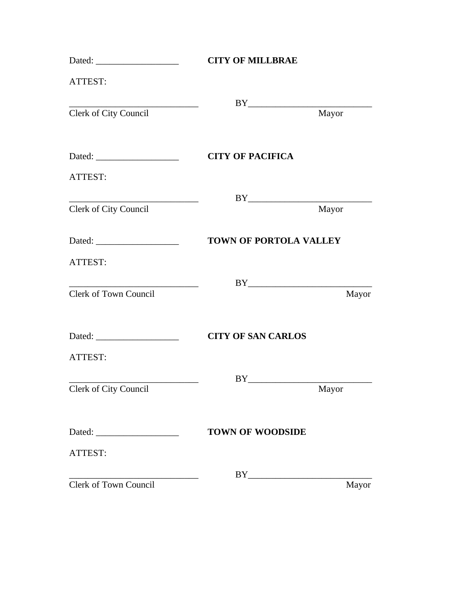|                       | <b>CITY OF MILLBRAE</b>                                                                                                                                                                                                                                                                                                                                      |  |  |
|-----------------------|--------------------------------------------------------------------------------------------------------------------------------------------------------------------------------------------------------------------------------------------------------------------------------------------------------------------------------------------------------------|--|--|
| ATTEST:               |                                                                                                                                                                                                                                                                                                                                                              |  |  |
|                       |                                                                                                                                                                                                                                                                                                                                                              |  |  |
| Clerk of City Council | Mayor                                                                                                                                                                                                                                                                                                                                                        |  |  |
|                       | <b>CITY OF PACIFICA</b>                                                                                                                                                                                                                                                                                                                                      |  |  |
| ATTEST:               |                                                                                                                                                                                                                                                                                                                                                              |  |  |
|                       | $BY \begin{tabular}{ c c c } \hline \rule{0.3cm}{.01cm} \rule{0.3cm}{.01cm} \rule{0.3cm}{.01cm} \rule{0.3cm}{.01cm} \rule{0.3cm}{.01cm} \rule{0.3cm}{.01cm} \rule{0.3cm}{.01cm} \rule{0.3cm}{.01cm} \rule{0.3cm}{.01cm} \rule{0.3cm}{.01cm} \rule{0.3cm}{.01cm} \rule{0.3cm}{.01cm} \rule{0.3cm}{.01cm} \rule{0.3cm}{.01cm} \rule{0.3cm}{.01cm} \rule{0.3cm$ |  |  |
| Clerk of City Council | Mayor                                                                                                                                                                                                                                                                                                                                                        |  |  |
|                       | <b>TOWN OF PORTOLA VALLEY</b>                                                                                                                                                                                                                                                                                                                                |  |  |
| ATTEST:               |                                                                                                                                                                                                                                                                                                                                                              |  |  |
|                       |                                                                                                                                                                                                                                                                                                                                                              |  |  |
| Clerk of Town Council | Mayor                                                                                                                                                                                                                                                                                                                                                        |  |  |
|                       | <b>CITY OF SAN CARLOS</b>                                                                                                                                                                                                                                                                                                                                    |  |  |
| ATTEST:               |                                                                                                                                                                                                                                                                                                                                                              |  |  |
|                       | $BY$                                                                                                                                                                                                                                                                                                                                                         |  |  |
| Clerk of City Council | Mayor                                                                                                                                                                                                                                                                                                                                                        |  |  |
|                       | <b>TOWN OF WOODSIDE</b>                                                                                                                                                                                                                                                                                                                                      |  |  |
|                       |                                                                                                                                                                                                                                                                                                                                                              |  |  |
| ATTEST:               |                                                                                                                                                                                                                                                                                                                                                              |  |  |
|                       | $BY \underline{\hspace{2cm}} \underline{\hspace{2cm}}$                                                                                                                                                                                                                                                                                                       |  |  |
| Clerk of Town Council | Mayor                                                                                                                                                                                                                                                                                                                                                        |  |  |